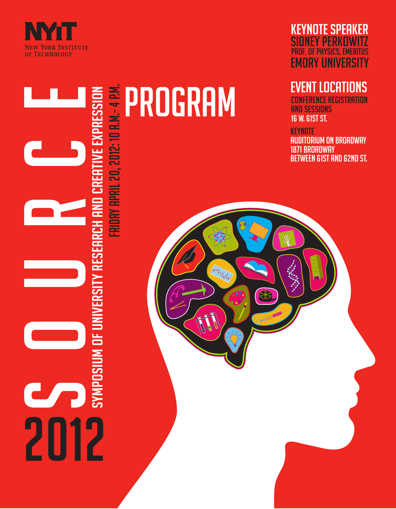

# KEYNOTE SPEAKER SIDNEY PERKOWITZ PROF. OF PHYSICS, EMERITUS Emory University

# EVENT LOCATIONS

CONFERENCE REGISTRATION AND SESSIONS 16 W. 61ST ST.

#### **KEYNOTE**

 $\mathbb{W}$ 

 $\Theta$ 

AUDITORIUM ON BROADWAY 1871 BROADWAY BETWEEN 61ST AND 62ND ST.

# $\begin{array}{c} 0 \\ 0 \\ 0 \end{array}$ 2012SYMPOSIUM OF UNIVERSITY RESEARCH AND CREATIVE EXPRESSION Friday April 20, 2012: 10 a.m.- 4 p.m. E PROGRAM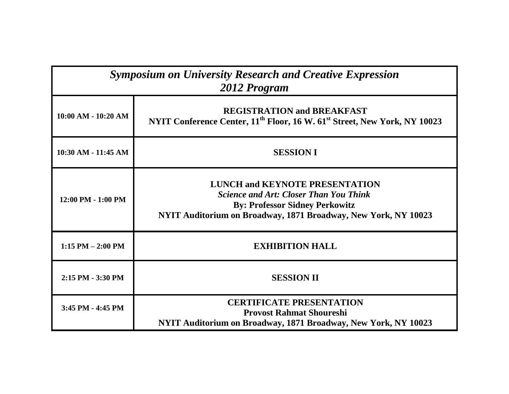| <b>Symposium on University Research and Creative Expression</b><br>2012 Program |                                                                                                                                                                                                   |  |
|---------------------------------------------------------------------------------|---------------------------------------------------------------------------------------------------------------------------------------------------------------------------------------------------|--|
| $10:00$ AM - $10:20$ AM                                                         | <b>REGISTRATION and BREAKFAST</b><br>NYIT Conference Center, 11 <sup>th</sup> Floor, 16 W. 61 <sup>st</sup> Street, New York, NY 10023                                                            |  |
| 10:30 AM - 11:45 AM                                                             | <b>SESSION I</b>                                                                                                                                                                                  |  |
| $12:00$ PM - $1:00$ PM                                                          | <b>LUNCH and KEYNOTE PRESENTATION</b><br><b>Science and Art: Closer Than You Think</b><br><b>By: Professor Sidney Perkowitz</b><br>NYIT Auditorium on Broadway, 1871 Broadway, New York, NY 10023 |  |
| $1:15$ PM $- 2:00$ PM                                                           | <b>EXHIBITION HALL</b>                                                                                                                                                                            |  |
| 2:15 PM - 3:30 PM                                                               | <b>SESSION II</b>                                                                                                                                                                                 |  |
| 3:45 PM - 4:45 PM                                                               | <b>CERTIFICATE PRESENTATION</b><br><b>Provost Rahmat Shoureshi</b><br>NYIT Auditorium on Broadway, 1871 Broadway, New York, NY 10023                                                              |  |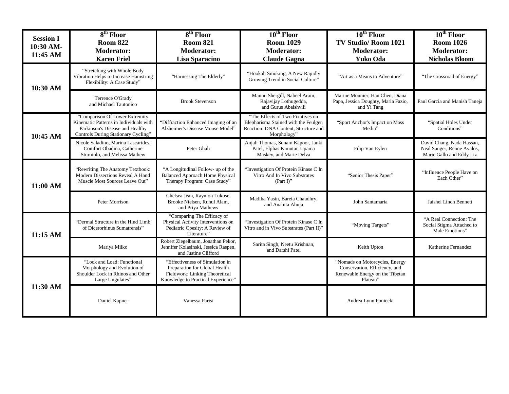| <b>Session I</b><br>10:30 AM-<br>11:45 AM | $8th$ Floor<br><b>Room 822</b><br><b>Moderator:</b><br><b>Karen Friel</b>                                                                          | 8 <sup>th</sup> Floor<br><b>Room 821</b><br><b>Moderator:</b><br>Lisa Sparacino                                                          | 10 <sup>th</sup> Floor<br><b>Room 1029</b><br><b>Moderator:</b><br><b>Claude Gagna</b>                                          | $10^{th}$ Floor<br>TV Studio/ Room 1021<br><b>Moderator:</b><br>Yuko Oda                                       | $10^{\text{th}}$ Floor<br><b>Room 1026</b><br><b>Moderator:</b><br><b>Nicholas Bloom</b> |
|-------------------------------------------|----------------------------------------------------------------------------------------------------------------------------------------------------|------------------------------------------------------------------------------------------------------------------------------------------|---------------------------------------------------------------------------------------------------------------------------------|----------------------------------------------------------------------------------------------------------------|------------------------------------------------------------------------------------------|
| 10:30 AM                                  | "Stretching with Whole Body<br>Vibration Helps to Increase Hamstring<br>Flexibility: A Case Study"                                                 | "Harnessing The Elderly"                                                                                                                 | "Hookah Smoking, A New Rapidly<br>Growing Trend in Social Culture"                                                              | "Art as a Means to Adventure"                                                                                  | "The Crossroad of Energy"                                                                |
|                                           | Terrence O'Grady<br>and Michael Tautonico                                                                                                          | <b>Brook Stevenson</b>                                                                                                                   | Mannu Shergill, Nabeel Arain,<br>Rajavijay Lothugedda,<br>and Gurus Abaishvili                                                  | Marine Mounier, Han Chen, Diana<br>Papa, Jessica Doughty, Maria Fazio,<br>and Yi Tang                          | Paul Garcia and Manish Taneja                                                            |
| 10:45 AM                                  | "Comparison Of Lower Extremity<br>Kinematic Patterns in Individuals with<br>Parkinson's Disease and Healthy<br>Controls During Stationary Cycling" | 'Diffraction Enhanced Imaging of an<br>Alzheimer's Disease Mouse Model"                                                                  | "The Effects of Two Fixatives on<br>Blepharisma Stained with the Feulgen<br>Reaction: DNA Content, Structure and<br>Morphology" | "Sport Anchor's Impact on Mass<br>Media"                                                                       | "Spatial Holes Under<br>Conditions"                                                      |
|                                           | Nicole Saladino, Marina Lascarides,<br>Comfort Obadina, Catherine<br>Sturniolo, and Melissa Mathew                                                 | Peter Ghali                                                                                                                              | Anjali Thomas, Sonam Kapoor, Janki<br>Patel, Elphas Kimutai, Upama<br>Maskey, and Marie Delva                                   | Filip Van Eylen                                                                                                | David Chang, Nada Hassan,<br>Neal Sanger, Renne Avalos,<br>Marie Gallo and Eddy Liz      |
| 11:00 AM                                  | "Rewriting The Anatomy Textbook:<br>Modern Dissections Reveal A Hand<br>Muscle Most Sources Leave Out"                                             | "A Longitudinal Follow- up of the<br><b>Balanced Approach Home Physical</b><br>Therapy Program: Case Study"                              | "Investigation Of Protein Kinase C In<br>Vitro And In Vivo Substrates<br>$(Part I)$ "                                           | "Senior Thesis Paper"                                                                                          | "Influence People Have on<br>Each Other"                                                 |
|                                           | Peter Morrison                                                                                                                                     | Chelsea Jean, Raymon Lukose,<br>Brooke Nielsen, Ruhul Alam,<br>and Priya Mathews                                                         | Madiha Yasin, Bareia Chaudhry,<br>and Anahita Ahuja                                                                             | John Santamaria                                                                                                | Jaishel Linch Bennett                                                                    |
| 11:15 AM                                  | "Dermal Structure in the Hind Limb<br>of Dicerorhinus Sumatrensis"                                                                                 | "Comparing The Efficacy of<br>Physical Activity Interventions on<br>Pediatric Obesity: A Review of<br>Literature"                        | "Investigation Of Protein Kinase C In<br>Vitro and in Vivo Substrates (Part II)"                                                | "Moving Targets"                                                                                               | "A Real Connection: The<br>Social Stigma Attached to<br>Male Emotions"                   |
|                                           | Mariya Milko                                                                                                                                       | Robert Ziegelbaum, Jonathan Pekor,<br>Jennifer Kolasinski, Jessica Raspen,<br>and Justine Clifford                                       | Sarita Singh, Neetu Krishnan,<br>and Darshi Patel                                                                               | Keith Upton                                                                                                    | Katherine Fernandez                                                                      |
| 11:30 AM                                  | "Lock and Load: Functional<br>Morphology and Evolution of<br>Shoulder Lock in Rhinos and Other<br>Large Ungulates"                                 | "Effectiveness of Simulation in<br>Preparation for Global Health<br>Fieldwork: Linking Theoretical<br>Knowledge to Practical Experience" |                                                                                                                                 | "Nomads on Motorcycles, Energy<br>Conservation, Efficiency, and<br>Renewable Energy on the Tibetan<br>Plateau" |                                                                                          |
|                                           | Daniel Kapner                                                                                                                                      | Vanessa Parisi                                                                                                                           |                                                                                                                                 | Andrea Lynn Poniecki                                                                                           |                                                                                          |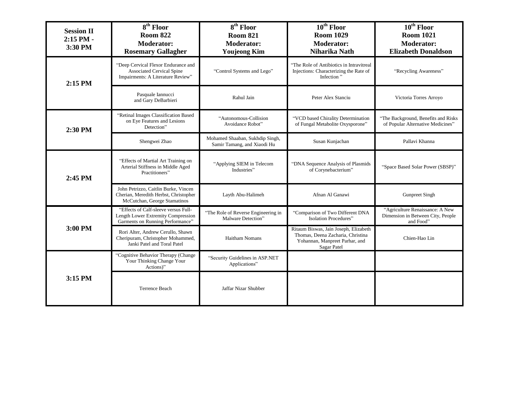| <b>Session II</b><br>2:15 PM -<br>3:30 PM | $8th$ Floor<br><b>Room 822</b><br><b>Moderator:</b><br><b>Rosemary Gallagher</b>                               | 8 <sup>th</sup> Floor<br><b>Room 821</b><br><b>Moderator:</b><br><b>Youjeong Kim</b> | $10^{\text{th}}$ Floor<br><b>Room 1029</b><br><b>Moderator:</b><br>Niharika Nath                                            | $10^{\text{th}}$ Floor<br><b>Room 1021</b><br><b>Moderator:</b><br><b>Elizabeth Donaldson</b> |
|-------------------------------------------|----------------------------------------------------------------------------------------------------------------|--------------------------------------------------------------------------------------|-----------------------------------------------------------------------------------------------------------------------------|-----------------------------------------------------------------------------------------------|
| 2:15 PM                                   | "Deep Cervical Flexor Endurance and<br><b>Associated Cervical Spine</b><br>Impairments: A Literature Review"   | "Control Systems and Lego"                                                           | "The Role of Antibiotics in Intravitreal<br>Injections: Characterizing the Rate of<br>Infection"                            | "Recycling Awareness"                                                                         |
|                                           | Pasquale Iannucci<br>and Gary DeBarbieri                                                                       | Rahul Jain                                                                           | Peter Alex Stanciu                                                                                                          | Victoria Torres Arroyo                                                                        |
| 2:30 PM                                   | "Retinal Images Classification Based<br>on Eye Features and Lesions<br>Detection"                              | "Autonomous-Collision<br>Avoidance Robot"                                            | "VCD based Chirality Determination<br>of Fungal Metabolite Oxysporone"                                                      | "The Background, Benefits and Risks<br>of Popular Alternative Medicines"                      |
|                                           | Shengwei Zhao                                                                                                  | Mohamed Shaaban, Sukhdip Singh,<br>Samir Tamang, and Xiaodi Hu                       | Susan Kunjachan                                                                                                             | Pallavi Khanna                                                                                |
| 2:45 PM                                   | "Effects of Martial Art Training on<br>Arterial Stiffness in Middle Aged<br>Practitioners"                     | "Applying SIEM in Telecom<br>Industries"                                             | "DNA Sequence Analysis of Plasmids<br>of Corynebacterium"                                                                   | "Space Based Solar Power (SBSP)"                                                              |
|                                           | John Petrizzo, Caitlin Burke, Vincen<br>Cherian, Meredith Herbst, Christopher<br>McCutchan, George Stamatinos  | Layth Abu-Halimeh                                                                    | Afnan Al Ganawi                                                                                                             | <b>Gunpreet Singh</b>                                                                         |
|                                           | "Effects of Calf-sleeve versus Full-<br>Length Lower Extremity Compression<br>Garments on Running Performance" | "The Role of Reverse Engineering in<br>Malware Detection"                            | "Comparison of Two Different DNA<br><b>Isolation Procedures"</b>                                                            | "Agriculture Renaissance: A New<br>Dimension in Between City, People<br>and Food"             |
| 3:00 PM                                   | Rori Alter, Andrew Cerullo, Shawn<br>Cheripuram, Christopher Mohammed,<br>Janki Patel and Toral Patel          | <b>Haitham Nomans</b>                                                                | Ritaum Biswas, Jain Joseph, Elizabeth<br>Thomas, Deena Zacharia, Christina<br>Yohannan, Manpreet Parhar, and<br>Sagar Patel | Chien-Hao Lin                                                                                 |
|                                           | "Cognitive Behavior Therapy (Change<br>Your Thinking Change Your<br>Actions)"                                  | "Security Guidelines in ASP.NET<br>Applications"                                     |                                                                                                                             |                                                                                               |
| 3:15 PM                                   | Terrence Beach                                                                                                 | Jaffar Nizar Shubber                                                                 |                                                                                                                             |                                                                                               |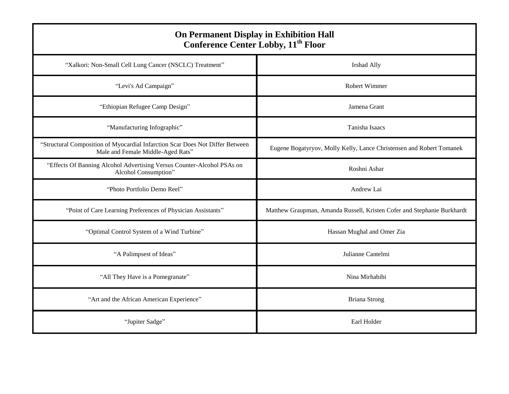| <b>On Permanent Display in Exhibition Hall</b><br><b>Conference Center Lobby, 11<sup>th</sup> Floor</b>            |                                                                         |  |
|--------------------------------------------------------------------------------------------------------------------|-------------------------------------------------------------------------|--|
| "Xalkori: Non-Small Cell Lung Cancer (NSCLC) Treatment"                                                            | Irshad Ally                                                             |  |
| "Levi's Ad Campaign"                                                                                               | <b>Robert Wimmer</b>                                                    |  |
| "Ethiopian Refugee Camp Design"                                                                                    | Jamena Grant                                                            |  |
| "Manufacturing Infographic"                                                                                        | Tanisha Isaacs                                                          |  |
| "Structural Composition of Myocardial Infarction Scar Does Not Differ Between<br>Male and Female Middle-Aged Rats" | Eugene Bogatyryov, Molly Kelly, Lance Christensen and Robert Tomanek    |  |
| "Effects Of Banning Alcohol Advertising Versus Counter-Alcohol PSAs on<br>Alcohol Consumption"                     | Roshni Ashar                                                            |  |
| "Photo Portfolio Demo Reel"                                                                                        | Andrew Lai                                                              |  |
| "Point of Care Learning Preferences of Physician Assistants"                                                       | Matthew Graupman, Amanda Russell, Kristen Cofer and Stephanie Burkhardt |  |
| "Optimal Control System of a Wind Turbine"                                                                         | Hassan Mughal and Omer Zia                                              |  |
| "A Palimpsest of Ideas"                                                                                            | Julianne Cantelmi                                                       |  |
| "All They Have is a Pomegranate"                                                                                   | Nina Mirhabibi                                                          |  |
| "Art and the African American Experience"                                                                          | <b>Briana Strong</b>                                                    |  |
| "Jupiter Sadge"                                                                                                    | Earl Holder                                                             |  |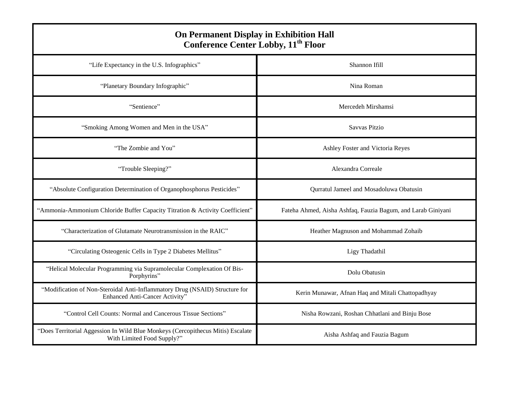| <b>On Permanent Display in Exhibition Hall</b><br><b>Conference Center Lobby, 11<sup>th</sup> Floor</b>       |                                                              |  |
|---------------------------------------------------------------------------------------------------------------|--------------------------------------------------------------|--|
| "Life Expectancy in the U.S. Infographics"                                                                    | Shannon Ifill                                                |  |
| "Planetary Boundary Infographic"                                                                              | Nina Roman                                                   |  |
| "Sentience"                                                                                                   | Mercedeh Mirshamsi                                           |  |
| "Smoking Among Women and Men in the USA"                                                                      | Savvas Pitzio                                                |  |
| "The Zombie and You"                                                                                          | Ashley Foster and Victoria Reyes                             |  |
| "Trouble Sleeping?"                                                                                           | Alexandra Correale                                           |  |
| "Absolute Configuration Determination of Organophosphorus Pesticides"                                         | Qurratul Jameel and Mosadoluwa Obatusin                      |  |
| "Ammonia-Ammonium Chloride Buffer Capacity Titration & Activity Coefficient"                                  | Fateha Ahmed, Aisha Ashfaq, Fauzia Bagum, and Larab Giniyani |  |
| "Characterization of Glutamate Neurotransmission in the RAIC"                                                 | Heather Magnuson and Mohammad Zohaib                         |  |
| "Circulating Osteogenic Cells in Type 2 Diabetes Mellitus"                                                    | Ligy Thadathil                                               |  |
| "Helical Molecular Programming via Supramolecular Complexation Of Bis-<br>Porphyrins"                         | Dolu Obatusin                                                |  |
| "Modification of Non-Steroidal Anti-Inflammatory Drug (NSAID) Structure for<br>Enhanced Anti-Cancer Activity" | Kerin Munawar, Afnan Haq and Mitali Chattopadhyay            |  |
| "Control Cell Counts: Normal and Cancerous Tissue Sections"                                                   | Nisha Rowzani, Roshan Chhatlani and Binju Bose               |  |
| "Does Territorial Aggession In Wild Blue Monkeys (Cercopithecus Mitis) Escalate<br>With Limited Food Supply?" | Aisha Ashfaq and Fauzia Bagum                                |  |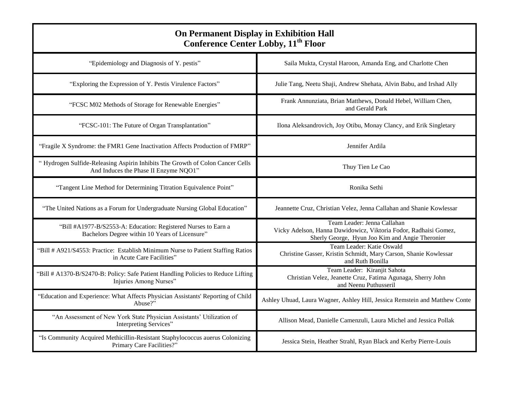| <b>On Permanent Display in Exhibition Hall</b><br><b>Conference Center Lobby, 11<sup>th</sup> Floor</b>                |                                                                                                                                                    |  |
|------------------------------------------------------------------------------------------------------------------------|----------------------------------------------------------------------------------------------------------------------------------------------------|--|
| "Epidemiology and Diagnosis of Y. pestis"                                                                              | Saila Mukta, Crystal Haroon, Amanda Eng, and Charlotte Chen                                                                                        |  |
| "Exploring the Expression of Y. Pestis Virulence Factors"                                                              | Julie Tang, Neetu Shaji, Andrew Shehata, Alvin Babu, and Irshad Ally                                                                               |  |
| "FCSC M02 Methods of Storage for Renewable Energies"                                                                   | Frank Annunziata, Brian Matthews, Donald Hebel, William Chen,<br>and Gerald Park                                                                   |  |
| "FCSC-101: The Future of Organ Transplantation"                                                                        | Ilona Aleksandrovich, Joy Otibu, Monay Clancy, and Erik Singletary                                                                                 |  |
| "Fragile X Syndrome: the FMR1 Gene Inactivation Affects Production of FMRP"                                            | Jennifer Ardila                                                                                                                                    |  |
| "Hydrogen Sulfide-Releasing Aspirin Inhibits The Growth of Colon Cancer Cells<br>And Induces the Phase II Enzyme NQO1" | Thuy Tien Le Cao                                                                                                                                   |  |
| "Tangent Line Method for Determining Titration Equivalence Point"                                                      | Ronika Sethi                                                                                                                                       |  |
| "The United Nations as a Forum for Undergraduate Nursing Global Education"                                             | Jeannette Cruz, Christian Velez, Jenna Callahan and Shanie Kowlessar                                                                               |  |
| "Bill #A1977-B/S2553-A: Education: Registered Nurses to Earn a<br>Bachelors Degree within 10 Years of Licensure"       | Team Leader: Jenna Callahan<br>Vicky Adelson, Hanna Dawidowicz, Viktoria Fodor, Radhaisi Gomez,<br>Sherly George, Hyun Joo Kim and Angie Theronier |  |
| "Bill # A921/S4553: Practice: Establish Minimum Nurse to Patient Staffing Ratios<br>in Acute Care Facilities"          | Team Leader: Katie Oswald<br>Christine Gasser, Kristin Schmidt, Mary Carson, Shanie Kowlessar<br>and Ruth Bonilla                                  |  |
| "Bill # A1370-B/S2470-B: Policy: Safe Patient Handling Policies to Reduce Lifting<br>Injuries Among Nurses"            | Team Leader: Kiranjit Sahota<br>Christian Velez, Jeanette Cruz, Fatima Agunaga, Sherry John<br>and Neenu Puthusseril                               |  |
| "Education and Experience: What Affects Physician Assistants' Reporting of Child<br>Abuse?"                            | Ashley Uhuad, Laura Wagner, Ashley Hill, Jessica Remstein and Matthew Conte                                                                        |  |
| "An Assessment of New York State Physician Assistants' Utilization of<br>Interpreting Services"                        | Allison Mead, Danielle Camenzuli, Laura Michel and Jessica Pollak                                                                                  |  |
| "Is Community Acquired Methicillin-Resistant Staphylococcus auerus Colonizing<br>Primary Care Facilities?"             | Jessica Stein, Heather Strahl, Ryan Black and Kerby Pierre-Louis                                                                                   |  |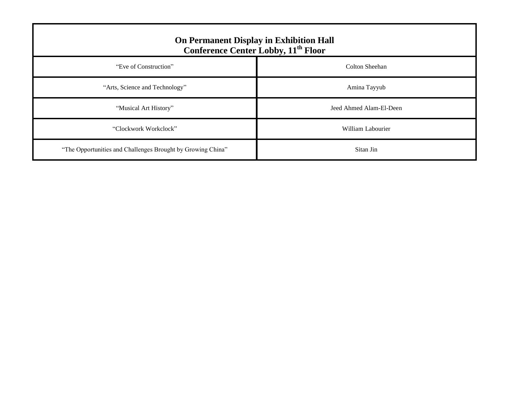| <b>On Permanent Display in Exhibition Hall</b><br>Conference Center Lobby, 11 <sup>th</sup> Floor |                         |  |
|---------------------------------------------------------------------------------------------------|-------------------------|--|
| "Eve of Construction"                                                                             | Colton Sheehan          |  |
| "Arts, Science and Technology"                                                                    | Amina Tayyub            |  |
| "Musical Art History"                                                                             | Jeed Ahmed Alam-El-Deen |  |
| "Clockwork Workclock"                                                                             | William Labourier       |  |
| "The Opportunities and Challenges Brought by Growing China"                                       | Sitan Jin               |  |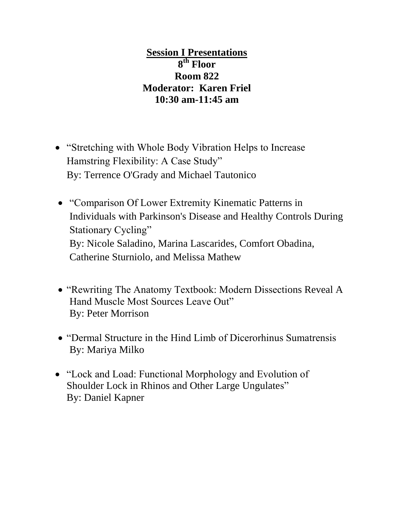**Session I Presentations 8 th Floor Room 822 Moderator: Karen Friel 10:30 am-11:45 am**

- "Stretching with Whole Body Vibration Helps to Increase" Hamstring Flexibility: A Case Study" By: Terrence O'Grady and Michael Tautonico
- "Comparison Of Lower Extremity Kinematic Patterns in Individuals with Parkinson's Disease and Healthy Controls During Stationary Cycling" By: Nicole Saladino, Marina Lascarides, Comfort Obadina, Catherine Sturniolo, and Melissa Mathew
- "Rewriting The Anatomy Textbook: Modern Dissections Reveal A Hand Muscle Most Sources Leave Out" By: Peter Morrison
- "Dermal Structure in the Hind Limb of Dicerorhinus Sumatrensis" By: Mariya Milko
- "Lock and Load: Functional Morphology and Evolution of Shoulder Lock in Rhinos and Other Large Ungulates" By: Daniel Kapner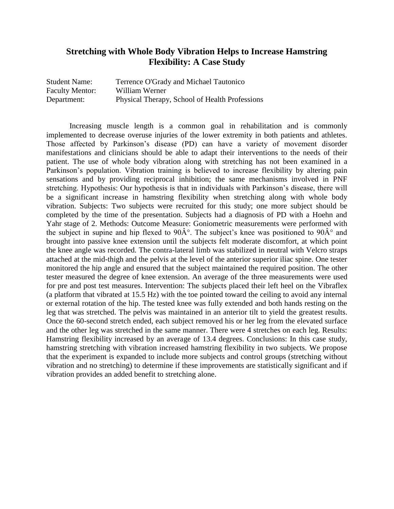#### **Stretching with Whole Body Vibration Helps to Increase Hamstring Flexibility: A Case Study**

| <b>Student Name:</b>   | Terrence O'Grady and Michael Tautonico         |
|------------------------|------------------------------------------------|
| <b>Faculty Mentor:</b> | William Werner                                 |
| Department:            | Physical Therapy, School of Health Professions |

Increasing muscle length is a common goal in rehabilitation and is commonly implemented to decrease overuse injuries of the lower extremity in both patients and athletes. Those affected by Parkinson's disease (PD) can have a variety of movement disorder manifestations and clinicians should be able to adapt their interventions to the needs of their patient. The use of whole body vibration along with stretching has not been examined in a Parkinson's population. Vibration training is believed to increase flexibility by altering pain sensations and by providing reciprocal inhibition; the same mechanisms involved in PNF stretching. Hypothesis: Our hypothesis is that in individuals with Parkinson's disease, there will be a significant increase in hamstring flexibility when stretching along with whole body vibration. Subjects: Two subjects were recruited for this study; one more subject should be completed by the time of the presentation. Subjects had a diagnosis of PD with a Hoehn and Yahr stage of 2. Methods: Outcome Measure: Goniometric measurements were performed with the subject in supine and hip flexed to 90 $A^{\circ}$ . The subject's knee was positioned to 90 $A^{\circ}$  and brought into passive knee extension until the subjects felt moderate discomfort, at which point the knee angle was recorded. The contra-lateral limb was stabilized in neutral with Velcro straps attached at the mid-thigh and the pelvis at the level of the anterior superior iliac spine. One tester monitored the hip angle and ensured that the subject maintained the required position. The other tester measured the degree of knee extension. An average of the three measurements were used for pre and post test measures. Intervention: The subjects placed their left heel on the Vibraflex (a platform that vibrated at 15.5 Hz) with the toe pointed toward the ceiling to avoid any internal or external rotation of the hip. The tested knee was fully extended and both hands resting on the leg that was stretched. The pelvis was maintained in an anterior tilt to yield the greatest results. Once the 60-second stretch ended, each subject removed his or her leg from the elevated surface and the other leg was stretched in the same manner. There were 4 stretches on each leg. Results: Hamstring flexibility increased by an average of 13.4 degrees. Conclusions: In this case study, hamstring stretching with vibration increased hamstring flexibility in two subjects. We propose that the experiment is expanded to include more subjects and control groups (stretching without vibration and no stretching) to determine if these improvements are statistically significant and if vibration provides an added benefit to stretching alone.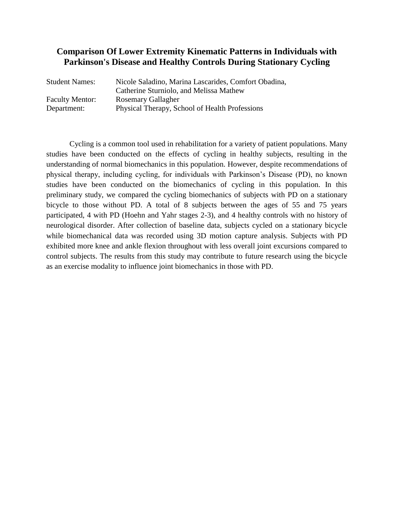#### **Comparison Of Lower Extremity Kinematic Patterns in Individuals with Parkinson's Disease and Healthy Controls During Stationary Cycling**

| <b>Student Names:</b>  | Nicole Saladino, Marina Lascarides, Comfort Obadina, |
|------------------------|------------------------------------------------------|
|                        | Catherine Sturniolo, and Melissa Mathew              |
| <b>Faculty Mentor:</b> | <b>Rosemary Gallagher</b>                            |
| Department:            | Physical Therapy, School of Health Professions       |

Cycling is a common tool used in rehabilitation for a variety of patient populations. Many studies have been conducted on the effects of cycling in healthy subjects, resulting in the understanding of normal biomechanics in this population. However, despite recommendations of physical therapy, including cycling, for individuals with Parkinson's Disease (PD), no known studies have been conducted on the biomechanics of cycling in this population. In this preliminary study, we compared the cycling biomechanics of subjects with PD on a stationary bicycle to those without PD. A total of 8 subjects between the ages of 55 and 75 years participated, 4 with PD (Hoehn and Yahr stages 2-3), and 4 healthy controls with no history of neurological disorder. After collection of baseline data, subjects cycled on a stationary bicycle while biomechanical data was recorded using 3D motion capture analysis. Subjects with PD exhibited more knee and ankle flexion throughout with less overall joint excursions compared to control subjects. The results from this study may contribute to future research using the bicycle as an exercise modality to influence joint biomechanics in those with PD.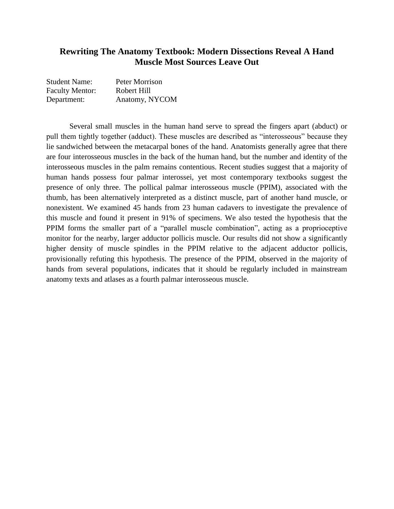#### **Rewriting The Anatomy Textbook: Modern Dissections Reveal A Hand Muscle Most Sources Leave Out**

| <b>Student Name:</b>   | Peter Morrison |
|------------------------|----------------|
| <b>Faculty Mentor:</b> | Robert Hill    |
| Department:            | Anatomy, NYCOM |

Several small muscles in the human hand serve to spread the fingers apart (abduct) or pull them tightly together (adduct). These muscles are described as "interosseous" because they lie sandwiched between the metacarpal bones of the hand. Anatomists generally agree that there are four interosseous muscles in the back of the human hand, but the number and identity of the interosseous muscles in the palm remains contentious. Recent studies suggest that a majority of human hands possess four palmar interossei, yet most contemporary textbooks suggest the presence of only three. The pollical palmar interosseous muscle (PPIM), associated with the thumb, has been alternatively interpreted as a distinct muscle, part of another hand muscle, or nonexistent. We examined 45 hands from 23 human cadavers to investigate the prevalence of this muscle and found it present in 91% of specimens. We also tested the hypothesis that the PPIM forms the smaller part of a "parallel muscle combination", acting as a proprioceptive monitor for the nearby, larger adductor pollicis muscle. Our results did not show a significantly higher density of muscle spindles in the PPIM relative to the adjacent adductor pollicis, provisionally refuting this hypothesis. The presence of the PPIM, observed in the majority of hands from several populations, indicates that it should be regularly included in mainstream anatomy texts and atlases as a fourth palmar interosseous muscle.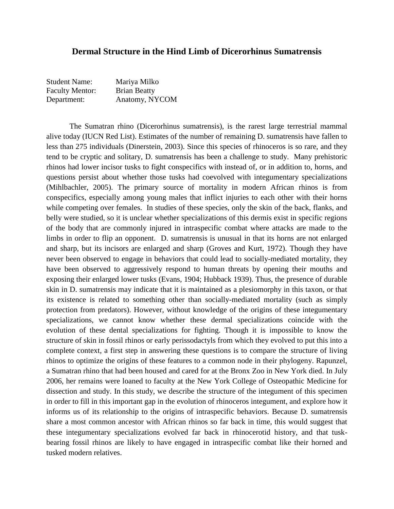#### **Dermal Structure in the Hind Limb of Dicerorhinus Sumatrensis**

| <b>Student Name:</b>   | Mariya Milko        |
|------------------------|---------------------|
| <b>Faculty Mentor:</b> | <b>Brian Beatty</b> |
| Department:            | Anatomy, NYCOM      |

The Sumatran rhino (Dicerorhinus sumatrensis), is the rarest large terrestrial mammal alive today (IUCN Red List). Estimates of the number of remaining D. sumatrensis have fallen to less than 275 individuals (Dinerstein, 2003). Since this species of rhinoceros is so rare, and they tend to be cryptic and solitary, D. sumatrensis has been a challenge to study. Many prehistoric rhinos had lower incisor tusks to fight conspecifics with instead of, or in addition to, horns, and questions persist about whether those tusks had coevolved with integumentary specializations (Mihlbachler, 2005). The primary source of mortality in modern African rhinos is from conspecifics, especially among young males that inflict injuries to each other with their horns while competing over females. In studies of these species, only the skin of the back, flanks, and belly were studied, so it is unclear whether specializations of this dermis exist in specific regions of the body that are commonly injured in intraspecific combat where attacks are made to the limbs in order to flip an opponent. D. sumatrensis is unusual in that its horns are not enlarged and sharp, but its incisors are enlarged and sharp (Groves and Kurt, 1972). Though they have never been observed to engage in behaviors that could lead to socially-mediated mortality, they have been observed to aggressively respond to human threats by opening their mouths and exposing their enlarged lower tusks (Evans, 1904; Hubback 1939). Thus, the presence of durable skin in D. sumatrensis may indicate that it is maintained as a plesiomorphy in this taxon, or that its existence is related to something other than socially-mediated mortality (such as simply protection from predators). However, without knowledge of the origins of these integumentary specializations, we cannot know whether these dermal specializations coincide with the evolution of these dental specializations for fighting. Though it is impossible to know the structure of skin in fossil rhinos or early perissodactyls from which they evolved to put this into a complete context, a first step in answering these questions is to compare the structure of living rhinos to optimize the origins of these features to a common node in their phylogeny. Rapunzel, a Sumatran rhino that had been housed and cared for at the Bronx Zoo in New York died. In July 2006, her remains were loaned to faculty at the New York College of Osteopathic Medicine for dissection and study. In this study, we describe the structure of the integument of this specimen in order to fill in this important gap in the evolution of rhinoceros integument, and explore how it informs us of its relationship to the origins of intraspecific behaviors. Because D. sumatrensis share a most common ancestor with African rhinos so far back in time, this would suggest that these integumentary specializations evolved far back in rhinocerotid history, and that tuskbearing fossil rhinos are likely to have engaged in intraspecific combat like their horned and tusked modern relatives.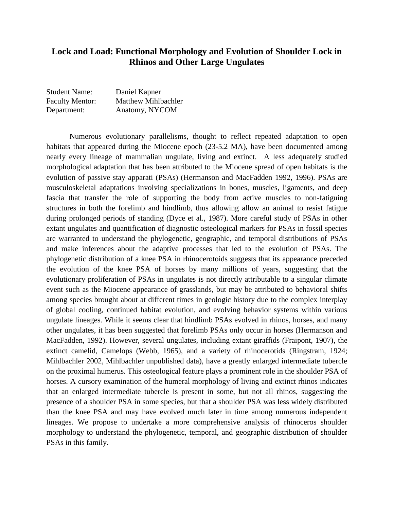#### **Lock and Load: Functional Morphology and Evolution of Shoulder Lock in Rhinos and Other Large Ungulates**

| <b>Student Name:</b>   | Daniel Kapner              |
|------------------------|----------------------------|
| <b>Faculty Mentor:</b> | <b>Matthew Mihlbachler</b> |
| Department:            | Anatomy, NYCOM             |

Numerous evolutionary parallelisms, thought to reflect repeated adaptation to open habitats that appeared during the Miocene epoch (23-5.2 MA), have been documented among nearly every lineage of mammalian ungulate, living and extinct. A less adequately studied morphological adaptation that has been attributed to the Miocene spread of open habitats is the evolution of passive stay apparati (PSAs) (Hermanson and MacFadden 1992, 1996). PSAs are musculoskeletal adaptations involving specializations in bones, muscles, ligaments, and deep fascia that transfer the role of supporting the body from active muscles to non-fatiguing structures in both the forelimb and hindlimb, thus allowing allow an animal to resist fatigue during prolonged periods of standing (Dyce et al., 1987). More careful study of PSAs in other extant ungulates and quantification of diagnostic osteological markers for PSAs in fossil species are warranted to understand the phylogenetic, geographic, and temporal distributions of PSAs and make inferences about the adaptive processes that led to the evolution of PSAs. The phylogenetic distribution of a knee PSA in rhinocerotoids suggests that its appearance preceded the evolution of the knee PSA of horses by many millions of years, suggesting that the evolutionary proliferation of PSAs in ungulates is not directly attributable to a singular climate event such as the Miocene appearance of grasslands, but may be attributed to behavioral shifts among species brought about at different times in geologic history due to the complex interplay of global cooling, continued habitat evolution, and evolving behavior systems within various ungulate lineages. While it seems clear that hindlimb PSAs evolved in rhinos, horses, and many other ungulates, it has been suggested that forelimb PSAs only occur in horses (Hermanson and MacFadden, 1992). However, several ungulates, including extant giraffids (Fraipont, 1907), the extinct camelid, Camelops (Webb, 1965), and a variety of rhinocerotids (Ringstram, 1924; Mihlbachler 2002, Mihlbachler unpublished data), have a greatly enlarged intermediate tubercle on the proximal humerus. This osteological feature plays a prominent role in the shoulder PSA of horses. A cursory examination of the humeral morphology of living and extinct rhinos indicates that an enlarged intermediate tubercle is present in some, but not all rhinos, suggesting the presence of a shoulder PSA in some species, but that a shoulder PSA was less widely distributed than the knee PSA and may have evolved much later in time among numerous independent lineages. We propose to undertake a more comprehensive analysis of rhinoceros shoulder morphology to understand the phylogenetic, temporal, and geographic distribution of shoulder PSAs in this family.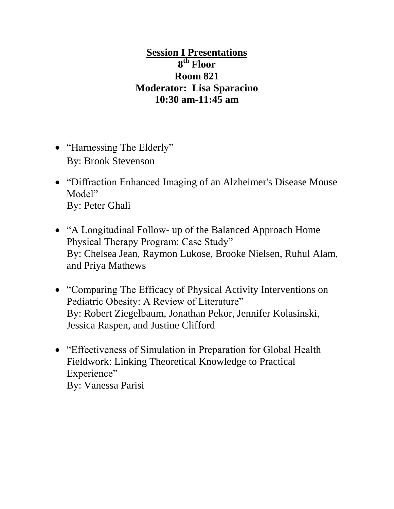# **Session I Presentations 8 th Floor Room 821 Moderator: Lisa Sparacino 10:30 am-11:45 am**

- "Harnessing The Elderly" By: Brook Stevenson
- "Diffraction Enhanced Imaging of an Alzheimer's Disease Mouse Model" By: Peter Ghali
- "A Longitudinal Follow- up of the Balanced Approach Home" Physical Therapy Program: Case Study" By: Chelsea Jean, Raymon Lukose, Brooke Nielsen, Ruhul Alam, and Priya Mathews
- "Comparing The Efficacy of Physical Activity Interventions on Pediatric Obesity: A Review of Literature" By: Robert Ziegelbaum, Jonathan Pekor, Jennifer Kolasinski, Jessica Raspen, and Justine Clifford
- "Effectiveness of Simulation in Preparation for Global Health Fieldwork: Linking Theoretical Knowledge to Practical Experience" By: Vanessa Parisi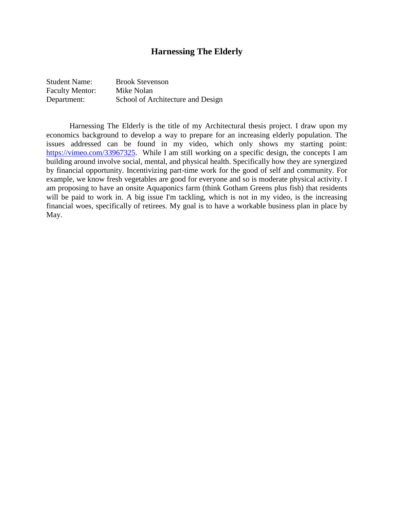#### **Harnessing The Elderly**

| <b>Student Name:</b>   | <b>Brook Stevenson</b>            |
|------------------------|-----------------------------------|
| <b>Faculty Mentor:</b> | Mike Nolan                        |
| Department:            | School of Architecture and Design |

Harnessing The Elderly is the title of my Architectural thesis project. I draw upon my economics background to develop a way to prepare for an increasing elderly population. The issues addressed can be found in my video, which only shows my starting point: [https://vimeo.com/33967325.](https://vimeo.com/33967325) While I am still working on a specific design, the concepts I am building around involve social, mental, and physical health. Specifically how they are synergized by financial opportunity. Incentivizing part-time work for the good of self and community. For example, we know fresh vegetables are good for everyone and so is moderate physical activity. I am proposing to have an onsite Aquaponics farm (think Gotham Greens plus fish) that residents will be paid to work in. A big issue I'm tackling, which is not in my video, is the increasing financial woes, specifically of retirees. My goal is to have a workable business plan in place by May.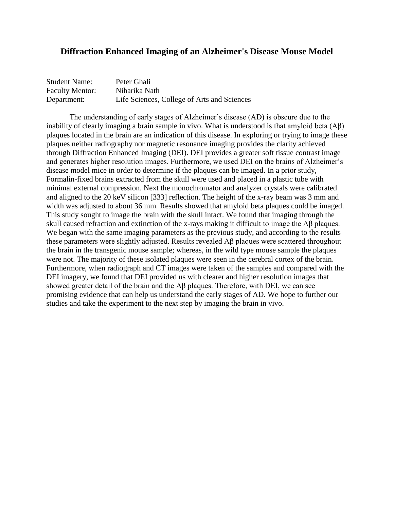#### **Diffraction Enhanced Imaging of an Alzheimer's Disease Mouse Model**

| <b>Student Name:</b>   | Peter Ghali                                 |
|------------------------|---------------------------------------------|
| <b>Faculty Mentor:</b> | Niharika Nath                               |
| Department:            | Life Sciences, College of Arts and Sciences |

The understanding of early stages of Alzheimer's disease (AD) is obscure due to the inability of clearly imaging a brain sample in vivo. What is understood is that amyloid beta  $(A\beta)$ plaques located in the brain are an indication of this disease. In exploring or trying to image these plaques neither radiography nor magnetic resonance imaging provides the clarity achieved through Diffraction Enhanced Imaging (DEI). DEI provides a greater soft tissue contrast image and generates higher resolution images. Furthermore, we used DEI on the brains of Alzheimer's disease model mice in order to determine if the plaques can be imaged. In a prior study, Formalin-fixed brains extracted from the skull were used and placed in a plastic tube with minimal external compression. Next the monochromator and analyzer crystals were calibrated and aligned to the 20 keV silicon [333] reflection. The height of the x-ray beam was 3 mm and width was adjusted to about 36 mm. Results showed that amyloid beta plaques could be imaged. This study sought to image the brain with the skull intact. We found that imaging through the skull caused refraction and extinction of the x-rays making it difficult to image the Aβ plaques. We began with the same imaging parameters as the previous study, and according to the results these parameters were slightly adjusted. Results revealed Aβ plaques were scattered throughout the brain in the transgenic mouse sample; whereas, in the wild type mouse sample the plaques were not. The majority of these isolated plaques were seen in the cerebral cortex of the brain. Furthermore, when radiograph and CT images were taken of the samples and compared with the DEI imagery, we found that DEI provided us with clearer and higher resolution images that showed greater detail of the brain and the Aβ plaques. Therefore, with DEI, we can see promising evidence that can help us understand the early stages of AD. We hope to further our studies and take the experiment to the next step by imaging the brain in vivo.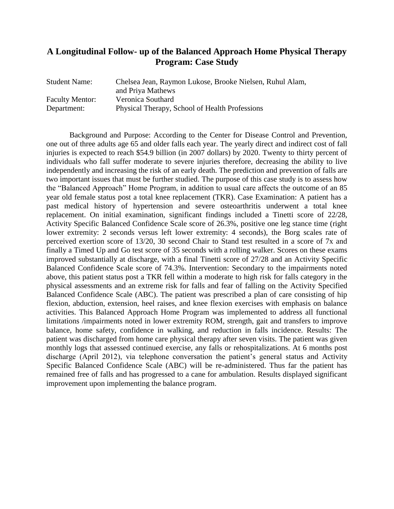#### **A Longitudinal Follow- up of the Balanced Approach Home Physical Therapy Program: Case Study**

| <b>Student Name:</b>   | Chelsea Jean, Raymon Lukose, Brooke Nielsen, Ruhul Alam, |
|------------------------|----------------------------------------------------------|
|                        | and Priya Mathews                                        |
| <b>Faculty Mentor:</b> | Veronica Southard                                        |
| Department:            | Physical Therapy, School of Health Professions           |

Background and Purpose: According to the Center for Disease Control and Prevention, one out of three adults age 65 and older falls each year. The yearly direct and indirect cost of fall injuries is expected to reach \$54.9 billion (in 2007 dollars) by 2020. Twenty to thirty percent of individuals who fall suffer moderate to severe injuries therefore, decreasing the ability to live independently and increasing the risk of an early death. The prediction and prevention of falls are two important issues that must be further studied. The purpose of this case study is to assess how the "Balanced Approach" Home Program, in addition to usual care affects the outcome of an 85 year old female status post a total knee replacement (TKR). Case Examination: A patient has a past medical history of hypertension and severe osteoarthritis underwent a total knee replacement. On initial examination, significant findings included a Tinetti score of 22/28, Activity Specific Balanced Confidence Scale score of 26.3%, positive one leg stance time (right lower extremity: 2 seconds versus left lower extremity: 4 seconds), the Borg scales rate of perceived exertion score of 13/20, 30 second Chair to Stand test resulted in a score of 7x and finally a Timed Up and Go test score of 35 seconds with a rolling walker. Scores on these exams improved substantially at discharge, with a final Tinetti score of 27/28 and an Activity Specific Balanced Confidence Scale score of 74.3%. Intervention: Secondary to the impairments noted above, this patient status post a TKR fell within a moderate to high risk for falls category in the physical assessments and an extreme risk for falls and fear of falling on the Activity Specified Balanced Confidence Scale (ABC). The patient was prescribed a plan of care consisting of hip flexion, abduction, extension, heel raises, and knee flexion exercises with emphasis on balance activities. This Balanced Approach Home Program was implemented to address all functional limitations /impairments noted in lower extremity ROM, strength, gait and transfers to improve balance, home safety, confidence in walking, and reduction in falls incidence. Results: The patient was discharged from home care physical therapy after seven visits. The patient was given monthly logs that assessed continued exercise, any falls or rehospitalizations. At 6 months post discharge (April 2012), via telephone conversation the patient's general status and Activity Specific Balanced Confidence Scale (ABC) will be re-administered. Thus far the patient has remained free of falls and has progressed to a cane for ambulation. Results displayed significant improvement upon implementing the balance program.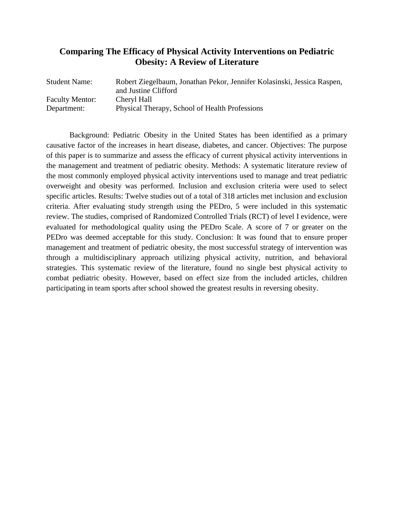#### **Comparing The Efficacy of Physical Activity Interventions on Pediatric Obesity: A Review of Literature**

| <b>Student Name:</b>   | Robert Ziegelbaum, Jonathan Pekor, Jennifer Kolasinski, Jessica Raspen,<br>and Justine Clifford |
|------------------------|-------------------------------------------------------------------------------------------------|
| <b>Faculty Mentor:</b> | Cheryl Hall                                                                                     |
| Department:            | Physical Therapy, School of Health Professions                                                  |

Background: Pediatric Obesity in the United States has been identified as a primary causative factor of the increases in heart disease, diabetes, and cancer. Objectives: The purpose of this paper is to summarize and assess the efficacy of current physical activity interventions in the management and treatment of pediatric obesity. Methods: A systematic literature review of the most commonly employed physical activity interventions used to manage and treat pediatric overweight and obesity was performed. Inclusion and exclusion criteria were used to select specific articles. Results: Twelve studies out of a total of 318 articles met inclusion and exclusion criteria. After evaluating study strength using the PEDro, 5 were included in this systematic review. The studies, comprised of Randomized Controlled Trials (RCT) of level I evidence, were evaluated for methodological quality using the PEDro Scale. A score of 7 or greater on the PEDro was deemed acceptable for this study. Conclusion: It was found that to ensure proper management and treatment of pediatric obesity, the most successful strategy of intervention was through a multidisciplinary approach utilizing physical activity, nutrition, and behavioral strategies. This systematic review of the literature, found no single best physical activity to combat pediatric obesity. However, based on effect size from the included articles, children participating in team sports after school showed the greatest results in reversing obesity.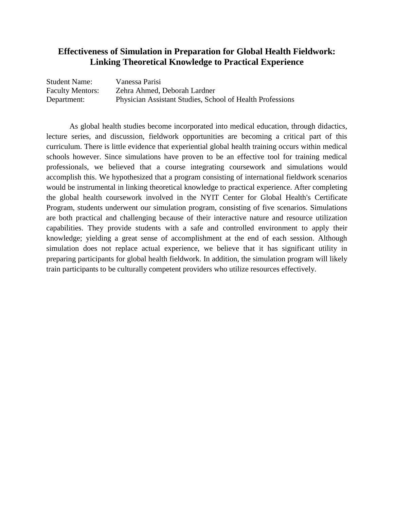#### **Effectiveness of Simulation in Preparation for Global Health Fieldwork: Linking Theoretical Knowledge to Practical Experience**

| <b>Student Name:</b>    | Vanessa Parisi                                            |
|-------------------------|-----------------------------------------------------------|
| <b>Faculty Mentors:</b> | Zehra Ahmed, Deborah Lardner                              |
| Department:             | Physician Assistant Studies, School of Health Professions |

As global health studies become incorporated into medical education, through didactics, lecture series, and discussion, fieldwork opportunities are becoming a critical part of this curriculum. There is little evidence that experiential global health training occurs within medical schools however. Since simulations have proven to be an effective tool for training medical professionals, we believed that a course integrating coursework and simulations would accomplish this. We hypothesized that a program consisting of international fieldwork scenarios would be instrumental in linking theoretical knowledge to practical experience. After completing the global health coursework involved in the NYIT Center for Global Health's Certificate Program, students underwent our simulation program, consisting of five scenarios. Simulations are both practical and challenging because of their interactive nature and resource utilization capabilities. They provide students with a safe and controlled environment to apply their knowledge; yielding a great sense of accomplishment at the end of each session. Although simulation does not replace actual experience, we believe that it has significant utility in preparing participants for global health fieldwork. In addition, the simulation program will likely train participants to be culturally competent providers who utilize resources effectively.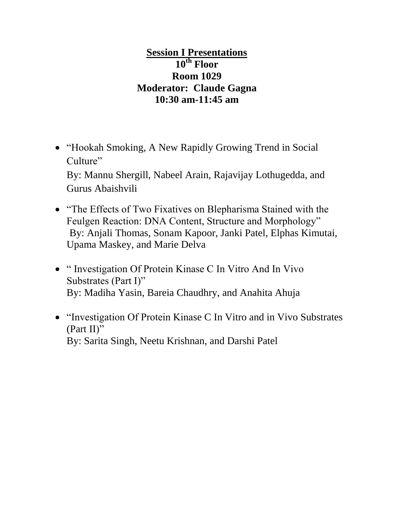# **Session I Presentations 10th Floor Room 1029 Moderator: Claude Gagna 10:30 am-11:45 am**

• "Hookah Smoking, A New Rapidly Growing Trend in Social Culture"

By: Mannu Shergill, Nabeel Arain, Rajavijay Lothugedda, and Gurus Abaishvili

- "The Effects of Two Fixatives on Blepharisma Stained with the Feulgen Reaction: DNA Content, Structure and Morphology" By: Anjali Thomas, Sonam Kapoor, Janki Patel, Elphas Kimutai, Upama Maskey, and Marie Delva
- "Investigation Of Protein Kinase C In Vitro And In Vivo Substrates (Part I)" By: Madiha Yasin, Bareia Chaudhry, and Anahita Ahuja
- "Investigation Of Protein Kinase C In Vitro and in Vivo Substrates (Part II)" By: Sarita Singh, Neetu Krishnan, and Darshi Patel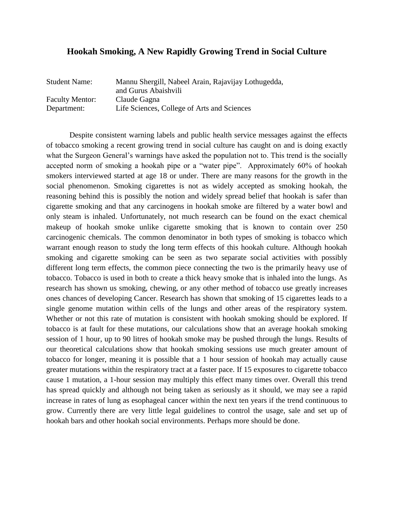#### **Hookah Smoking, A New Rapidly Growing Trend in Social Culture**

| <b>Student Name:</b>   | Mannu Shergill, Nabeel Arain, Rajavijay Lothugedda,<br>and Gurus Abaishvili |
|------------------------|-----------------------------------------------------------------------------|
| <b>Faculty Mentor:</b> | Claude Gagna                                                                |
| Department:            | Life Sciences, College of Arts and Sciences                                 |

Despite consistent warning labels and public health service messages against the effects of tobacco smoking a recent growing trend in social culture has caught on and is doing exactly what the Surgeon General's warnings have asked the population not to. This trend is the socially accepted norm of smoking a hookah pipe or a "water pipe". Approximately 60% of hookah smokers interviewed started at age 18 or under. There are many reasons for the growth in the social phenomenon. Smoking cigarettes is not as widely accepted as smoking hookah, the reasoning behind this is possibly the notion and widely spread belief that hookah is safer than cigarette smoking and that any carcinogens in hookah smoke are filtered by a water bowl and only steam is inhaled. Unfortunately, not much research can be found on the exact chemical makeup of hookah smoke unlike cigarette smoking that is known to contain over 250 carcinogenic chemicals. The common denominator in both types of smoking is tobacco which warrant enough reason to study the long term effects of this hookah culture. Although hookah smoking and cigarette smoking can be seen as two separate social activities with possibly different long term effects, the common piece connecting the two is the primarily heavy use of tobacco. Tobacco is used in both to create a thick heavy smoke that is inhaled into the lungs. As research has shown us smoking, chewing, or any other method of tobacco use greatly increases ones chances of developing Cancer. Research has shown that smoking of 15 cigarettes leads to a single genome mutation within cells of the lungs and other areas of the respiratory system. Whether or not this rate of mutation is consistent with hookah smoking should be explored. If tobacco is at fault for these mutations, our calculations show that an average hookah smoking session of 1 hour, up to 90 litres of hookah smoke may be pushed through the lungs. Results of our theoretical calculations show that hookah smoking sessions use much greater amount of tobacco for longer, meaning it is possible that a 1 hour session of hookah may actually cause greater mutations within the respiratory tract at a faster pace. If 15 exposures to cigarette tobacco cause 1 mutation, a 1-hour session may multiply this effect many times over. Overall this trend has spread quickly and although not being taken as seriously as it should, we may see a rapid increase in rates of lung as esophageal cancer within the next ten years if the trend continuous to grow. Currently there are very little legal guidelines to control the usage, sale and set up of hookah bars and other hookah social environments. Perhaps more should be done.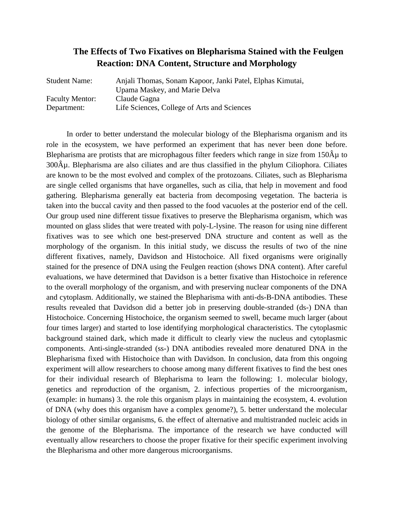#### **The Effects of Two Fixatives on Blepharisma Stained with the Feulgen Reaction: DNA Content, Structure and Morphology**

| <b>Student Name:</b>   | Anjali Thomas, Sonam Kapoor, Janki Patel, Elphas Kimutai, |
|------------------------|-----------------------------------------------------------|
|                        | Upama Maskey, and Marie Delva                             |
| <b>Faculty Mentor:</b> | Claude Gagna                                              |
| Department:            | Life Sciences, College of Arts and Sciences               |

In order to better understand the molecular biology of the Blepharisma organism and its role in the ecosystem, we have performed an experiment that has never been done before. Blepharisma are protists that are microphagous filter feeders which range in size from  $150\hat{A}\mu$  to  $300\text{\AA}\mu$ . Blepharisma are also ciliates and are thus classified in the phylum Ciliophora. Ciliates are known to be the most evolved and complex of the protozoans. Ciliates, such as Blepharisma are single celled organisms that have organelles, such as cilia, that help in movement and food gathering. Blepharisma generally eat bacteria from decomposing vegetation. The bacteria is taken into the buccal cavity and then passed to the food vacuoles at the posterior end of the cell. Our group used nine different tissue fixatives to preserve the Blepharisma organism, which was mounted on glass slides that were treated with poly-L-lysine. The reason for using nine different fixatives was to see which one best-preserved DNA structure and content as well as the morphology of the organism. In this initial study, we discuss the results of two of the nine different fixatives, namely, Davidson and Histochoice. All fixed organisms were originally stained for the presence of DNA using the Feulgen reaction (shows DNA content). After careful evaluations, we have determined that Davidson is a better fixative than Histochoice in reference to the overall morphology of the organism, and with preserving nuclear components of the DNA and cytoplasm. Additionally, we stained the Blepharisma with anti-ds-B-DNA antibodies. These results revealed that Davidson did a better job in preserving double-stranded (ds-) DNA than Histochoice. Concerning Histochoice, the organism seemed to swell, became much larger (about four times larger) and started to lose identifying morphological characteristics. The cytoplasmic background stained dark, which made it difficult to clearly view the nucleus and cytoplasmic components. Anti-single-stranded (ss-) DNA antibodies revealed more denatured DNA in the Blepharisma fixed with Histochoice than with Davidson. In conclusion, data from this ongoing experiment will allow researchers to choose among many different fixatives to find the best ones for their individual research of Blepharisma to learn the following: 1. molecular biology, genetics and reproduction of the organism, 2. infectious properties of the microorganism, (example: in humans) 3. the role this organism plays in maintaining the ecosystem, 4. evolution of DNA (why does this organism have a complex genome?), 5. better understand the molecular biology of other similar organisms, 6. the effect of alternative and multistranded nucleic acids in the genome of the Blepharisma. The importance of the research we have conducted will eventually allow researchers to choose the proper fixative for their specific experiment involving the Blepharisma and other more dangerous microorganisms.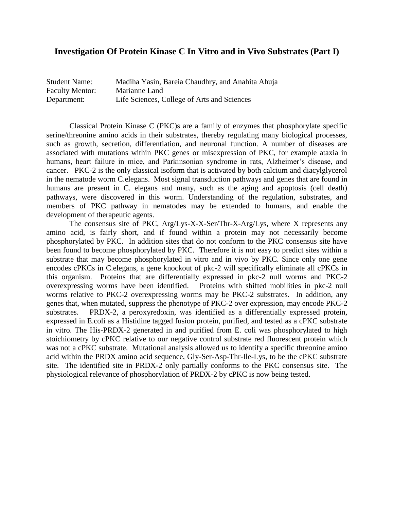#### **Investigation Of Protein Kinase C In Vitro and in Vivo Substrates (Part I)**

| <b>Student Name:</b>   | Madiha Yasin, Bareia Chaudhry, and Anahita Ahuja |
|------------------------|--------------------------------------------------|
| <b>Faculty Mentor:</b> | Marianne Land                                    |
| Department:            | Life Sciences, College of Arts and Sciences      |

Classical Protein Kinase C (PKC)s are a family of enzymes that phosphorylate specific serine/threonine amino acids in their substrates, thereby regulating many biological processes, such as growth, secretion, differentiation, and neuronal function. A number of diseases are associated with mutations within PKC genes or misexpression of PKC, for example ataxia in humans, heart failure in mice, and Parkinsonian syndrome in rats, Alzheimer's disease, and cancer. PKC-2 is the only classical isoform that is activated by both calcium and diacylglycerol in the nematode worm C.elegans. Most signal transduction pathways and genes that are found in humans are present in C. elegans and many, such as the aging and apoptosis (cell death) pathways, were discovered in this worm. Understanding of the regulation, substrates, and members of PKC pathway in nematodes may be extended to humans, and enable the development of therapeutic agents.

The consensus site of PKC, Arg/Lys-X-X-Ser/Thr-X-Arg/Lys, where X represents any amino acid, is fairly short, and if found within a protein may not necessarily become phosphorylated by PKC. In addition sites that do not conform to the PKC consensus site have been found to become phosphorylated by PKC. Therefore it is not easy to predict sites within a substrate that may become phosphorylated in vitro and in vivo by PKC. Since only one gene encodes cPKCs in C.elegans, a gene knockout of pkc-2 will specifically eliminate all cPKCs in this organism. Proteins that are differentially expressed in pkc-2 null worms and PKC-2 overexpressing worms have been identified. Proteins with shifted mobilities in pkc-2 null worms relative to PKC-2 overexpressing worms may be PKC-2 substrates. In addition, any genes that, when mutated, suppress the phenotype of PKC-2 over expression, may encode PKC-2 substrates. PRDX-2, a peroxyredoxin, was identified as a differentially expressed protein, expressed in E.coli as a Histidine tagged fusion protein, purified, and tested as a cPKC substrate in vitro. The His-PRDX-2 generated in and purified from E. coli was phosphorylated to high stoichiometry by cPKC relative to our negative control substrate red fluorescent protein which was not a cPKC substrate. Mutational analysis allowed us to identify a specific threonine amino acid within the PRDX amino acid sequence, Gly-Ser-Asp-Thr-Ile-Lys, to be the cPKC substrate site. The identified site in PRDX-2 only partially conforms to the PKC consensus site. The physiological relevance of phosphorylation of PRDX-2 by cPKC is now being tested.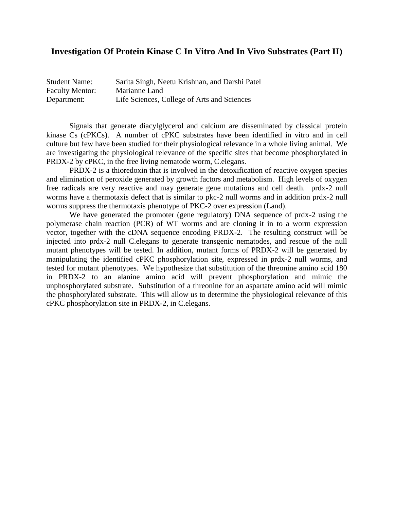#### **Investigation Of Protein Kinase C In Vitro And In Vivo Substrates (Part II)**

| <b>Student Name:</b>   | Sarita Singh, Neetu Krishnan, and Darshi Patel |
|------------------------|------------------------------------------------|
| <b>Faculty Mentor:</b> | Marianne Land                                  |
| Department:            | Life Sciences, College of Arts and Sciences    |

Signals that generate diacylglycerol and calcium are disseminated by classical protein kinase Cs (cPKCs). A number of cPKC substrates have been identified in vitro and in cell culture but few have been studied for their physiological relevance in a whole living animal. We are investigating the physiological relevance of the specific sites that become phosphorylated in PRDX-2 by cPKC, in the free living nematode worm, C.elegans.

PRDX-2 is a thioredoxin that is involved in the detoxification of reactive oxygen species and elimination of peroxide generated by growth factors and metabolism. High levels of oxygen free radicals are very reactive and may generate gene mutations and cell death. prdx-2 null worms have a thermotaxis defect that is similar to pkc-2 null worms and in addition prdx-2 null worms suppress the thermotaxis phenotype of PKC-2 over expression (Land).

We have generated the promoter (gene regulatory) DNA sequence of prdx-2 using the polymerase chain reaction (PCR) of WT worms and are cloning it in to a worm expression vector, together with the cDNA sequence encoding PRDX-2. The resulting construct will be injected into prdx-2 null C.elegans to generate transgenic nematodes, and rescue of the null mutant phenotypes will be tested. In addition, mutant forms of PRDX-2 will be generated by manipulating the identified cPKC phosphorylation site, expressed in prdx-2 null worms, and tested for mutant phenotypes. We hypothesize that substitution of the threonine amino acid 180 in PRDX-2 to an alanine amino acid will prevent phosphorylation and mimic the unphosphorylated substrate. Substitution of a threonine for an aspartate amino acid will mimic the phosphorylated substrate. This will allow us to determine the physiological relevance of this cPKC phosphorylation site in PRDX-2, in C.elegans.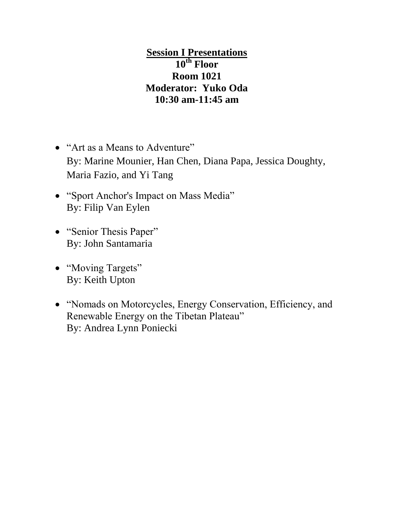**Session I Presentations 10th Floor Room 1021 Moderator: Yuko Oda 10:30 am-11:45 am**

- "Art as a Means to Adventure" By: Marine Mounier, Han Chen, Diana Papa, Jessica Doughty, Maria Fazio, and Yi Tang
- "Sport Anchor's Impact on Mass Media" By: Filip Van Eylen
- "Senior Thesis Paper" By: John Santamaria
- "Moving Targets" By: Keith Upton
- "Nomads on Motorcycles, Energy Conservation, Efficiency, and Renewable Energy on the Tibetan Plateau" By: Andrea Lynn Poniecki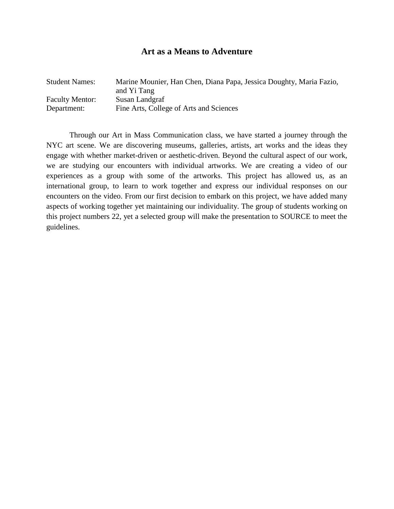#### **Art as a Means to Adventure**

| <b>Student Names:</b>  | Marine Mounier, Han Chen, Diana Papa, Jessica Doughty, Maria Fazio, |
|------------------------|---------------------------------------------------------------------|
|                        | and Yi Tang                                                         |
| <b>Faculty Mentor:</b> | Susan Landgraf                                                      |
| Department:            | Fine Arts, College of Arts and Sciences                             |

Through our Art in Mass Communication class, we have started a journey through the NYC art scene. We are discovering museums, galleries, artists, art works and the ideas they engage with whether market-driven or aesthetic-driven. Beyond the cultural aspect of our work, we are studying our encounters with individual artworks. We are creating a video of our experiences as a group with some of the artworks. This project has allowed us, as an international group, to learn to work together and express our individual responses on our encounters on the video. From our first decision to embark on this project, we have added many aspects of working together yet maintaining our individuality. The group of students working on this project numbers 22, yet a selected group will make the presentation to SOURCE to meet the guidelines.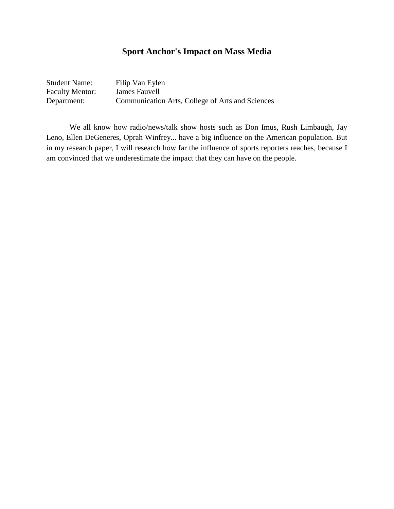### **Sport Anchor's Impact on Mass Media**

| <b>Student Name:</b>   | Filip Van Eylen                                  |
|------------------------|--------------------------------------------------|
| <b>Faculty Mentor:</b> | James Fauvell                                    |
| Department:            | Communication Arts, College of Arts and Sciences |

We all know how radio/news/talk show hosts such as Don Imus, Rush Limbaugh, Jay Leno, Ellen DeGeneres, Oprah Winfrey... have a big influence on the American population. But in my research paper, I will research how far the influence of sports reporters reaches, because I am convinced that we underestimate the impact that they can have on the people.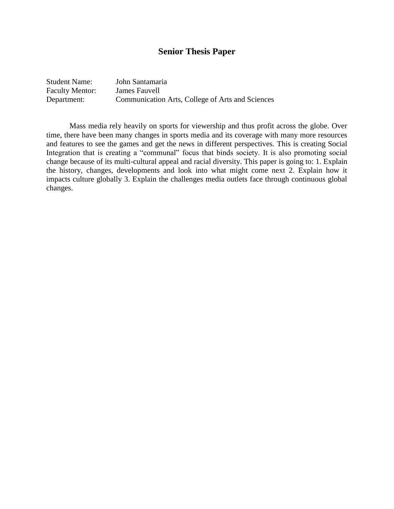#### **Senior Thesis Paper**

| <b>Student Name:</b>   | John Santamaria                                  |
|------------------------|--------------------------------------------------|
| <b>Faculty Mentor:</b> | James Fauvell                                    |
| Department:            | Communication Arts, College of Arts and Sciences |

Mass media rely heavily on sports for viewership and thus profit across the globe. Over time, there have been many changes in sports media and its coverage with many more resources and features to see the games and get the news in different perspectives. This is creating Social Integration that is creating a "communal" focus that binds society. It is also promoting social change because of its multi-cultural appeal and racial diversity. This paper is going to: 1. Explain the history, changes, developments and look into what might come next 2. Explain how it impacts culture globally 3. Explain the challenges media outlets face through continuous global changes.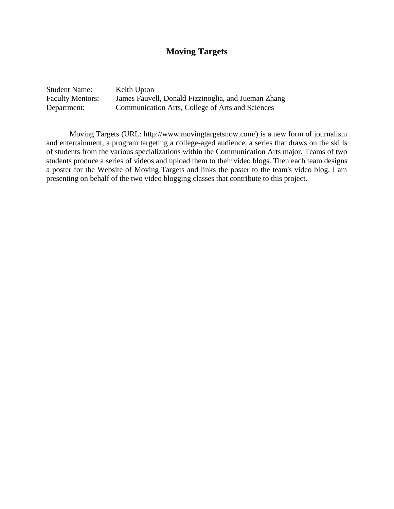#### **Moving Targets**

Student Name: Keith Upton Faculty Mentors: James Fauvell, Donald Fizzinoglia, and Jueman Zhang Department: Communication Arts, College of Arts and Sciences

Moving Targets (URL: http://www.movingtargetsnow.com/) is a new form of journalism and entertainment, a program targeting a college-aged audience, a series that draws on the skills of students from the various specializations within the Communication Arts major. Teams of two students produce a series of videos and upload them to their video blogs. Then each team designs a poster for the Website of Moving Targets and links the poster to the team's video blog. I am presenting on behalf of the two video blogging classes that contribute to this project.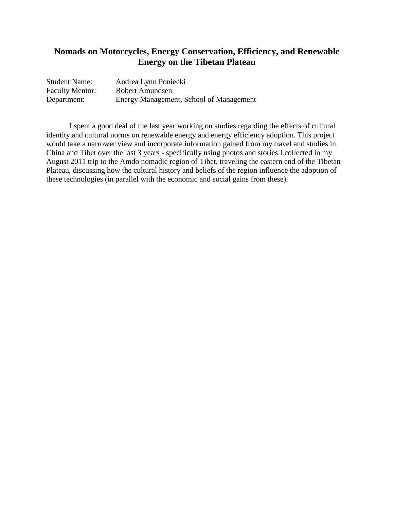#### **Nomads on Motorcycles, Energy Conservation, Efficiency, and Renewable Energy on the Tibetan Plateau**

| <b>Student Name:</b>   | Andrea Lynn Poniecki                    |
|------------------------|-----------------------------------------|
| <b>Faculty Mentor:</b> | Robert Amundsen                         |
| Department:            | Energy Management, School of Management |

I spent a good deal of the last year working on studies regarding the effects of cultural identity and cultural norms on renewable energy and energy efficiency adoption. This project would take a narrower view and incorporate information gained from my travel and studies in China and Tibet over the last 3 years - specifically using photos and stories I collected in my August 2011 trip to the Amdo nomadic region of Tibet, traveling the eastern end of the Tibetan Plateau, discussing how the cultural history and beliefs of the region influence the adoption of these technologies (in parallel with the economic and social gains from these).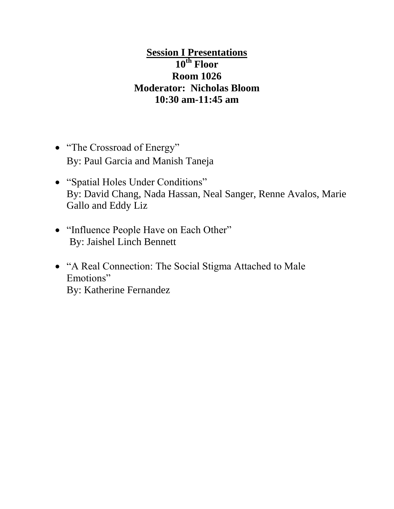# **Session I Presentations 10th Floor Room 1026 Moderator: Nicholas Bloom 10:30 am-11:45 am**

- "The Crossroad of Energy" By: Paul Garcia and Manish Taneja
- "Spatial Holes Under Conditions" By: David Chang, Nada Hassan, Neal Sanger, Renne Avalos, Marie Gallo and Eddy Liz
- "Influence People Have on Each Other" By: Jaishel Linch Bennett
- "A Real Connection: The Social Stigma Attached to Male Emotions" By: Katherine Fernandez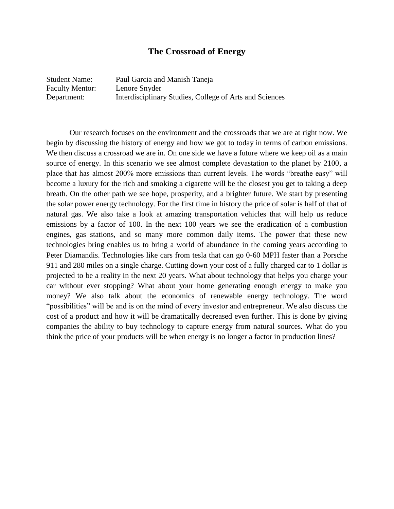#### **The Crossroad of Energy**

Student Name: Paul Garcia and Manish Taneja Faculty Mentor: Lenore Snyder Department: Interdisciplinary Studies, College of Arts and Sciences

Our research focuses on the environment and the crossroads that we are at right now. We begin by discussing the history of energy and how we got to today in terms of carbon emissions. We then discuss a crossroad we are in. On one side we have a future where we keep oil as a main source of energy. In this scenario we see almost complete devastation to the planet by 2100, a place that has almost 200% more emissions than current levels. The words "breathe easy" will become a luxury for the rich and smoking a cigarette will be the closest you get to taking a deep breath. On the other path we see hope, prosperity, and a brighter future. We start by presenting the solar power energy technology. For the first time in history the price of solar is half of that of natural gas. We also take a look at amazing transportation vehicles that will help us reduce emissions by a factor of 100. In the next 100 years we see the eradication of a combustion engines, gas stations, and so many more common daily items. The power that these new technologies bring enables us to bring a world of abundance in the coming years according to Peter Diamandis. Technologies like cars from tesla that can go 0-60 MPH faster than a Porsche 911 and 280 miles on a single charge. Cutting down your cost of a fully charged car to 1 dollar is projected to be a reality in the next 20 years. What about technology that helps you charge your car without ever stopping? What about your home generating enough energy to make you money? We also talk about the economics of renewable energy technology. The word "possibilities" will be and is on the mind of every investor and entrepreneur. We also discuss the cost of a product and how it will be dramatically decreased even further. This is done by giving companies the ability to buy technology to capture energy from natural sources. What do you think the price of your products will be when energy is no longer a factor in production lines?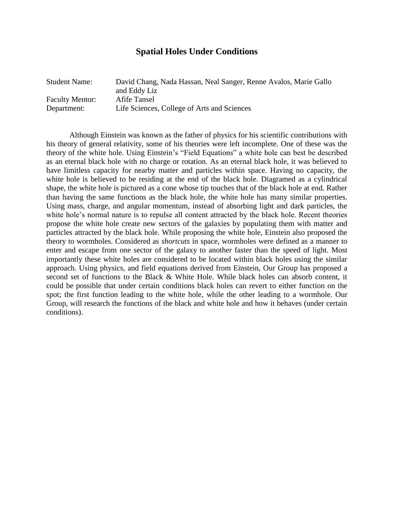#### **Spatial Holes Under Conditions**

| <b>Student Name:</b>   | David Chang, Nada Hassan, Neal Sanger, Renne Avalos, Marie Gallo |
|------------------------|------------------------------------------------------------------|
|                        | and Eddy Liz                                                     |
| <b>Faculty Mentor:</b> | Afife Tansel                                                     |
| Department:            | Life Sciences, College of Arts and Sciences                      |

Although Einstein was known as the father of physics for his scientific contributions with his theory of general relativity, some of his theories were left incomplete. One of these was the theory of the white hole. Using Einstein's "Field Equations" a white hole can best be described as an eternal black hole with no charge or rotation. As an eternal black hole, it was believed to have limitless capacity for nearby matter and particles within space. Having no capacity, the white hole is believed to be residing at the end of the black hole. Diagramed as a cylindrical shape, the white hole is pictured as a cone whose tip touches that of the black hole at end. Rather than having the same functions as the black hole, the white hole has many similar properties. Using mass, charge, and angular momentum, instead of absorbing light and dark particles, the white hole's normal nature is to repulse all content attracted by the black hole. Recent theories propose the white hole create new sectors of the galaxies by populating them with matter and particles attracted by the black hole. While proposing the white hole, Einstein also proposed the theory to wormholes. Considered as *shortcuts* in space, wormholes were defined as a manner to enter and escape from one sector of the galaxy to another faster than the speed of light. Most importantly these white holes are considered to be located within black holes using the similar approach. Using physics, and field equations derived from Einstein, Our Group has proposed a second set of functions to the Black & White Hole. While black holes can absorb content, it could be possible that under certain conditions black holes can revert to either function on the spot; the first function leading to the white hole, while the other leading to a wormhole. Our Group, will research the functions of the black and white hole and how it behaves (under certain conditions).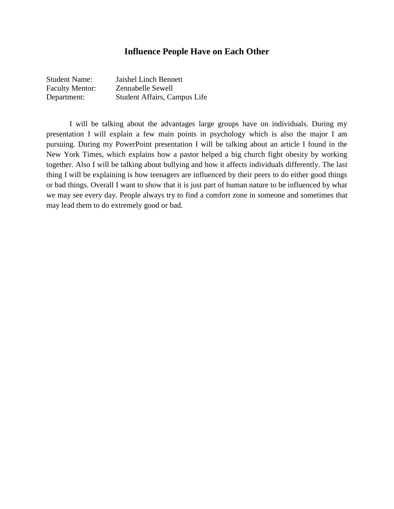#### **Influence People Have on Each Other**

| <b>Student Name:</b>   | Jaishel Linch Bennett        |
|------------------------|------------------------------|
| <b>Faculty Mentor:</b> | Zennabelle Sewell            |
| Department:            | Student Affairs, Campus Life |

I will be talking about the advantages large groups have on individuals. During my presentation I will explain a few main points in psychology which is also the major I am pursuing. During my PowerPoint presentation I will be talking about an article I found in the New York Times, which explains how a pastor helped a big church fight obesity by working together. Also I will be talking about bullying and how it affects individuals differently. The last thing I will be explaining is how teenagers are influenced by their peers to do either good things or bad things. Overall I want to show that it is just part of human nature to be influenced by what we may see every day. People always try to find a comfort zone in someone and sometimes that may lead them to do extremely good or bad.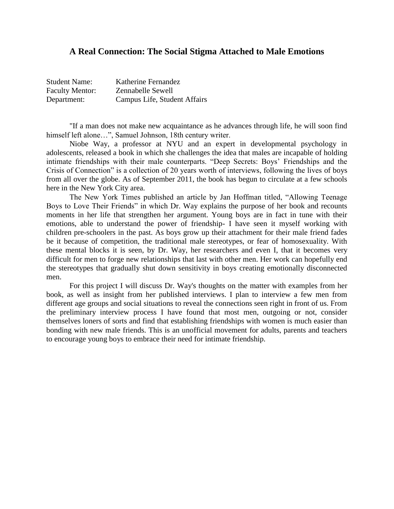#### **A Real Connection: The Social Stigma Attached to Male Emotions**

| <b>Student Name:</b>   | Katherine Fernandez          |
|------------------------|------------------------------|
| <b>Faculty Mentor:</b> | Zennabelle Sewell            |
| Department:            | Campus Life, Student Affairs |

"If a man does not make new acquaintance as he advances through life, he will soon find himself left alone...", Samuel Johnson, 18th century writer.

Niobe Way, a professor at NYU and an expert in developmental psychology in adolescents, released a book in which she challenges the idea that males are incapable of holding intimate friendships with their male counterparts. "Deep Secrets: Boys' Friendships and the Crisis of Connection" is a collection of 20 years worth of interviews, following the lives of boys from all over the globe. As of September 2011, the book has begun to circulate at a few schools here in the New York City area.

The New York Times published an article by Jan Hoffman titled, "Allowing Teenage Boys to Love Their Friends" in which Dr. Way explains the purpose of her book and recounts moments in her life that strengthen her argument. Young boys are in fact in tune with their emotions, able to understand the power of friendship- I have seen it myself working with children pre-schoolers in the past. As boys grow up their attachment for their male friend fades be it because of competition, the traditional male stereotypes, or fear of homosexuality. With these mental blocks it is seen, by Dr. Way, her researchers and even I, that it becomes very difficult for men to forge new relationships that last with other men. Her work can hopefully end the stereotypes that gradually shut down sensitivity in boys creating emotionally disconnected men.

For this project I will discuss Dr. Way's thoughts on the matter with examples from her book, as well as insight from her published interviews. I plan to interview a few men from different age groups and social situations to reveal the connections seen right in front of us. From the preliminary interview process I have found that most men, outgoing or not, consider themselves loners of sorts and find that establishing friendships with women is much easier than bonding with new male friends. This is an unofficial movement for adults, parents and teachers to encourage young boys to embrace their need for intimate friendship.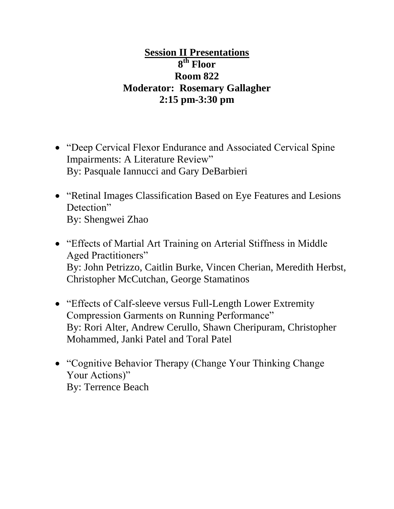# **Session II Presentations 8 th Floor Room 822 Moderator: Rosemary Gallagher 2:15 pm-3:30 pm**

- "Deep Cervical Flexor Endurance and Associated Cervical Spine" Impairments: A Literature Review" By: Pasquale Iannucci and Gary DeBarbieri
- "Retinal Images Classification Based on Eye Features and Lesions Detection" By: Shengwei Zhao
- "Effects of Martial Art Training on Arterial Stiffness in Middle Aged Practitioners" By: John Petrizzo, Caitlin Burke, Vincen Cherian, Meredith Herbst, Christopher McCutchan, George Stamatinos
- "Effects of Calf-sleeve versus Full-Length Lower Extremity Compression Garments on Running Performance" By: Rori Alter, Andrew Cerullo, Shawn Cheripuram, Christopher Mohammed, Janki Patel and Toral Patel
- "Cognitive Behavior Therapy (Change Your Thinking Change Your Actions)" By: Terrence Beach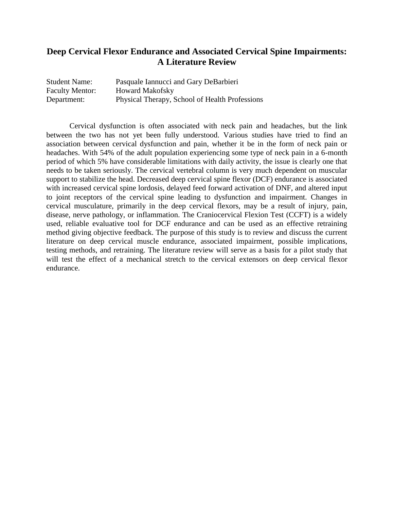## **Deep Cervical Flexor Endurance and Associated Cervical Spine Impairments: A Literature Review**

| <b>Student Name:</b>   | Pasquale Iannucci and Gary DeBarbieri          |
|------------------------|------------------------------------------------|
| <b>Faculty Mentor:</b> | <b>Howard Makofsky</b>                         |
| Department:            | Physical Therapy, School of Health Professions |

Cervical dysfunction is often associated with neck pain and headaches, but the link between the two has not yet been fully understood. Various studies have tried to find an association between cervical dysfunction and pain, whether it be in the form of neck pain or headaches. With 54% of the adult population experiencing some type of neck pain in a 6-month period of which 5% have considerable limitations with daily activity, the issue is clearly one that needs to be taken seriously. The cervical vertebral column is very much dependent on muscular support to stabilize the head. Decreased deep cervical spine flexor (DCF) endurance is associated with increased cervical spine lordosis, delayed feed forward activation of DNF, and altered input to joint receptors of the cervical spine leading to dysfunction and impairment. Changes in cervical musculature, primarily in the deep cervical flexors, may be a result of injury, pain, disease, nerve pathology, or inflammation. The Craniocervical Flexion Test (CCFT) is a widely used, reliable evaluative tool for DCF endurance and can be used as an effective retraining method giving objective feedback. The purpose of this study is to review and discuss the current literature on deep cervical muscle endurance, associated impairment, possible implications, testing methods, and retraining. The literature review will serve as a basis for a pilot study that will test the effect of a mechanical stretch to the cervical extensors on deep cervical flexor endurance.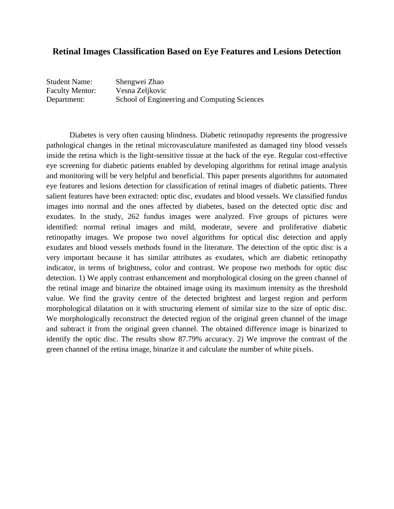#### **Retinal Images Classification Based on Eye Features and Lesions Detection**

Student Name: Shengwei Zhao Faculty Mentor: Vesna Zeljkovic Department: School of Engineering and Computing Sciences

Diabetes is very often causing blindness. Diabetic retinopathy represents the progressive pathological changes in the retinal microvasculature manifested as damaged tiny blood vessels inside the retina which is the light-sensitive tissue at the back of the eye. Regular cost-effective eye screening for diabetic patients enabled by developing algorithms for retinal image analysis and monitoring will be very helpful and beneficial. This paper presents algorithms for automated eye features and lesions detection for classification of retinal images of diabetic patients. Three salient features have been extracted: optic disc, exudates and blood vessels. We classified fundus images into normal and the ones affected by diabetes, based on the detected optic disc and exudates. In the study, 262 fundus images were analyzed. Five groups of pictures were identified: normal retinal images and mild, moderate, severe and proliferative diabetic retinopathy images. We propose two novel algorithms for optical disc detection and apply exudates and blood vessels methods found in the literature. The detection of the optic disc is a very important because it has similar attributes as exudates, which are diabetic retinopathy indicator, in terms of brightness, color and contrast. We propose two methods for optic disc detection. 1) We apply contrast enhancement and morphological closing on the green channel of the retinal image and binarize the obtained image using its maximum intensity as the threshold value. We find the gravity centre of the detected brightest and largest region and perform morphological dilatation on it with structuring element of similar size to the size of optic disc. We morphologically reconstruct the detected region of the original green channel of the image and subtract it from the original green channel. The obtained difference image is binarized to identify the optic disc. The results show 87.79% accuracy. 2) We improve the contrast of the green channel of the retina image, binarize it and calculate the number of white pixels.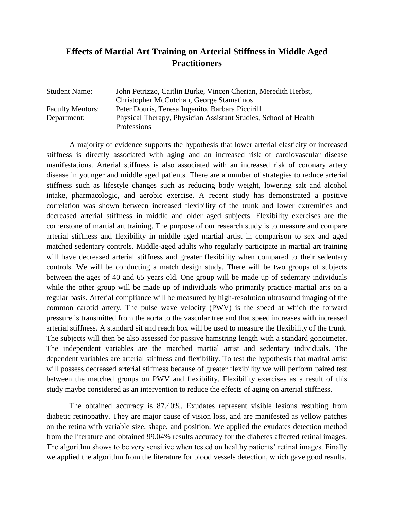## **Effects of Martial Art Training on Arterial Stiffness in Middle Aged Practitioners**

Student Name: John Petrizzo, Caitlin Burke, Vincen Cherian, Meredith Herbst, Christopher McCutchan, George Stamatinos Faculty Mentors: Peter Douris, Teresa Ingenito, Barbara Piccirill Department: Physical Therapy, Physician Assistant Studies, School of Health Professions

A majority of evidence supports the hypothesis that lower arterial elasticity or increased stiffness is directly associated with aging and an increased risk of cardiovascular disease manifestations. Arterial stiffness is also associated with an increased risk of coronary artery disease in younger and middle aged patients. There are a number of strategies to reduce arterial stiffness such as lifestyle changes such as reducing body weight, lowering salt and alcohol intake, pharmacologic, and aerobic exercise. A recent study has demonstrated a positive correlation was shown between increased flexibility of the trunk and lower extremities and decreased arterial stiffness in middle and older aged subjects. Flexibility exercises are the cornerstone of martial art training. The purpose of our research study is to measure and compare arterial stiffness and flexibility in middle aged martial artist in comparison to sex and aged matched sedentary controls. Middle-aged adults who regularly participate in martial art training will have decreased arterial stiffness and greater flexibility when compared to their sedentary controls. We will be conducting a match design study. There will be two groups of subjects between the ages of 40 and 65 years old. One group will be made up of sedentary individuals while the other group will be made up of individuals who primarily practice martial arts on a regular basis. Arterial compliance will be measured by high-resolution ultrasound imaging of the common carotid artery. The pulse wave velocity (PWV) is the speed at which the forward pressure is transmitted from the aorta to the vascular tree and that speed increases with increased arterial stiffness. A standard sit and reach box will be used to measure the flexibility of the trunk. The subjects will then be also assessed for passive hamstring length with a standard gonoimeter. The independent variables are the matched martial artist and sedentary individuals. The dependent variables are arterial stiffness and flexibility. To test the hypothesis that marital artist will possess decreased arterial stiffness because of greater flexibility we will perform paired test between the matched groups on PWV and flexibility. Flexibility exercises as a result of this study maybe considered as an intervention to reduce the effects of aging on arterial stiffness.

The obtained accuracy is 87.40%. Exudates represent visible lesions resulting from diabetic retinopathy. They are major cause of vision loss, and are manifested as yellow patches on the retina with variable size, shape, and position. We applied the exudates detection method from the literature and obtained 99.04% results accuracy for the diabetes affected retinal images. The algorithm shows to be very sensitive when tested on healthy patients' retinal images. Finally we applied the algorithm from the literature for blood vessels detection, which gave good results.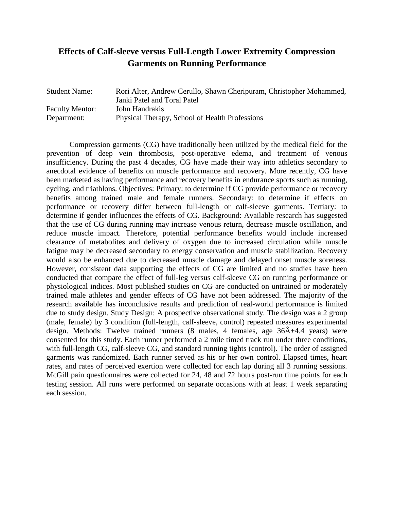# **Effects of Calf-sleeve versus Full-Length Lower Extremity Compression Garments on Running Performance**

| <b>Student Name:</b>   | Rori Alter, Andrew Cerullo, Shawn Cheripuram, Christopher Mohammed, |
|------------------------|---------------------------------------------------------------------|
|                        | Janki Patel and Toral Patel                                         |
| <b>Faculty Mentor:</b> | John Handrakis                                                      |
| Department:            | Physical Therapy, School of Health Professions                      |

Compression garments (CG) have traditionally been utilized by the medical field for the prevention of deep vein thrombosis, post-operative edema, and treatment of venous insufficiency. During the past 4 decades, CG have made their way into athletics secondary to anecdotal evidence of benefits on muscle performance and recovery. More recently, CG have been marketed as having performance and recovery benefits in endurance sports such as running, cycling, and triathlons. Objectives: Primary: to determine if CG provide performance or recovery benefits among trained male and female runners. Secondary: to determine if effects on performance or recovery differ between full-length or calf-sleeve garments. Tertiary: to determine if gender influences the effects of CG. Background: Available research has suggested that the use of CG during running may increase venous return, decrease muscle oscillation, and reduce muscle impact. Therefore, potential performance benefits would include increased clearance of metabolites and delivery of oxygen due to increased circulation while muscle fatigue may be decreased secondary to energy conservation and muscle stabilization. Recovery would also be enhanced due to decreased muscle damage and delayed onset muscle soreness. However, consistent data supporting the effects of CG are limited and no studies have been conducted that compare the effect of full-leg versus calf-sleeve CG on running performance or physiological indices. Most published studies on CG are conducted on untrained or moderately trained male athletes and gender effects of CG have not been addressed. The majority of the research available has inconclusive results and prediction of real-world performance is limited due to study design. Study Design: A prospective observational study. The design was a 2 group (male, female) by 3 condition (full-length, calf-sleeve, control) repeated measures experimental design. Methods: Twelve trained runners  $(8 \text{ males}, 4 \text{ females}, \text{age } 36\text{\AA} \pm 4.4 \text{ years})$  were consented for this study. Each runner performed a 2 mile timed track run under three conditions, with full-length CG, calf-sleeve CG, and standard running tights (control). The order of assigned garments was randomized. Each runner served as his or her own control. Elapsed times, heart rates, and rates of perceived exertion were collected for each lap during all 3 running sessions. McGill pain questionnaires were collected for 24, 48 and 72 hours post-run time points for each testing session. All runs were performed on separate occasions with at least 1 week separating each session.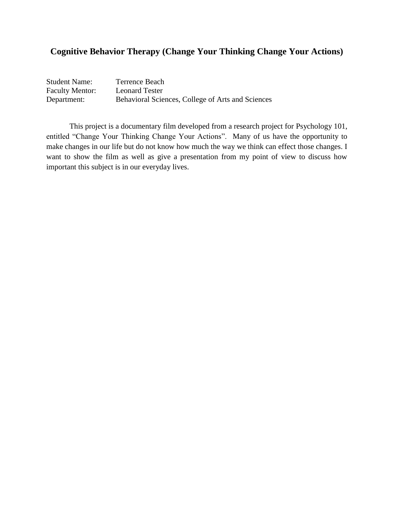# **Cognitive Behavior Therapy (Change Your Thinking Change Your Actions)**

| <b>Student Name:</b>   | Terrence Beach                                    |
|------------------------|---------------------------------------------------|
| <b>Faculty Mentor:</b> | <b>Leonard Tester</b>                             |
| Department:            | Behavioral Sciences, College of Arts and Sciences |

This project is a documentary film developed from a research project for Psychology 101, entitled "Change Your Thinking Change Your Actions". Many of us have the opportunity to make changes in our life but do not know how much the way we think can effect those changes. I want to show the film as well as give a presentation from my point of view to discuss how important this subject is in our everyday lives.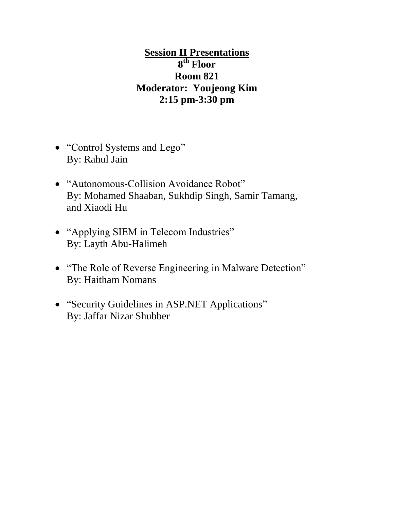**Session II Presentations 8 th Floor Room 821 Moderator: Youjeong Kim 2:15 pm-3:30 pm**

- "Control Systems and Lego" By: Rahul Jain
- "Autonomous-Collision Avoidance Robot" By: Mohamed Shaaban, Sukhdip Singh, Samir Tamang, and Xiaodi Hu
- "Applying SIEM in Telecom Industries" By: Layth Abu-Halimeh
- "The Role of Reverse Engineering in Malware Detection" By: Haitham Nomans
- "Security Guidelines in ASP.NET Applications" By: Jaffar Nizar Shubber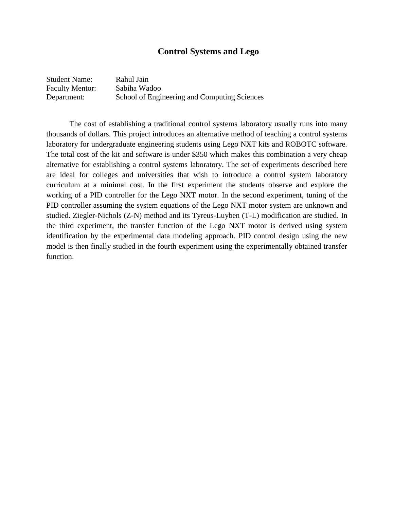#### **Control Systems and Lego**

| <b>Student Name:</b>   | Rahul Jain                                   |
|------------------------|----------------------------------------------|
| <b>Faculty Mentor:</b> | Sabiha Wadoo                                 |
| Department:            | School of Engineering and Computing Sciences |

The cost of establishing a traditional control systems laboratory usually runs into many thousands of dollars. This project introduces an alternative method of teaching a control systems laboratory for undergraduate engineering students using Lego NXT kits and ROBOTC software. The total cost of the kit and software is under \$350 which makes this combination a very cheap alternative for establishing a control systems laboratory. The set of experiments described here are ideal for colleges and universities that wish to introduce a control system laboratory curriculum at a minimal cost. In the first experiment the students observe and explore the working of a PID controller for the Lego NXT motor. In the second experiment, tuning of the PID controller assuming the system equations of the Lego NXT motor system are unknown and studied. Ziegler-Nichols (Z-N) method and its Tyreus-Luyben (T-L) modification are studied. In the third experiment, the transfer function of the Lego NXT motor is derived using system identification by the experimental data modeling approach. PID control design using the new model is then finally studied in the fourth experiment using the experimentally obtained transfer function.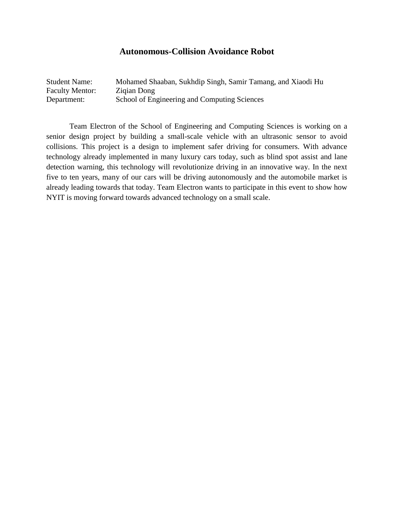## **Autonomous-Collision Avoidance Robot**

| <b>Student Name:</b>   | Mohamed Shaaban, Sukhdip Singh, Samir Tamang, and Xiaodi Hu |
|------------------------|-------------------------------------------------------------|
| <b>Faculty Mentor:</b> | Zigian Dong                                                 |
| Department:            | School of Engineering and Computing Sciences                |

Team Electron of the School of Engineering and Computing Sciences is working on a senior design project by building a small-scale vehicle with an ultrasonic sensor to avoid collisions. This project is a design to implement safer driving for consumers. With advance technology already implemented in many luxury cars today, such as blind spot assist and lane detection warning, this technology will revolutionize driving in an innovative way. In the next five to ten years, many of our cars will be driving autonomously and the automobile market is already leading towards that today. Team Electron wants to participate in this event to show how NYIT is moving forward towards advanced technology on a small scale.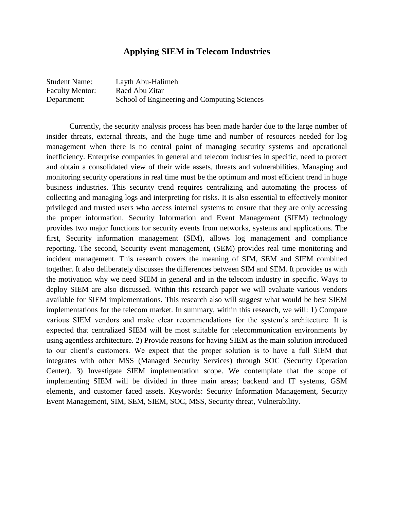#### **Applying SIEM in Telecom Industries**

Student Name: Layth Abu-Halimeh Faculty Mentor: Raed Abu Zitar Department: School of Engineering and Computing Sciences

Currently, the security analysis process has been made harder due to the large number of insider threats, external threats, and the huge time and number of resources needed for log management when there is no central point of managing security systems and operational inefficiency. Enterprise companies in general and telecom industries in specific, need to protect and obtain a consolidated view of their wide assets, threats and vulnerabilities. Managing and monitoring security operations in real time must be the optimum and most efficient trend in huge business industries. This security trend requires centralizing and automating the process of collecting and managing logs and interpreting for risks. It is also essential to effectively monitor privileged and trusted users who access internal systems to ensure that they are only accessing the proper information. Security Information and Event Management (SIEM) technology provides two major functions for security events from networks, systems and applications. The first, Security information management (SIM), allows log management and compliance reporting. The second, Security event management, (SEM) provides real time monitoring and incident management. This research covers the meaning of SIM, SEM and SIEM combined together. It also deliberately discusses the differences between SIM and SEM. It provides us with the motivation why we need SIEM in general and in the telecom industry in specific. Ways to deploy SIEM are also discussed. Within this research paper we will evaluate various vendors available for SIEM implementations. This research also will suggest what would be best SIEM implementations for the telecom market. In summary, within this research, we will: 1) Compare various SIEM vendors and make clear recommendations for the system's architecture. It is expected that centralized SIEM will be most suitable for telecommunication environments by using agentless architecture. 2) Provide reasons for having SIEM as the main solution introduced to our client's customers. We expect that the proper solution is to have a full SIEM that integrates with other MSS (Managed Security Services) through SOC (Security Operation Center). 3) Investigate SIEM implementation scope. We contemplate that the scope of implementing SIEM will be divided in three main areas; backend and IT systems, GSM elements, and customer faced assets. Keywords: Security Information Management, Security Event Management, SIM, SEM, SIEM, SOC, MSS, Security threat, Vulnerability.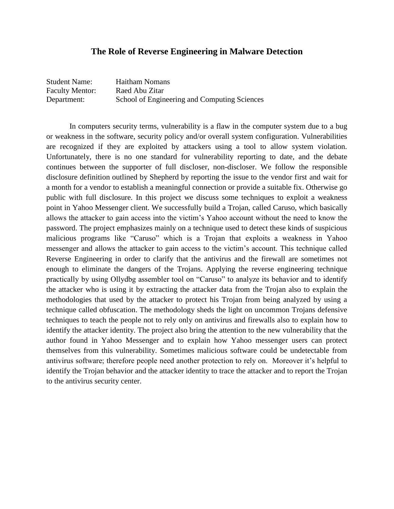#### **The Role of Reverse Engineering in Malware Detection**

| <b>Student Name:</b>   | <b>Haitham Nomans</b>                        |
|------------------------|----------------------------------------------|
| <b>Faculty Mentor:</b> | Raed Abu Zitar                               |
| Department:            | School of Engineering and Computing Sciences |

In computers security terms, vulnerability is a flaw in the computer system due to a bug or weakness in the software, security policy and/or overall system configuration. Vulnerabilities are recognized if they are exploited by attackers using a tool to allow system violation. Unfortunately, there is no one standard for vulnerability reporting to date, and the debate continues between the supporter of full discloser, non-discloser. We follow the responsible disclosure definition outlined by Shepherd by reporting the issue to the vendor first and wait for a month for a vendor to establish a meaningful connection or provide a suitable fix. Otherwise go public with full disclosure. In this project we discuss some techniques to exploit a weakness point in Yahoo Messenger client. We successfully build a Trojan, called Caruso, which basically allows the attacker to gain access into the victim's Yahoo account without the need to know the password. The project emphasizes mainly on a technique used to detect these kinds of suspicious malicious programs like "Caruso" which is a Trojan that exploits a weakness in Yahoo messenger and allows the attacker to gain access to the victim's account. This technique called Reverse Engineering in order to clarify that the antivirus and the firewall are sometimes not enough to eliminate the dangers of the Trojans. Applying the reverse engineering technique practically by using Ollydbg assembler tool on "Caruso" to analyze its behavior and to identify the attacker who is using it by extracting the attacker data from the Trojan also to explain the methodologies that used by the attacker to protect his Trojan from being analyzed by using a technique called obfuscation. The methodology sheds the light on uncommon Trojans defensive techniques to teach the people not to rely only on antivirus and firewalls also to explain how to identify the attacker identity. The project also bring the attention to the new vulnerability that the author found in Yahoo Messenger and to explain how Yahoo messenger users can protect themselves from this vulnerability. Sometimes malicious software could be undetectable from antivirus software; therefore people need another protection to rely on. Moreover it's helpful to identify the Trojan behavior and the attacker identity to trace the attacker and to report the Trojan to the antivirus security center.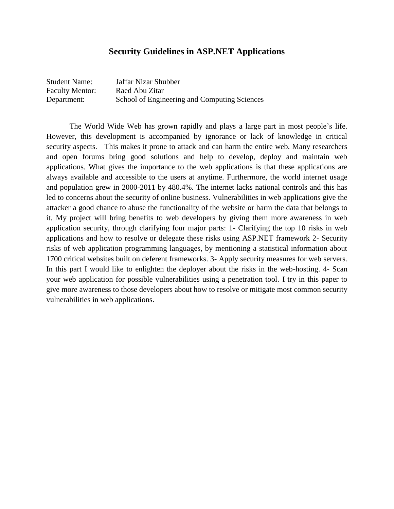#### **Security Guidelines in ASP.NET Applications**

| <b>Student Name:</b>   | Jaffar Nizar Shubber                         |
|------------------------|----------------------------------------------|
| <b>Faculty Mentor:</b> | Raed Abu Zitar                               |
| Department:            | School of Engineering and Computing Sciences |

The World Wide Web has grown rapidly and plays a large part in most people's life. However, this development is accompanied by ignorance or lack of knowledge in critical security aspects. This makes it prone to attack and can harm the entire web. Many researchers and open forums bring good solutions and help to develop, deploy and maintain web applications. What gives the importance to the web applications is that these applications are always available and accessible to the users at anytime. Furthermore, the world internet usage and population grew in 2000-2011 by 480.4%. The internet lacks national controls and this has led to concerns about the security of online business. Vulnerabilities in web applications give the attacker a good chance to abuse the functionality of the website or harm the data that belongs to it. My project will bring benefits to web developers by giving them more awareness in web application security, through clarifying four major parts: 1- Clarifying the top 10 risks in web applications and how to resolve or delegate these risks using ASP.NET framework 2- Security risks of web application programming languages, by mentioning a statistical information about 1700 critical websites built on deferent frameworks. 3- Apply security measures for web servers. In this part I would like to enlighten the deployer about the risks in the web-hosting. 4- Scan your web application for possible vulnerabilities using a penetration tool. I try in this paper to give more awareness to those developers about how to resolve or mitigate most common security vulnerabilities in web applications.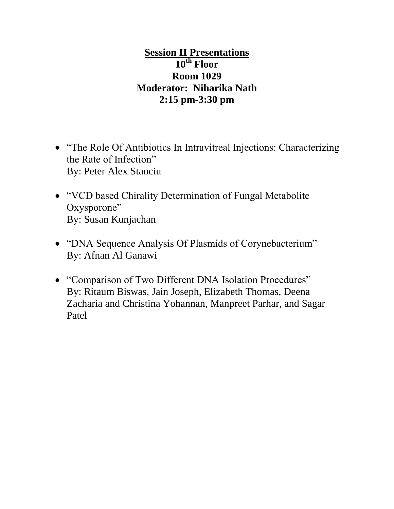# **Session II Presentations 10th Floor Room 1029 Moderator: Niharika Nath 2:15 pm-3:30 pm**

- "The Role Of Antibiotics In Intravitreal Injections: Characterizing the Rate of Infection" By: Peter Alex Stanciu
- "VCD based Chirality Determination of Fungal Metabolite Oxysporone" By: Susan Kunjachan
- "DNA Sequence Analysis Of Plasmids of Corynebacterium" By: Afnan Al Ganawi
- "Comparison of Two Different DNA Isolation Procedures" By: Ritaum Biswas, Jain Joseph, Elizabeth Thomas, Deena Zacharia and Christina Yohannan, Manpreet Parhar, and Sagar Patel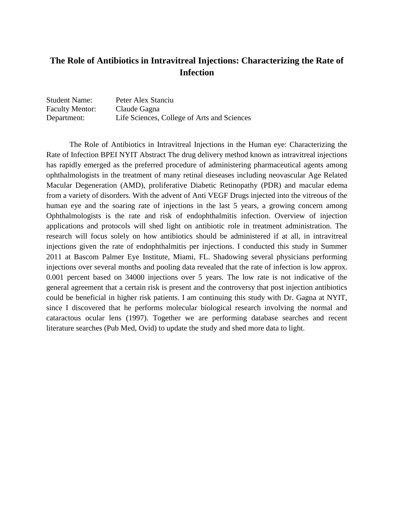# **The Role of Antibiotics in Intravitreal Injections: Characterizing the Rate of Infection**

| <b>Student Name:</b>   | Peter Alex Stanciu                          |
|------------------------|---------------------------------------------|
| <b>Faculty Mentor:</b> | Claude Gagna                                |
| Department:            | Life Sciences, College of Arts and Sciences |

The Role of Antibiotics in Intravitreal Injections in the Human eye: Characterizing the Rate of Infection BPEI NYIT Abstract The drug delivery method known as intravitreal injections has rapidly emerged as the preferred procedure of administering pharmaceutical agents among ophthalmologists in the treatment of many retinal dieseases including neovascular Age Related Macular Degeneration (AMD), proliferative Diabetic Retinopathy (PDR) and macular edema from a variety of disorders. With the advent of Anti VEGF Drugs injected into the vitreous of the human eye and the soaring rate of injections in the last 5 years, a growing concern among Ophthalmologists is the rate and risk of endophthalmitis infection. Overview of injection applications and protocols will shed light on antibiotic role in treatment administration. The research will focus solely on how antibiotics should be administered if at all, in intravitreal injections given the rate of endophthalmitis per injections. I conducted this study in Summer 2011 at Bascom Palmer Eye Institute, Miami, FL. Shadowing several physicians performing injections over several months and pooling data revealed that the rate of infection is low approx. 0.001 percent based on 34000 injections over 5 years. The low rate is not indicative of the general agreement that a certain risk is present and the controversy that post injection antibiotics could be beneficial in higher risk patients. I am continuing this study with Dr. Gagna at NYIT, since I discovered that he performs molecular biological research involving the normal and cataractous ocular lens (1997). Together we are performing database searches and recent literature searches (Pub Med, Ovid) to update the study and shed more data to light.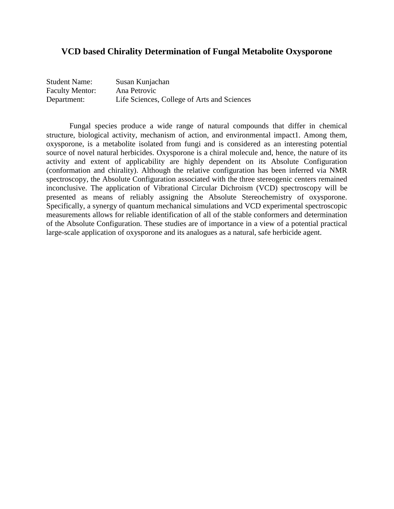## **VCD based Chirality Determination of Fungal Metabolite Oxysporone**

| <b>Student Name:</b>   | Susan Kunjachan                             |
|------------------------|---------------------------------------------|
| <b>Faculty Mentor:</b> | Ana Petrovic                                |
| Department:            | Life Sciences, College of Arts and Sciences |

Fungal species produce a wide range of natural compounds that differ in chemical structure, biological activity, mechanism of action, and environmental impact1. Among them, oxysporone, is a metabolite isolated from fungi and is considered as an interesting potential source of novel natural herbicides. Oxysporone is a chiral molecule and, hence, the nature of its activity and extent of applicability are highly dependent on its Absolute Configuration (conformation and chirality). Although the relative configuration has been inferred via NMR spectroscopy, the Absolute Configuration associated with the three stereogenic centers remained inconclusive. The application of Vibrational Circular Dichroism (VCD) spectroscopy will be presented as means of reliably assigning the Absolute Stereochemistry of oxysporone. Specifically, a synergy of quantum mechanical simulations and VCD experimental spectroscopic measurements allows for reliable identification of all of the stable conformers and determination of the Absolute Configuration. These studies are of importance in a view of a potential practical large-scale application of oxysporone and its analogues as a natural, safe herbicide agent.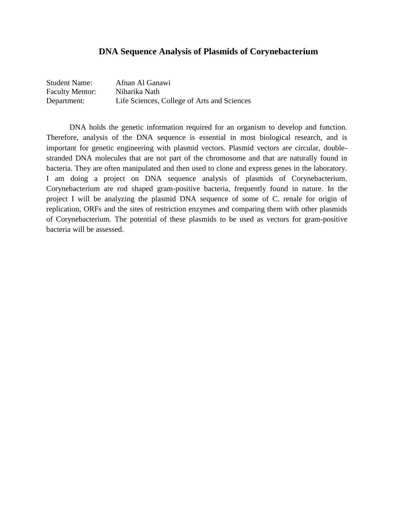#### **DNA Sequence Analysis of Plasmids of Corynebacterium**

| <b>Student Name:</b>   | Afnan Al Ganawi                             |
|------------------------|---------------------------------------------|
| <b>Faculty Mentor:</b> | Niharika Nath                               |
| Department:            | Life Sciences, College of Arts and Sciences |

DNA holds the genetic information required for an organism to develop and function. Therefore, analysis of the DNA sequence is essential in most biological research, and is important for genetic engineering with plasmid vectors. Plasmid vectors are circular, doublestranded DNA molecules that are not part of the chromosome and that are naturally found in bacteria. They are often manipulated and then used to clone and express genes in the laboratory. I am doing a project on DNA sequence analysis of plasmids of Corynebacterium. Corynebacterium are rod shaped gram-positive bacteria, frequently found in nature. In the project I will be analyzing the plasmid DNA sequence of some of C. renale for origin of replication, ORFs and the sites of restriction enzymes and comparing them with other plasmids of Corynebacterium. The potential of these plasmids to be used as vectors for gram-positive bacteria will be assessed.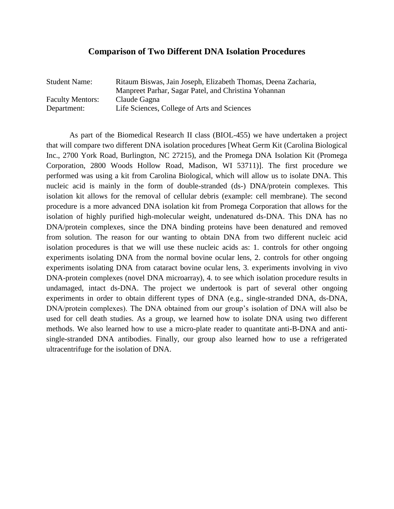#### **Comparison of Two Different DNA Isolation Procedures**

| <b>Student Name:</b>    | Ritaum Biswas, Jain Joseph, Elizabeth Thomas, Deena Zacharia, |
|-------------------------|---------------------------------------------------------------|
|                         | Manpreet Parhar, Sagar Patel, and Christina Yohannan          |
| <b>Faculty Mentors:</b> | Claude Gagna                                                  |
| Department:             | Life Sciences, College of Arts and Sciences                   |

As part of the Biomedical Research II class (BIOL-455) we have undertaken a project that will compare two different DNA isolation procedures [Wheat Germ Kit (Carolina Biological Inc., 2700 York Road, Burlington, NC 27215), and the Promega DNA Isolation Kit (Promega Corporation, 2800 Woods Hollow Road, Madison, WI 53711)]. The first procedure we performed was using a kit from Carolina Biological, which will allow us to isolate DNA. This nucleic acid is mainly in the form of double-stranded (ds-) DNA/protein complexes. This isolation kit allows for the removal of cellular debris (example: cell membrane). The second procedure is a more advanced DNA isolation kit from Promega Corporation that allows for the isolation of highly purified high-molecular weight, undenatured ds-DNA. This DNA has no DNA/protein complexes, since the DNA binding proteins have been denatured and removed from solution. The reason for our wanting to obtain DNA from two different nucleic acid isolation procedures is that we will use these nucleic acids as: 1. controls for other ongoing experiments isolating DNA from the normal bovine ocular lens, 2. controls for other ongoing experiments isolating DNA from cataract bovine ocular lens, 3. experiments involving in vivo DNA-protein complexes (novel DNA microarray), 4. to see which isolation procedure results in undamaged, intact ds-DNA. The project we undertook is part of several other ongoing experiments in order to obtain different types of DNA (e.g., single-stranded DNA, ds-DNA, DNA/protein complexes). The DNA obtained from our group's isolation of DNA will also be used for cell death studies. As a group, we learned how to isolate DNA using two different methods. We also learned how to use a micro-plate reader to quantitate anti-B-DNA and antisingle-stranded DNA antibodies. Finally, our group also learned how to use a refrigerated ultracentrifuge for the isolation of DNA.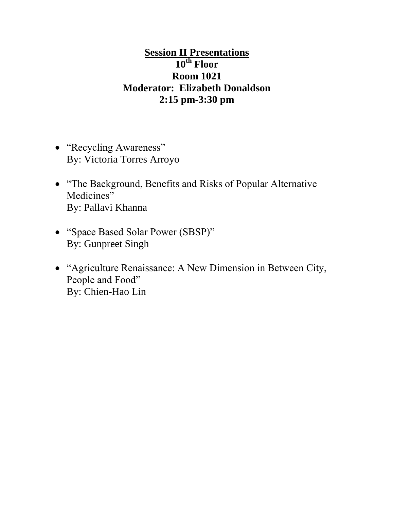# **Session II Presentations 10th Floor Room 1021 Moderator: Elizabeth Donaldson 2:15 pm-3:30 pm**

- "Recycling Awareness" By: Victoria Torres Arroyo
- "The Background, Benefits and Risks of Popular Alternative Medicines" By: Pallavi Khanna
- "Space Based Solar Power (SBSP)" By: Gunpreet Singh
- "Agriculture Renaissance: A New Dimension in Between City, People and Food" By: Chien-Hao Lin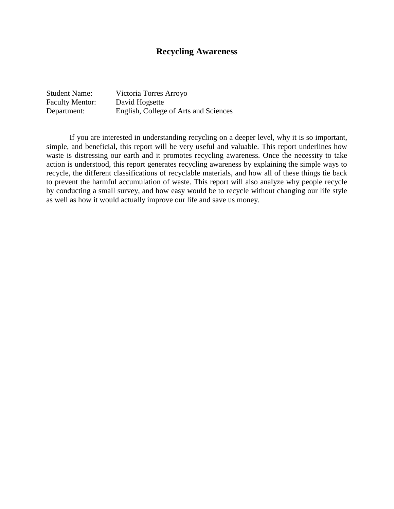## **Recycling Awareness**

| <b>Student Name:</b>   | Victoria Torres Arroyo                |
|------------------------|---------------------------------------|
| <b>Faculty Mentor:</b> | David Hogsette                        |
| Department:            | English, College of Arts and Sciences |

If you are interested in understanding recycling on a deeper level, why it is so important, simple, and beneficial, this report will be very useful and valuable. This report underlines how waste is distressing our earth and it promotes recycling awareness. Once the necessity to take action is understood, this report generates recycling awareness by explaining the simple ways to recycle, the different classifications of recyclable materials, and how all of these things tie back to prevent the harmful accumulation of waste. This report will also analyze why people recycle by conducting a small survey, and how easy would be to recycle without changing our life style as well as how it would actually improve our life and save us money.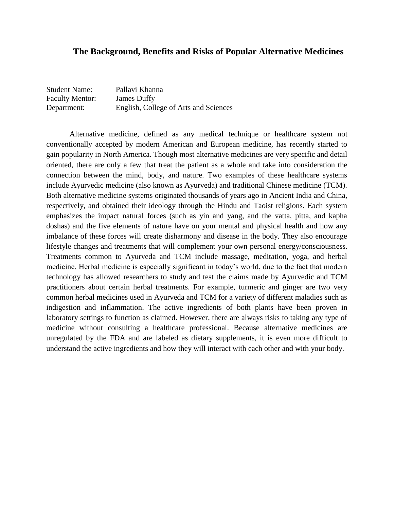#### **The Background, Benefits and Risks of Popular Alternative Medicines**

Student Name: Pallavi Khanna Faculty Mentor: James Duffy Department: English, College of Arts and Sciences

Alternative medicine, defined as any medical technique or healthcare system not conventionally accepted by modern American and European medicine, has recently started to gain popularity in North America. Though most alternative medicines are very specific and detail oriented, there are only a few that treat the patient as a whole and take into consideration the connection between the mind, body, and nature. Two examples of these healthcare systems include Ayurvedic medicine (also known as Ayurveda) and traditional Chinese medicine (TCM). Both alternative medicine systems originated thousands of years ago in Ancient India and China, respectively, and obtained their ideology through the Hindu and Taoist religions. Each system emphasizes the impact natural forces (such as yin and yang, and the vatta, pitta, and kapha doshas) and the five elements of nature have on your mental and physical health and how any imbalance of these forces will create disharmony and disease in the body. They also encourage lifestyle changes and treatments that will complement your own personal energy/consciousness. Treatments common to Ayurveda and TCM include massage, meditation, yoga, and herbal medicine. Herbal medicine is especially significant in today's world, due to the fact that modern technology has allowed researchers to study and test the claims made by Ayurvedic and TCM practitioners about certain herbal treatments. For example, turmeric and ginger are two very common herbal medicines used in Ayurveda and TCM for a variety of different maladies such as indigestion and inflammation. The active ingredients of both plants have been proven in laboratory settings to function as claimed. However, there are always risks to taking any type of medicine without consulting a healthcare professional. Because alternative medicines are unregulated by the FDA and are labeled as dietary supplements, it is even more difficult to understand the active ingredients and how they will interact with each other and with your body.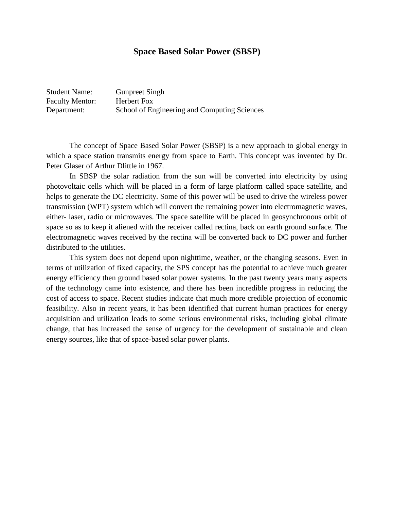#### **Space Based Solar Power (SBSP)**

Student Name: Gunpreet Singh Faculty Mentor: Herbert Fox Department: School of Engineering and Computing Sciences

The concept of Space Based Solar Power (SBSP) is a new approach to global energy in which a space station transmits energy from space to Earth. This concept was invented by Dr. Peter Glaser of Arthur Dlittle in 1967.

In SBSP the solar radiation from the sun will be converted into electricity by using photovoltaic cells which will be placed in a form of large platform called space satellite, and helps to generate the DC electricity. Some of this power will be used to drive the wireless power transmission (WPT) system which will convert the remaining power into electromagnetic waves, either- laser, radio or microwaves. The space satellite will be placed in geosynchronous orbit of space so as to keep it aliened with the receiver called rectina, back on earth ground surface. The electromagnetic waves received by the rectina will be converted back to DC power and further distributed to the utilities.

This system does not depend upon nighttime, weather, or the changing seasons. Even in terms of utilization of fixed capacity, the SPS concept has the potential to achieve much greater energy efficiency then ground based solar power systems. In the past twenty years many aspects of the technology came into existence, and there has been incredible progress in reducing the cost of access to space. Recent studies indicate that much more credible projection of economic feasibility. Also in recent years, it has been identified that current human practices for energy acquisition and utilization leads to some serious environmental risks, including global climate change, that has increased the sense of urgency for the development of sustainable and clean energy sources, like that of space-based solar power plants.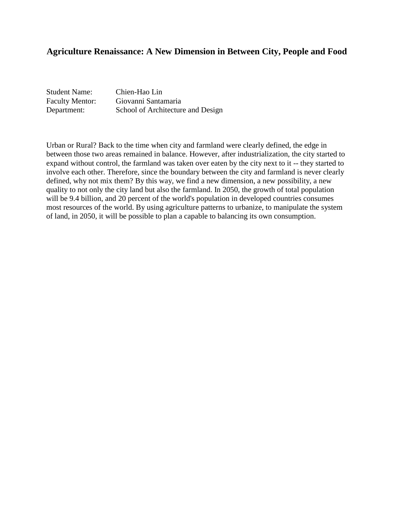## **Agriculture Renaissance: A New Dimension in Between City, People and Food**

Student Name: Chien-Hao Lin

Faculty Mentor: Giovanni Santamaria Department: School of Architecture and Design

Urban or Rural? Back to the time when city and farmland were clearly defined, the edge in between those two areas remained in balance. However, after industrialization, the city started to expand without control, the farmland was taken over eaten by the city next to it -- they started to involve each other. Therefore, since the boundary between the city and farmland is never clearly defined, why not mix them? By this way, we find a new dimension, a new possibility, a new quality to not only the city land but also the farmland. In 2050, the growth of total population will be 9.4 billion, and 20 percent of the world's population in developed countries consumes most resources of the world. By using agriculture patterns to urbanize, to manipulate the system of land, in 2050, it will be possible to plan a capable to balancing its own consumption.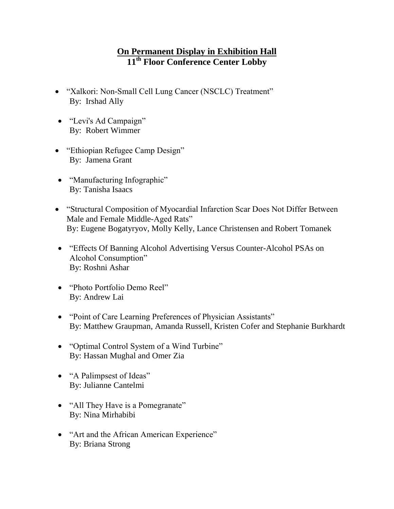# **On Permanent Display in Exhibition Hall 11th Floor Conference Center Lobby**

- "Xalkori: Non-Small Cell Lung Cancer (NSCLC) Treatment" By: Irshad Ally
- "Levi's Ad Campaign" By: Robert Wimmer
- "Ethiopian Refugee Camp Design" By: Jamena Grant
- "Manufacturing Infographic" By: Tanisha Isaacs
- "Structural Composition of Myocardial Infarction Scar Does Not Differ Between Male and Female Middle-Aged Rats" By: Eugene Bogatyryov, Molly Kelly, Lance Christensen and Robert Tomanek
- "Effects Of Banning Alcohol Advertising Versus Counter-Alcohol PSAs on Alcohol Consumption" By: Roshni Ashar
- "Photo Portfolio Demo Reel" By: Andrew Lai
- "Point of Care Learning Preferences of Physician Assistants" By: Matthew Graupman, Amanda Russell, Kristen Cofer and Stephanie Burkhardt
- "Optimal Control System of a Wind Turbine" By: Hassan Mughal and Omer Zia
- "A Palimpsest of Ideas" By: Julianne Cantelmi
- "All They Have is a Pomegranate" By: Nina Mirhabibi
- "Art and the African American Experience" By: Briana Strong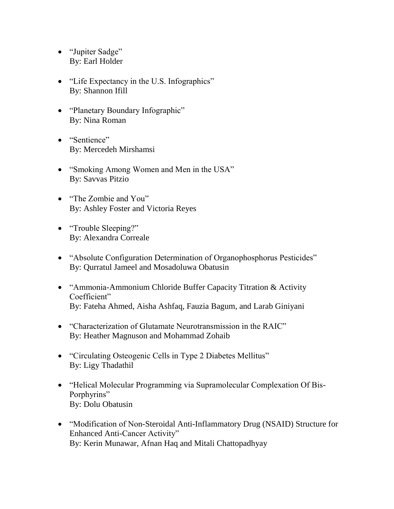- "Jupiter Sadge" By: Earl Holder
- "Life Expectancy in the U.S. Infographics" By: Shannon Ifill
- "Planetary Boundary Infographic" By: Nina Roman
- "Sentience" By: Mercedeh Mirshamsi
- "Smoking Among Women and Men in the USA" By: Savvas Pitzio
- "The Zombie and You" By: Ashley Foster and Victoria Reyes
- "Trouble Sleeping?" By: Alexandra Correale
- "Absolute Configuration Determination of Organophosphorus Pesticides" By: Qurratul Jameel and Mosadoluwa Obatusin
- "Ammonia-Ammonium Chloride Buffer Capacity Titration & Activity Coefficient" By: Fateha Ahmed, Aisha Ashfaq, Fauzia Bagum, and Larab Giniyani
- "Characterization of Glutamate Neurotransmission in the RAIC" By: Heather Magnuson and Mohammad Zohaib
- "Circulating Osteogenic Cells in Type 2 Diabetes Mellitus" By: Ligy Thadathil
- "Helical Molecular Programming via Supramolecular Complexation Of Bis-Porphyrins" By: Dolu Obatusin
- "Modification of Non-Steroidal Anti-Inflammatory Drug (NSAID) Structure for Enhanced Anti-Cancer Activity" By: Kerin Munawar, Afnan Haq and Mitali Chattopadhyay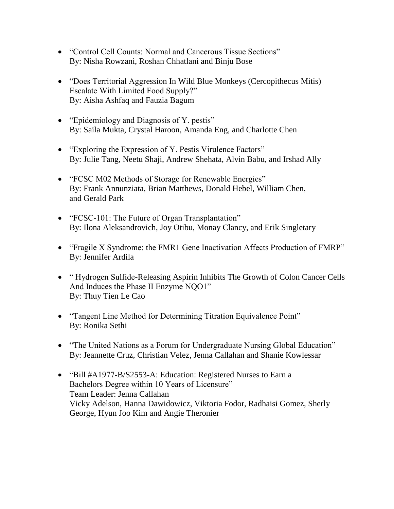- "Control Cell Counts: Normal and Cancerous Tissue Sections" By: Nisha Rowzani, Roshan Chhatlani and Binju Bose
- "Does Territorial Aggression In Wild Blue Monkeys (Cercopithecus Mitis) Escalate With Limited Food Supply?" By: Aisha Ashfaq and Fauzia Bagum
- "Epidemiology and Diagnosis of Y. pestis" By: Saila Mukta, Crystal Haroon, Amanda Eng, and Charlotte Chen
- "Exploring the Expression of Y. Pestis Virulence Factors" By: Julie Tang, Neetu Shaji, Andrew Shehata, Alvin Babu, and Irshad Ally
- "FCSC M02 Methods of Storage for Renewable Energies" By: Frank Annunziata, Brian Matthews, Donald Hebel, William Chen, and Gerald Park
- "FCSC-101: The Future of Organ Transplantation" By: Ilona Aleksandrovich, Joy Otibu, Monay Clancy, and Erik Singletary
- "Fragile X Syndrome: the FMR1 Gene Inactivation Affects Production of FMRP" By: Jennifer Ardila
- " Hydrogen Sulfide-Releasing Aspirin Inhibits The Growth of Colon Cancer Cells And Induces the Phase II Enzyme NQO1" By: Thuy Tien Le Cao
- "Tangent Line Method for Determining Titration Equivalence Point" By: Ronika Sethi
- "The United Nations as a Forum for Undergraduate Nursing Global Education" By: Jeannette Cruz, Christian Velez, Jenna Callahan and Shanie Kowlessar
- "Bill #A1977-B/S2553-A: Education: Registered Nurses to Earn a Bachelors Degree within 10 Years of Licensure" Team Leader: Jenna Callahan Vicky Adelson, Hanna Dawidowicz, Viktoria Fodor, Radhaisi Gomez, Sherly George, Hyun Joo Kim and Angie Theronier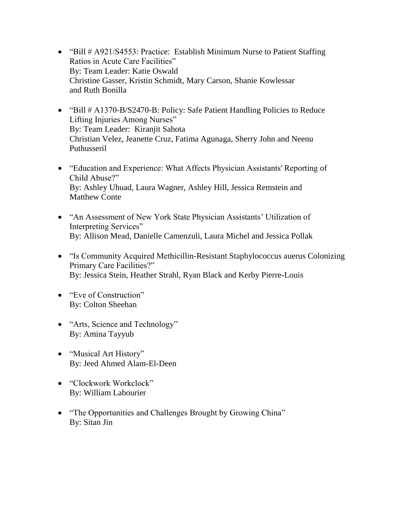- "Bill # A921/S4553: Practice: Establish Minimum Nurse to Patient Staffing Ratios in Acute Care Facilities" By: Team Leader: Katie Oswald Christine Gasser, Kristin Schmidt, Mary Carson, Shanie Kowlessar and Ruth Bonilla
- "Bill # A1370-B/S2470-B: Policy: Safe Patient Handling Policies to Reduce Lifting Injuries Among Nurses" By: Team Leader: Kiranjit Sahota Christian Velez, Jeanette Cruz, Fatima Agunaga, Sherry John and Neenu Puthusseril
- "Education and Experience: What Affects Physician Assistants' Reporting of Child Abuse?" By: Ashley Uhuad, Laura Wagner, Ashley Hill, Jessica Remstein and Matthew Conte
- "An Assessment of New York State Physician Assistants' Utilization of Interpreting Services" By: Allison Mead, Danielle Camenzuli, Laura Michel and Jessica Pollak
- "Is Community Acquired Methicillin-Resistant Staphylococcus auerus Colonizing Primary Care Facilities?" By: Jessica Stein, Heather Strahl, Ryan Black and Kerby Pierre-Louis
- "Eve of Construction" By: Colton Sheehan
- "Arts, Science and Technology" By: Amina Tayyub
- "Musical Art History" By: Jeed Ahmed Alam-El-Deen
- "Clockwork Workclock" By: William Labourier
- "The Opportunities and Challenges Brought by Growing China" By: Sitan Jin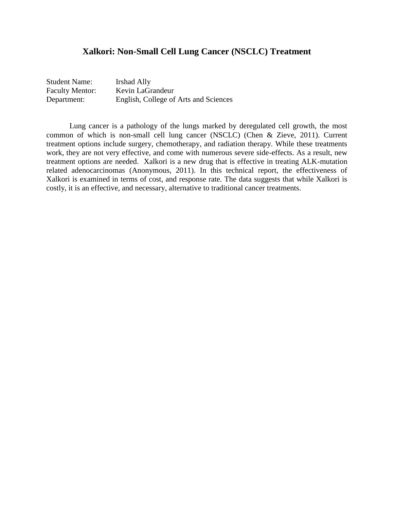### **Xalkori: Non-Small Cell Lung Cancer (NSCLC) Treatment**

| <b>Student Name:</b>   | Irshad Ally                           |
|------------------------|---------------------------------------|
| <b>Faculty Mentor:</b> | Kevin LaGrandeur                      |
| Department:            | English, College of Arts and Sciences |

Lung cancer is a pathology of the lungs marked by deregulated cell growth, the most common of which is non-small cell lung cancer (NSCLC) (Chen & Zieve, 2011). Current treatment options include surgery, chemotherapy, and radiation therapy. While these treatments work, they are not very effective, and come with numerous severe side-effects. As a result, new treatment options are needed. Xalkori is a new drug that is effective in treating ALK-mutation related adenocarcinomas (Anonymous, 2011). In this technical report, the effectiveness of Xalkori is examined in terms of cost, and response rate. The data suggests that while Xalkori is costly, it is an effective, and necessary, alternative to traditional cancer treatments.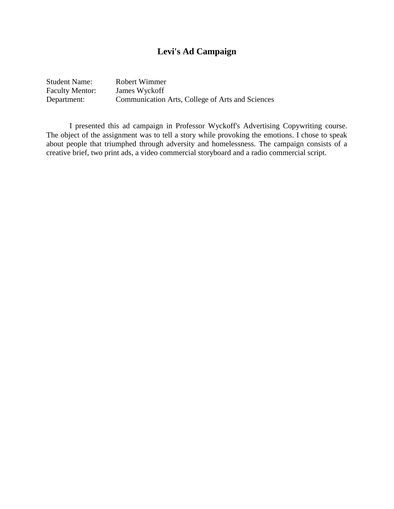# **Levi's Ad Campaign**

| <b>Student Name:</b> | Robert Wimmer                                    |
|----------------------|--------------------------------------------------|
| Faculty Mentor:      | James Wyckoff                                    |
| Department:          | Communication Arts, College of Arts and Sciences |

I presented this ad campaign in Professor Wyckoff's Advertising Copywriting course. The object of the assignment was to tell a story while provoking the emotions. I chose to speak about people that triumphed through adversity and homelessness. The campaign consists of a creative brief, two print ads, a video commercial storyboard and a radio commercial script.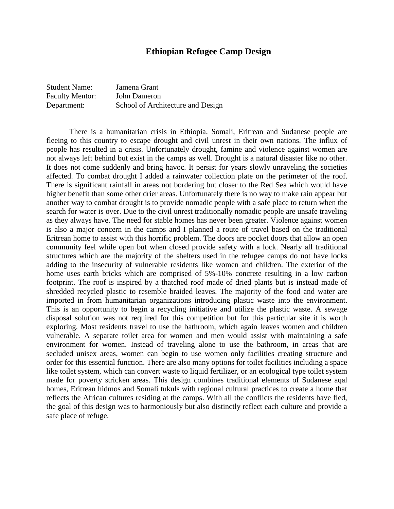## **Ethiopian Refugee Camp Design**

Student Name: Jamena Grant Faculty Mentor: John Dameron Department: School of Architecture and Design

There is a humanitarian crisis in Ethiopia. Somali, Eritrean and Sudanese people are fleeing to this country to escape drought and civil unrest in their own nations. The influx of people has resulted in a crisis. Unfortunately drought, famine and violence against women are not always left behind but exist in the camps as well. Drought is a natural disaster like no other. It does not come suddenly and bring havoc. It persist for years slowly unraveling the societies affected. To combat drought I added a rainwater collection plate on the perimeter of the roof. There is significant rainfall in areas not bordering but closer to the Red Sea which would have higher benefit than some other drier areas. Unfortunately there is no way to make rain appear but another way to combat drought is to provide nomadic people with a safe place to return when the search for water is over. Due to the civil unrest traditionally nomadic people are unsafe traveling as they always have. The need for stable homes has never been greater. Violence against women is also a major concern in the camps and I planned a route of travel based on the traditional Eritrean home to assist with this horrific problem. The doors are pocket doors that allow an open community feel while open but when closed provide safety with a lock. Nearly all traditional structures which are the majority of the shelters used in the refugee camps do not have locks adding to the insecurity of vulnerable residents like women and children. The exterior of the home uses earth bricks which are comprised of 5%-10% concrete resulting in a low carbon footprint. The roof is inspired by a thatched roof made of dried plants but is instead made of shredded recycled plastic to resemble braided leaves. The majority of the food and water are imported in from humanitarian organizations introducing plastic waste into the environment. This is an opportunity to begin a recycling initiative and utilize the plastic waste. A sewage disposal solution was not required for this competition but for this particular site it is worth exploring. Most residents travel to use the bathroom, which again leaves women and children vulnerable. A separate toilet area for women and men would assist with maintaining a safe environment for women. Instead of traveling alone to use the bathroom, in areas that are secluded unisex areas, women can begin to use women only facilities creating structure and order for this essential function. There are also many options for toilet facilities including a space like toilet system, which can convert waste to liquid fertilizer, or an ecological type toilet system made for poverty stricken areas. This design combines traditional elements of Sudanese aqal homes, Eritrean hidmos and Somali tukuls with regional cultural practices to create a home that reflects the African cultures residing at the camps. With all the conflicts the residents have fled, the goal of this design was to harmoniously but also distinctly reflect each culture and provide a safe place of refuge.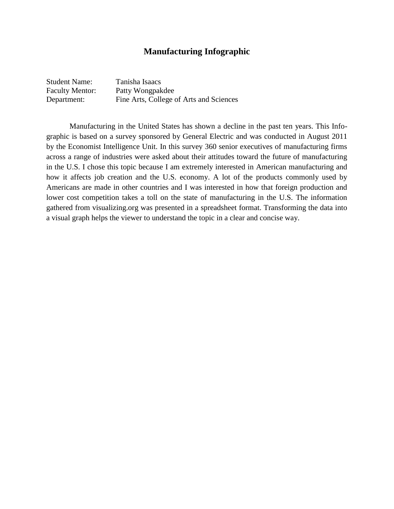## **Manufacturing Infographic**

| <b>Student Name:</b>   | Tanisha Isaacs                          |
|------------------------|-----------------------------------------|
| <b>Faculty Mentor:</b> | Patty Wongpakdee                        |
| Department:            | Fine Arts, College of Arts and Sciences |

Manufacturing in the United States has shown a decline in the past ten years. This Infographic is based on a survey sponsored by General Electric and was conducted in August 2011 by the Economist Intelligence Unit. In this survey 360 senior executives of manufacturing firms across a range of industries were asked about their attitudes toward the future of manufacturing in the U.S. I chose this topic because I am extremely interested in American manufacturing and how it affects job creation and the U.S. economy. A lot of the products commonly used by Americans are made in other countries and I was interested in how that foreign production and lower cost competition takes a toll on the state of manufacturing in the U.S. The information gathered from visualizing.org was presented in a spreadsheet format. Transforming the data into a visual graph helps the viewer to understand the topic in a clear and concise way.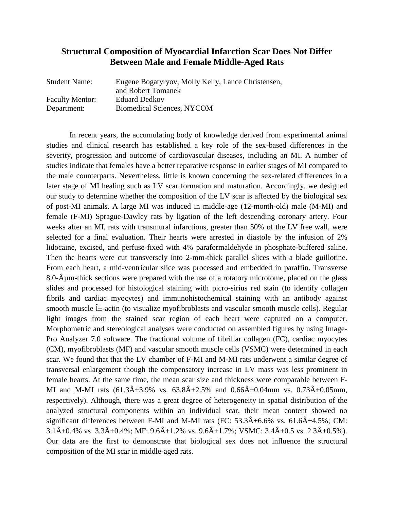## **Structural Composition of Myocardial Infarction Scar Does Not Differ Between Male and Female Middle-Aged Rats**

| <b>Student Name:</b>   | Eugene Bogatyryov, Molly Kelly, Lance Christensen,<br>and Robert Tomanek |
|------------------------|--------------------------------------------------------------------------|
| <b>Faculty Mentor:</b> | <b>Eduard Dedkov</b>                                                     |
| Department:            | <b>Biomedical Sciences, NYCOM</b>                                        |

In recent years, the accumulating body of knowledge derived from experimental animal studies and clinical research has established a key role of the sex-based differences in the severity, progression and outcome of cardiovascular diseases, including an MI. A number of studies indicate that females have a better reparative response in earlier stages of MI compared to the male counterparts. Nevertheless, little is known concerning the sex-related differences in a later stage of MI healing such as LV scar formation and maturation. Accordingly, we designed our study to determine whether the composition of the LV scar is affected by the biological sex of post-MI animals. A large MI was induced in middle-age (12-month-old) male (M-MI) and female (F-MI) Sprague-Dawley rats by ligation of the left descending coronary artery. Four weeks after an MI, rats with transmural infarctions, greater than 50% of the LV free wall, were selected for a final evaluation. Their hearts were arrested in diastole by the infusion of 2% lidocaine, excised, and perfuse-fixed with 4% paraformaldehyde in phosphate-buffered saline. Then the hearts were cut transversely into 2-mm-thick parallel slices with a blade guillotine. From each heart, a mid-ventricular slice was processed and embedded in paraffin. Transverse 8.0- $\hat{A}$ µm-thick sections were prepared with the use of a rotatory microtome, placed on the glass slides and processed for histological staining with picro-sirius red stain (to identify collagen fibrils and cardiac myocytes) and immunohistochemical staining with an antibody against smooth muscle  $\hat{I}$ +-actin (to visualize myofibroblasts and vascular smooth muscle cells). Regular light images from the stained scar region of each heart were captured on a computer. Morphometric and stereological analyses were conducted on assembled figures by using Image-Pro Analyzer 7.0 software. The fractional volume of fibrillar collagen (FC), cardiac myocytes (CM), myofibroblasts (MF) and vascular smooth muscle cells (VSMC) were determined in each scar. We found that that the LV chamber of F-MI and M-MI rats underwent a similar degree of transversal enlargement though the compensatory increase in LV mass was less prominent in female hearts. At the same time, the mean scar size and thickness were comparable between F-MI and M-MI rats  $(61.3\text{\AA} \pm 3.9\% \text{ vs. } 63.8\text{\AA} \pm 2.5\% \text{ and } 0.66\text{\AA} \pm 0.04 \text{ mm vs. } 0.73\text{\AA} \pm 0.05 \text{ mm}$ , respectively). Although, there was a great degree of heterogeneity in spatial distribution of the analyzed structural components within an individual scar, their mean content showed no significant differences between F-MI and M-MI rats (FC:  $53.3\hat{A} \pm 6.6\%$  vs.  $61.6\hat{A} \pm 4.5\%$ ; CM:  $3.1\hat{A} \pm 0.4\%$  vs.  $3.3\hat{A} \pm 0.4\%$ ; MF:  $9.6\hat{A} \pm 1.2\%$  vs.  $9.6\hat{A} \pm 1.7\%$ ; VSMC:  $3.4\hat{A} \pm 0.5$  vs.  $2.3\hat{A} \pm 0.5\%$ ). Our data are the first to demonstrate that biological sex does not influence the structural composition of the MI scar in middle-aged rats.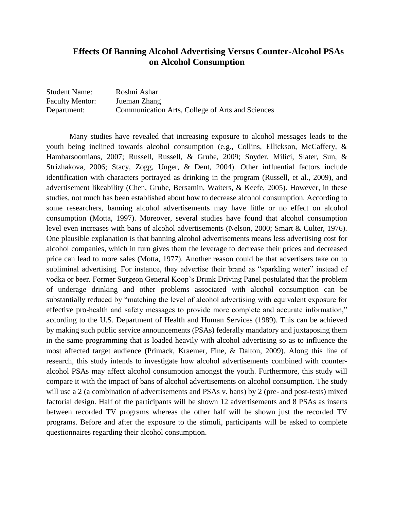## **Effects Of Banning Alcohol Advertising Versus Counter-Alcohol PSAs on Alcohol Consumption**

Student Name: Roshni Ashar Faculty Mentor: Jueman Zhang Department: Communication Arts, College of Arts and Sciences

Many studies have revealed that increasing exposure to alcohol messages leads to the youth being inclined towards alcohol consumption (e.g., Collins, Ellickson, McCaffery, & Hambarsoomians, 2007; Russell, Russell, & Grube, 2009; Snyder, Milici, Slater, Sun, & Strizhakova, 2006; Stacy, Zogg, Unger, & Dent, 2004). Other influential factors include identification with characters portrayed as drinking in the program (Russell, et al., 2009), and advertisement likeability (Chen, Grube, Bersamin, Waiters, & Keefe, 2005). However, in these studies, not much has been established about how to decrease alcohol consumption. According to some researchers, banning alcohol advertisements may have little or no effect on alcohol consumption (Motta, 1997). Moreover, several studies have found that alcohol consumption level even increases with bans of alcohol advertisements (Nelson, 2000; Smart & Culter, 1976). One plausible explanation is that banning alcohol advertisements means less advertising cost for alcohol companies, which in turn gives them the leverage to decrease their prices and decreased price can lead to more sales (Motta, 1977). Another reason could be that advertisers take on to subliminal advertising. For instance, they advertise their brand as "sparkling water" instead of vodka or beer. Former Surgeon General Koop's Drunk Driving Panel postulated that the problem of underage drinking and other problems associated with alcohol consumption can be substantially reduced by "matching the level of alcohol advertising with equivalent exposure for effective pro-health and safety messages to provide more complete and accurate information," according to the U.S. Department of Health and Human Services (1989). This can be achieved by making such public service announcements (PSAs) federally mandatory and juxtaposing them in the same programming that is loaded heavily with alcohol advertising so as to influence the most affected target audience (Primack, Kraemer, Fine, & Dalton, 2009). Along this line of research, this study intends to investigate how alcohol advertisements combined with counteralcohol PSAs may affect alcohol consumption amongst the youth. Furthermore, this study will compare it with the impact of bans of alcohol advertisements on alcohol consumption. The study will use a 2 (a combination of advertisements and PSAs v. bans) by 2 (pre- and post-tests) mixed factorial design. Half of the participants will be shown 12 advertisements and 8 PSAs as inserts between recorded TV programs whereas the other half will be shown just the recorded TV programs. Before and after the exposure to the stimuli, participants will be asked to complete questionnaires regarding their alcohol consumption.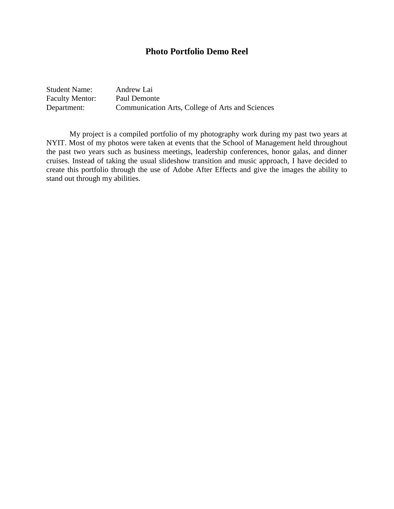### **Photo Portfolio Demo Reel**

Student Name: Andrew Lai Faculty Mentor: Paul Demonte Department: Communication Arts, College of Arts and Sciences

My project is a compiled portfolio of my photography work during my past two years at NYIT. Most of my photos were taken at events that the School of Management held throughout the past two years such as business meetings, leadership conferences, honor galas, and dinner cruises. Instead of taking the usual slideshow transition and music approach, I have decided to create this portfolio through the use of Adobe After Effects and give the images the ability to stand out through my abilities.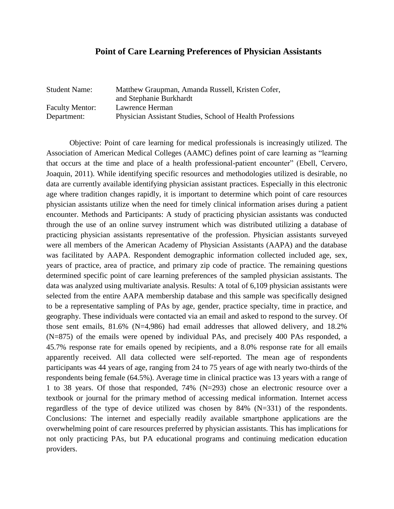#### **Point of Care Learning Preferences of Physician Assistants**

| Matthew Graupman, Amanda Russell, Kristen Cofer,          |
|-----------------------------------------------------------|
| and Stephanie Burkhardt                                   |
| Lawrence Herman                                           |
| Physician Assistant Studies, School of Health Professions |
|                                                           |

Objective: Point of care learning for medical professionals is increasingly utilized. The Association of American Medical Colleges (AAMC) defines point of care learning as "learning that occurs at the time and place of a health professional-patient encounter" (Ebell, Cervero, Joaquin, 2011). While identifying specific resources and methodologies utilized is desirable, no data are currently available identifying physician assistant practices. Especially in this electronic age where tradition changes rapidly, it is important to determine which point of care resources physician assistants utilize when the need for timely clinical information arises during a patient encounter. Methods and Participants: A study of practicing physician assistants was conducted through the use of an online survey instrument which was distributed utilizing a database of practicing physician assistants representative of the profession. Physician assistants surveyed were all members of the American Academy of Physician Assistants (AAPA) and the database was facilitated by AAPA. Respondent demographic information collected included age, sex, years of practice, area of practice, and primary zip code of practice. The remaining questions determined specific point of care learning preferences of the sampled physician assistants. The data was analyzed using multivariate analysis. Results: A total of 6,109 physician assistants were selected from the entire AAPA membership database and this sample was specifically designed to be a representative sampling of PAs by age, gender, practice specialty, time in practice, and geography. These individuals were contacted via an email and asked to respond to the survey. Of those sent emails, 81.6% (N=4,986) had email addresses that allowed delivery, and 18.2% (N=875) of the emails were opened by individual PAs, and precisely 400 PAs responded, a 45.7% response rate for emails opened by recipients, and a 8.0% response rate for all emails apparently received. All data collected were self-reported. The mean age of respondents participants was 44 years of age, ranging from 24 to 75 years of age with nearly two-thirds of the respondents being female (64.5%). Average time in clinical practice was 13 years with a range of 1 to 38 years. Of those that responded, 74% (N=293) chose an electronic resource over a textbook or journal for the primary method of accessing medical information. Internet access regardless of the type of device utilized was chosen by 84% (N=331) of the respondents. Conclusions: The internet and especially readily available smartphone applications are the overwhelming point of care resources preferred by physician assistants. This has implications for not only practicing PAs, but PA educational programs and continuing medication education providers.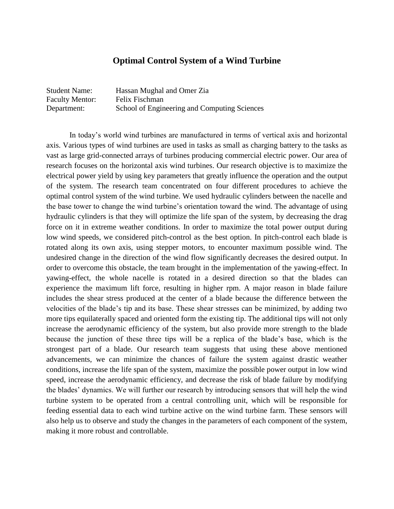#### **Optimal Control System of a Wind Turbine**

Student Name: Hassan Mughal and Omer Zia Faculty Mentor: Felix Fischman Department: School of Engineering and Computing Sciences

In today's world wind turbines are manufactured in terms of vertical axis and horizontal axis. Various types of wind turbines are used in tasks as small as charging battery to the tasks as vast as large grid-connected arrays of turbines producing commercial electric power. Our area of research focuses on the horizontal axis wind turbines. Our research objective is to maximize the electrical power yield by using key parameters that greatly influence the operation and the output of the system. The research team concentrated on four different procedures to achieve the optimal control system of the wind turbine. We used hydraulic cylinders between the nacelle and the base tower to change the wind turbine's orientation toward the wind. The advantage of using hydraulic cylinders is that they will optimize the life span of the system, by decreasing the drag force on it in extreme weather conditions. In order to maximize the total power output during low wind speeds, we considered pitch-control as the best option. In pitch-control each blade is rotated along its own axis, using stepper motors, to encounter maximum possible wind. The undesired change in the direction of the wind flow significantly decreases the desired output. In order to overcome this obstacle, the team brought in the implementation of the yawing-effect. In yawing-effect, the whole nacelle is rotated in a desired direction so that the blades can experience the maximum lift force, resulting in higher rpm. A major reason in blade failure includes the shear stress produced at the center of a blade because the difference between the velocities of the blade's tip and its base. These shear stresses can be minimized, by adding two more tips equilaterally spaced and oriented form the existing tip. The additional tips will not only increase the aerodynamic efficiency of the system, but also provide more strength to the blade because the junction of these three tips will be a replica of the blade's base, which is the strongest part of a blade. Our research team suggests that using these above mentioned advancements, we can minimize the chances of failure the system against drastic weather conditions, increase the life span of the system, maximize the possible power output in low wind speed, increase the aerodynamic efficiency, and decrease the risk of blade failure by modifying the blades' dynamics. We will further our research by introducing sensors that will help the wind turbine system to be operated from a central controlling unit, which will be responsible for feeding essential data to each wind turbine active on the wind turbine farm. These sensors will also help us to observe and study the changes in the parameters of each component of the system, making it more robust and controllable.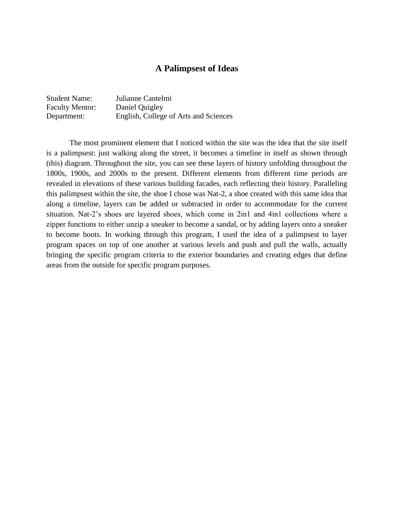## **A Palimpsest of Ideas**

Student Name: Julianne Cantelmi Faculty Mentor: Daniel Quigley Department: English, College of Arts and Sciences

The most prominent element that I noticed within the site was the idea that the site itself is a palimpsest: just walking along the street, it becomes a timeline in itself as shown through (this) diagram. Throughout the site, you can see these layers of history unfolding throughout the 1800s, 1900s, and 2000s to the present. Different elements from different time periods are revealed in elevations of these various building facades, each reflecting their history. Paralleling this palimpsest within the site, the shoe I chose was Nat-2, a shoe created with this same idea that along a timeline, layers can be added or subtracted in order to accommodate for the current situation. Nat-2's shoes are layered shoes, which come in 2in1 and 4in1 collections where a zipper functions to either unzip a sneaker to become a sandal, or by adding layers onto a sneaker to become boots. In working through this program, I used the idea of a palimpsest to layer program spaces on top of one another at various levels and push and pull the walls, actually bringing the specific program criteria to the exterior boundaries and creating edges that define areas from the outside for specific program purposes.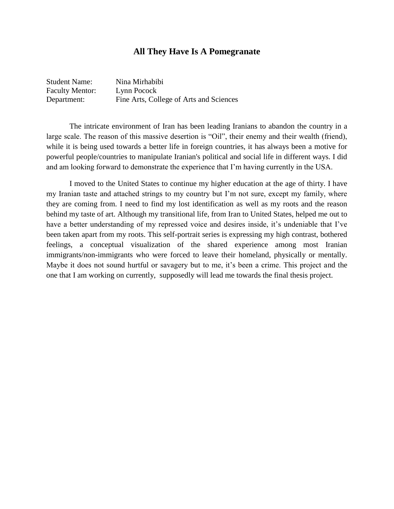#### **All They Have Is A Pomegranate**

| <b>Student Name:</b>   | Nina Mirhabibi                          |
|------------------------|-----------------------------------------|
| <b>Faculty Mentor:</b> | Lynn Pocock                             |
| Department:            | Fine Arts, College of Arts and Sciences |

The intricate environment of Iran has been leading Iranians to abandon the country in a large scale. The reason of this massive desertion is "Oil", their enemy and their wealth (friend), while it is being used towards a better life in foreign countries, it has always been a motive for powerful people/countries to manipulate Iranian's political and social life in different ways. I did and am looking forward to demonstrate the experience that I'm having currently in the USA.

I moved to the United States to continue my higher education at the age of thirty. I have my Iranian taste and attached strings to my country but I'm not sure, except my family, where they are coming from. I need to find my lost identification as well as my roots and the reason behind my taste of art. Although my transitional life, from Iran to United States, helped me out to have a better understanding of my repressed voice and desires inside, it's undeniable that I've been taken apart from my roots. This self-portrait series is expressing my high contrast, bothered feelings, a conceptual visualization of the shared experience among most Iranian immigrants/non-immigrants who were forced to leave their homeland, physically or mentally. Maybe it does not sound hurtful or savagery but to me, it's been a crime. This project and the one that I am working on currently, supposedly will lead me towards the final thesis project.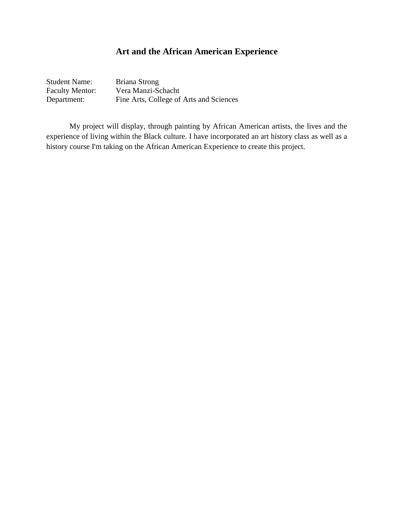# **Art and the African American Experience**

| <b>Student Name:</b>   | <b>Briana Strong</b> |
|------------------------|----------------------|
| <b>Faculty Mentor:</b> | Vera Manzi-S         |
| Department:            | Fine Arts, Col       |

i-Schacht epartment: Fine Arts, College of Arts and Sciences

My project will display, through painting by African American artists, the lives and the experience of living within the Black culture. I have incorporated an art history class as well as a history course I'm taking on the African American Experience to create this project.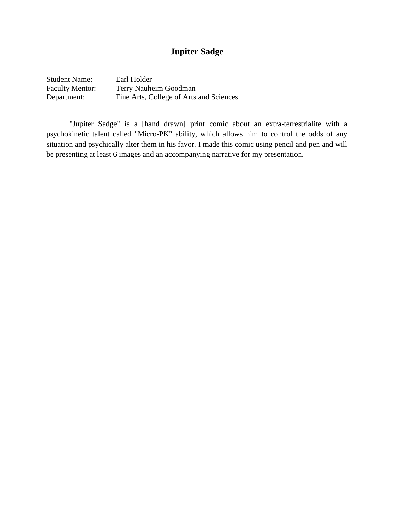# **Jupiter Sadge**

| <b>Student Name:</b>   | Earl Holder                             |
|------------------------|-----------------------------------------|
| <b>Faculty Mentor:</b> | Terry Nauheim Goodman                   |
| Department:            | Fine Arts, College of Arts and Sciences |

"Jupiter Sadge" is a [hand drawn] print comic about an extra-terrestrialite with a psychokinetic talent called "Micro-PK" ability, which allows him to control the odds of any situation and psychically alter them in his favor. I made this comic using pencil and pen and will be presenting at least 6 images and an accompanying narrative for my presentation.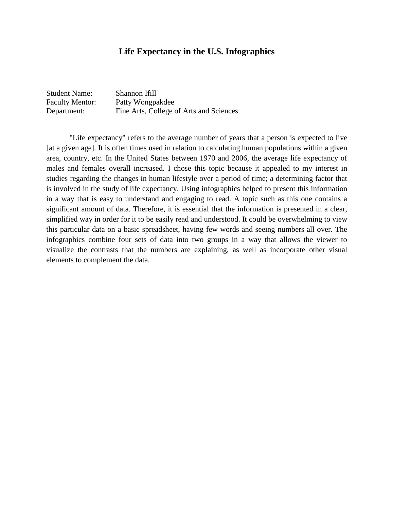### **Life Expectancy in the U.S. Infographics**

| <b>Student Name:</b>   | Shannon Ifill                           |
|------------------------|-----------------------------------------|
| <b>Faculty Mentor:</b> | Patty Wongpakdee                        |
| Department:            | Fine Arts, College of Arts and Sciences |

"Life expectancy" refers to the average number of years that a person is expected to live [at a given age]. It is often times used in relation to calculating human populations within a given area, country, etc. In the United States between 1970 and 2006, the average life expectancy of males and females overall increased. I chose this topic because it appealed to my interest in studies regarding the changes in human lifestyle over a period of time; a determining factor that is involved in the study of life expectancy. Using infographics helped to present this information in a way that is easy to understand and engaging to read. A topic such as this one contains a significant amount of data. Therefore, it is essential that the information is presented in a clear, simplified way in order for it to be easily read and understood. It could be overwhelming to view this particular data on a basic spreadsheet, having few words and seeing numbers all over. The infographics combine four sets of data into two groups in a way that allows the viewer to visualize the contrasts that the numbers are explaining, as well as incorporate other visual elements to complement the data.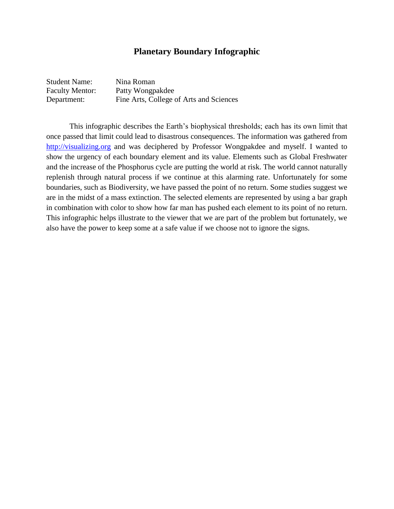### **Planetary Boundary Infographic**

| <b>Student Name:</b>   | Nina Roman                              |
|------------------------|-----------------------------------------|
| <b>Faculty Mentor:</b> | Patty Wongpakdee                        |
| Department:            | Fine Arts, College of Arts and Sciences |

This infographic describes the Earth's biophysical thresholds; each has its own limit that once passed that limit could lead to disastrous consequences. The information was gathered from [http://visualizing.org](http://visualizing.org/) and was deciphered by Professor Wongpakdee and myself. I wanted to show the urgency of each boundary element and its value. Elements such as Global Freshwater and the increase of the Phosphorus cycle are putting the world at risk. The world cannot naturally replenish through natural process if we continue at this alarming rate. Unfortunately for some boundaries, such as Biodiversity, we have passed the point of no return. Some studies suggest we are in the midst of a mass extinction. The selected elements are represented by using a bar graph in combination with color to show how far man has pushed each element to its point of no return. This infographic helps illustrate to the viewer that we are part of the problem but fortunately, we also have the power to keep some at a safe value if we choose not to ignore the signs.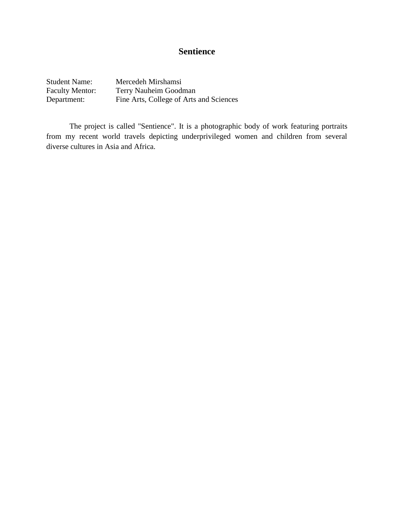## **Sentience**

| <b>Student Name:</b>   | Mercedeh Mirshamsi                      |
|------------------------|-----------------------------------------|
| <b>Faculty Mentor:</b> | Terry Nauheim Goodman                   |
| Department:            | Fine Arts, College of Arts and Sciences |

The project is called "Sentience". It is a photographic body of work featuring portraits from my recent world travels depicting underprivileged women and children from several diverse cultures in Asia and Africa.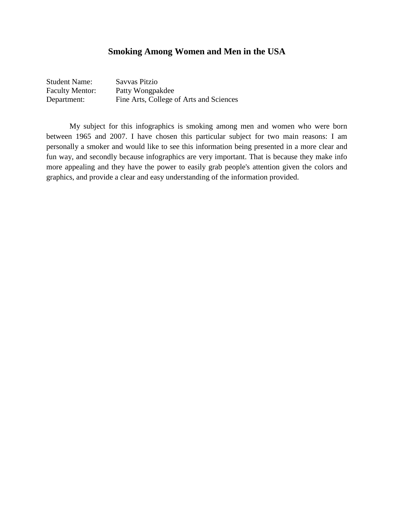### **Smoking Among Women and Men in the USA**

| <b>Student Name:</b>   | Savvas Pitzio                           |
|------------------------|-----------------------------------------|
| <b>Faculty Mentor:</b> | Patty Wongpakdee                        |
| Department:            | Fine Arts, College of Arts and Sciences |

My subject for this infographics is smoking among men and women who were born between 1965 and 2007. I have chosen this particular subject for two main reasons: I am personally a smoker and would like to see this information being presented in a more clear and fun way, and secondly because infographics are very important. That is because they make info more appealing and they have the power to easily grab people's attention given the colors and graphics, and provide a clear and easy understanding of the information provided.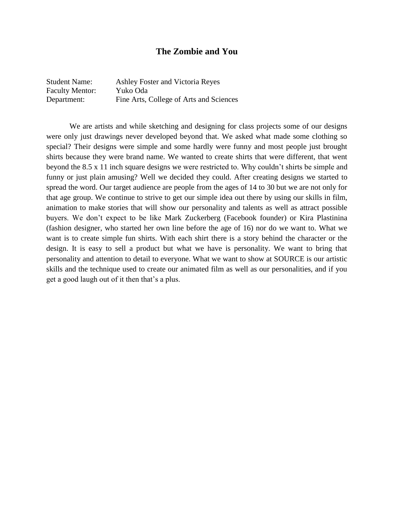#### **The Zombie and You**

| <b>Student Name:</b>   | Ashley Foster and Victoria Reyes        |
|------------------------|-----------------------------------------|
| <b>Faculty Mentor:</b> | Yuko Oda                                |
| Department:            | Fine Arts, College of Arts and Sciences |

We are artists and while sketching and designing for class projects some of our designs were only just drawings never developed beyond that. We asked what made some clothing so special? Their designs were simple and some hardly were funny and most people just brought shirts because they were brand name. We wanted to create shirts that were different, that went beyond the 8.5 x 11 inch square designs we were restricted to. Why couldn't shirts be simple and funny or just plain amusing? Well we decided they could. After creating designs we started to spread the word. Our target audience are people from the ages of 14 to 30 but we are not only for that age group. We continue to strive to get our simple idea out there by using our skills in film, animation to make stories that will show our personality and talents as well as attract possible buyers. We don't expect to be like Mark Zuckerberg (Facebook founder) or Kira Plastinina (fashion designer, who started her own line before the age of 16) nor do we want to. What we want is to create simple fun shirts. With each shirt there is a story behind the character or the design. It is easy to sell a product but what we have is personality. We want to bring that personality and attention to detail to everyone. What we want to show at SOURCE is our artistic skills and the technique used to create our animated film as well as our personalities, and if you get a good laugh out of it then that's a plus.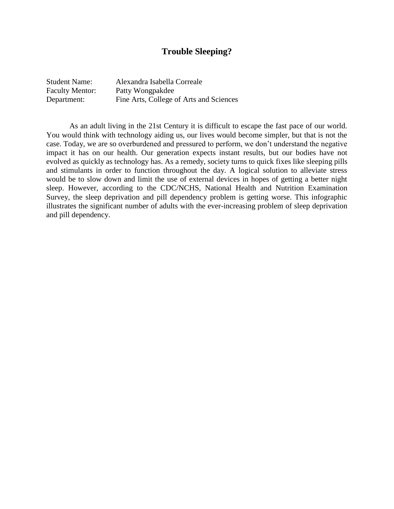### **Trouble Sleeping?**

| <b>Student Name:</b>   | Alexandra Isabella Correale             |
|------------------------|-----------------------------------------|
| <b>Faculty Mentor:</b> | Patty Wongpakdee                        |
| Department:            | Fine Arts, College of Arts and Sciences |

As an adult living in the 21st Century it is difficult to escape the fast pace of our world. You would think with technology aiding us, our lives would become simpler, but that is not the case. Today, we are so overburdened and pressured to perform, we don't understand the negative impact it has on our health. Our generation expects instant results, but our bodies have not evolved as quickly as technology has. As a remedy, society turns to quick fixes like sleeping pills and stimulants in order to function throughout the day. A logical solution to alleviate stress would be to slow down and limit the use of external devices in hopes of getting a better night sleep. However, according to the CDC/NCHS, National Health and Nutrition Examination Survey, the sleep deprivation and pill dependency problem is getting worse. This infographic illustrates the significant number of adults with the ever-increasing problem of sleep deprivation and pill dependency.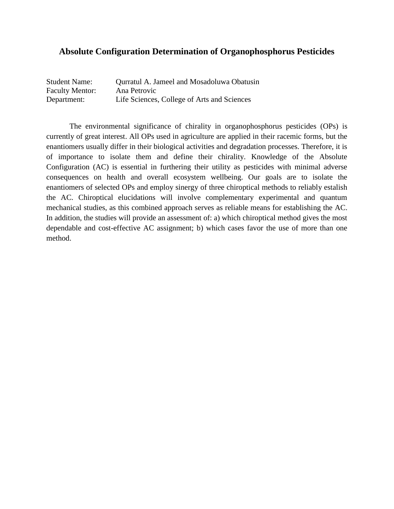### **Absolute Configuration Determination of Organophosphorus Pesticides**

| <b>Student Name:</b>   | Qurratul A. Jameel and Mosadoluwa Obatusin  |
|------------------------|---------------------------------------------|
| <b>Faculty Mentor:</b> | Ana Petrovic                                |
| Department:            | Life Sciences, College of Arts and Sciences |

The environmental significance of chirality in organophosphorus pesticides (OPs) is currently of great interest. All OPs used in agriculture are applied in their racemic forms, but the enantiomers usually differ in their biological activities and degradation processes. Therefore, it is of importance to isolate them and define their chirality. Knowledge of the Absolute Configuration (AC) is essential in furthering their utility as pesticides with minimal adverse consequences on health and overall ecosystem wellbeing. Our goals are to isolate the enantiomers of selected OPs and employ sinergy of three chiroptical methods to reliably estalish the AC. Chiroptical elucidations will involve complementary experimental and quantum mechanical studies, as this combined approach serves as reliable means for establishing the AC. In addition, the studies will provide an assessment of: a) which chiroptical method gives the most dependable and cost-effective AC assignment; b) which cases favor the use of more than one method.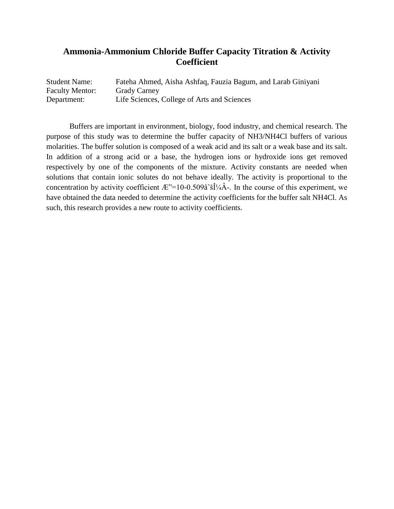## **Ammonia-Ammonium Chloride Buffer Capacity Titration & Activity Coefficient**

| <b>Student Name:</b>   | Fateha Ahmed, Aisha Ashfaq, Fauzia Bagum, and Larab Giniyani |
|------------------------|--------------------------------------------------------------|
| <b>Faculty Mentor:</b> | <b>Grady Carney</b>                                          |
| Department:            | Life Sciences, College of Arts and Sciences                  |

Buffers are important in environment, biology, food industry, and chemical research. The purpose of this study was to determine the buffer capacity of NH3/NH4Cl buffers of various molarities. The buffer solution is composed of a weak acid and its salt or a weak base and its salt. In addition of a strong acid or a base, the hydrogen ions or hydroxide ions get removed respectively by one of the components of the mixture. Activity constants are needed when solutions that contain ionic solutes do not behave ideally. The activity is proportional to the concentration by activity coefficient  $E^{\prime}=10-0.509\hat{a}^{\,\circ}\hat{sl}\frac{1}{4}\hat{A}$ . In the course of this experiment, we have obtained the data needed to determine the activity coefficients for the buffer salt NH4Cl. As such, this research provides a new route to activity coefficients.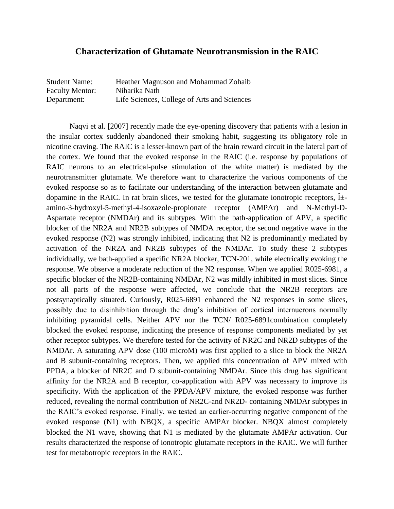#### **Characterization of Glutamate Neurotransmission in the RAIC**

| <b>Student Name:</b>   | Heather Magnuson and Mohammad Zohaib        |
|------------------------|---------------------------------------------|
| <b>Faculty Mentor:</b> | Niharika Nath                               |
| Department:            | Life Sciences, College of Arts and Sciences |

Naqvi et al. [2007] recently made the eye-opening discovery that patients with a lesion in the insular cortex suddenly abandoned their smoking habit, suggesting its obligatory role in nicotine craving. The RAIC is a lesser-known part of the brain reward circuit in the lateral part of the cortex. We found that the evoked response in the RAIC (i.e. response by populations of RAIC neurons to an electrical-pulse stimulation of the white matter) is mediated by the neurotransmitter glutamate. We therefore want to characterize the various components of the evoked response so as to facilitate our understanding of the interaction between glutamate and dopamine in the RAIC. In rat brain slices, we tested for the glutamate ionotropic receptors,  $1\pm$ amino-3-hydroxyl-5-methyl-4-isoxazole-propionate receptor (AMPAr) and N-Methyl-D-Aspartate receptor (NMDAr) and its subtypes. With the bath-application of APV, a specific blocker of the NR2A and NR2B subtypes of NMDA receptor, the second negative wave in the evoked response (N2) was strongly inhibited, indicating that N2 is predominantly mediated by activation of the NR2A and NR2B subtypes of the NMDAr. To study these 2 subtypes individually, we bath-applied a specific NR2A blocker, TCN-201, while electrically evoking the response. We observe a moderate reduction of the N2 response. When we applied R025-6981, a specific blocker of the NR2B-containing NMDAr, N2 was mildly inhibited in most slices. Since not all parts of the response were affected, we conclude that the NR2B receptors are postsynaptically situated. Curiously, R025-6891 enhanced the N2 responses in some slices, possibly due to disinhibition through the drug's inhibition of cortical internuerons normally inhibiting pyramidal cells. Neither APV nor the TCN/ R025-6891combination completely blocked the evoked response, indicating the presence of response components mediated by yet other receptor subtypes. We therefore tested for the activity of NR2C and NR2D subtypes of the NMDAr. A saturating APV dose (100 microM) was first applied to a slice to block the NR2A and B subunit-containing receptors. Then, we applied this concentration of APV mixed with PPDA, a blocker of NR2C and D subunit-containing NMDAr. Since this drug has significant affinity for the NR2A and B receptor, co-application with APV was necessary to improve its specificity. With the application of the PPDA/APV mixture, the evoked response was further reduced, revealing the normal contribution of NR2C-and NR2D- containing NMDAr subtypes in the RAIC's evoked response. Finally, we tested an earlier-occurring negative component of the evoked response (N1) with NBQX, a specific AMPAr blocker. NBQX almost completely blocked the N1 wave, showing that N1 is mediated by the glutamate AMPAr activation. Our results characterized the response of ionotropic glutamate receptors in the RAIC. We will further test for metabotropic receptors in the RAIC.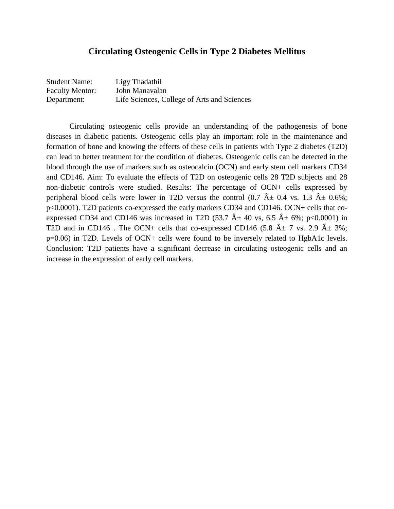#### **Circulating Osteogenic Cells in Type 2 Diabetes Mellitus**

| <b>Student Name:</b>   | Ligy Thadathil                              |
|------------------------|---------------------------------------------|
| <b>Faculty Mentor:</b> | John Manavalan                              |
| Department:            | Life Sciences, College of Arts and Sciences |

Circulating osteogenic cells provide an understanding of the pathogenesis of bone diseases in diabetic patients. Osteogenic cells play an important role in the maintenance and formation of bone and knowing the effects of these cells in patients with Type 2 diabetes (T2D) can lead to better treatment for the condition of diabetes. Osteogenic cells can be detected in the blood through the use of markers such as osteocalcin (OCN) and early stem cell markers CD34 and CD146. Aim: To evaluate the effects of T2D on osteogenic cells 28 T2D subjects and 28 non-diabetic controls were studied. Results: The percentage of OCN+ cells expressed by peripheral blood cells were lower in T2D versus the control  $(0.7 \text{ Å} \pm 0.4 \text{ vs. } 1.3 \text{ Å} \pm 0.6\%);$ p<0.0001). T2D patients co-expressed the early markers CD34 and CD146. OCN+ cells that coexpressed CD34 and CD146 was increased in T2D (53.7  $\hat{A} \pm 40$  vs, 6.5  $\hat{A} \pm 6\%$ ; p<0.0001) in T2D and in CD146. The OCN+ cells that co-expressed CD146 (5.8  $\hat{A} \pm 7$  vs. 2.9  $\hat{A} \pm 3\%$ ; p=0.06) in T2D. Levels of OCN+ cells were found to be inversely related to HgbA1c levels. Conclusion: T2D patients have a significant decrease in circulating osteogenic cells and an increase in the expression of early cell markers.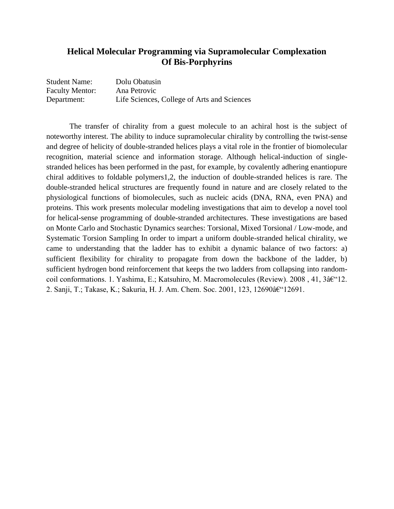### **Helical Molecular Programming via Supramolecular Complexation Of Bis-Porphyrins**

| <b>Student Name:</b>   | Dolu Obatusin                               |
|------------------------|---------------------------------------------|
| <b>Faculty Mentor:</b> | Ana Petrovic                                |
| Department:            | Life Sciences, College of Arts and Sciences |

The transfer of chirality from a guest molecule to an achiral host is the subject of noteworthy interest. The ability to induce supramolecular chirality by controlling the twist-sense and degree of helicity of double-stranded helices plays a vital role in the frontier of biomolecular recognition, material science and information storage. Although helical-induction of singlestranded helices has been performed in the past, for example, by covalently adhering enantiopure chiral additives to foldable polymers1,2, the induction of double-stranded helices is rare. The double-stranded helical structures are frequently found in nature and are closely related to the physiological functions of biomolecules, such as nucleic acids (DNA, RNA, even PNA) and proteins. This work presents molecular modeling investigations that aim to develop a novel tool for helical-sense programming of double-stranded architectures. These investigations are based on Monte Carlo and Stochastic Dynamics searches: Torsional, Mixed Torsional / Low-mode, and Systematic Torsion Sampling In order to impart a uniform double-stranded helical chirality, we came to understanding that the ladder has to exhibit a dynamic balance of two factors: a) sufficient flexibility for chirality to propagate from down the backbone of the ladder, b) sufficient hydrogen bond reinforcement that keeps the two ladders from collapsing into randomcoil conformations. 1. Yashima, E.; Katsuhiro, M. Macromolecules (Review).  $2008$ ,  $41$ ,  $3â€$  "12. 2. Sanji, T.; Takase, K.; Sakuria, H. J. Am. Chem. Soc. 2001, 123, 12690–12691.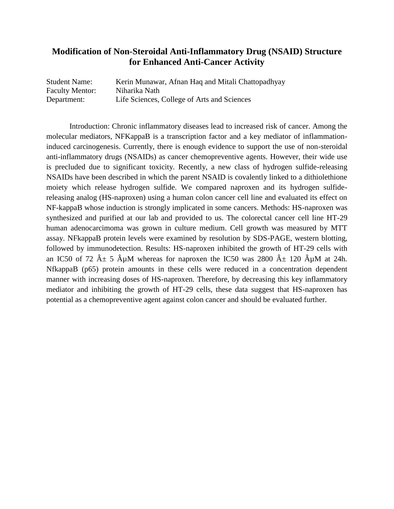### **Modification of Non-Steroidal Anti-Inflammatory Drug (NSAID) Structure for Enhanced Anti-Cancer Activity**

| <b>Student Name:</b>   | Kerin Munawar, Afnan Haq and Mitali Chattopadhyay |
|------------------------|---------------------------------------------------|
| <b>Faculty Mentor:</b> | Niharika Nath                                     |
| Department:            | Life Sciences, College of Arts and Sciences       |

Introduction: Chronic inflammatory diseases lead to increased risk of cancer. Among the molecular mediators, NFKappaB is a transcription factor and a key mediator of inflammationinduced carcinogenesis. Currently, there is enough evidence to support the use of non-steroidal anti-inflammatory drugs (NSAIDs) as cancer chemopreventive agents. However, their wide use is precluded due to significant toxicity. Recently, a new class of hydrogen sulfide-releasing NSAIDs have been described in which the parent NSAID is covalently linked to a dithiolethione moiety which release hydrogen sulfide. We compared naproxen and its hydrogen sulfidereleasing analog (HS-naproxen) using a human colon cancer cell line and evaluated its effect on NF-kappaB whose induction is strongly implicated in some cancers. Methods: HS-naproxen was synthesized and purified at our lab and provided to us. The colorectal cancer cell line HT-29 human adenocarcimoma was grown in culture medium. Cell growth was measured by MTT assay. NFkappaB protein levels were examined by resolution by SDS-PAGE, western blotting, followed by immunodetection. Results: HS-naproxen inhibited the growth of HT-29 cells with an IC50 of 72  $\hat{A} \pm 5$   $\hat{A} \mu$ M whereas for naproxen the IC50 was 2800  $\hat{A} \pm 120$   $\hat{A} \mu$ M at 24h. NfkappaB (p65) protein amounts in these cells were reduced in a concentration dependent manner with increasing doses of HS-naproxen. Therefore, by decreasing this key inflammatory mediator and inhibiting the growth of HT-29 cells, these data suggest that HS-naproxen has potential as a chemopreventive agent against colon cancer and should be evaluated further.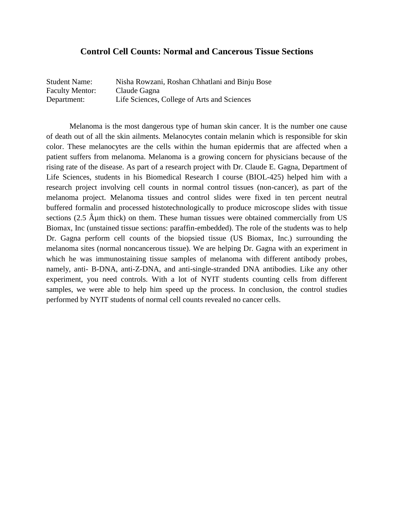#### **Control Cell Counts: Normal and Cancerous Tissue Sections**

| <b>Student Name:</b>   | Nisha Rowzani, Roshan Chhatlani and Binju Bose |
|------------------------|------------------------------------------------|
| <b>Faculty Mentor:</b> | Claude Gagna                                   |
| Department:            | Life Sciences, College of Arts and Sciences    |

Melanoma is the most dangerous type of human skin cancer. It is the number one cause of death out of all the skin ailments. Melanocytes contain melanin which is responsible for skin color. These melanocytes are the cells within the human epidermis that are affected when a patient suffers from melanoma. Melanoma is a growing concern for physicians because of the rising rate of the disease. As part of a research project with Dr. Claude E. Gagna, Department of Life Sciences, students in his Biomedical Research I course (BIOL-425) helped him with a research project involving cell counts in normal control tissues (non-cancer), as part of the melanoma project. Melanoma tissues and control slides were fixed in ten percent neutral buffered formalin and processed histotechnologically to produce microscope slides with tissue sections  $(2.5 \text{ Å}\mu\text{m}$  thick) on them. These human tissues were obtained commercially from US Biomax, Inc (unstained tissue sections: paraffin-embedded). The role of the students was to help Dr. Gagna perform cell counts of the biopsied tissue (US Biomax, Inc.) surrounding the melanoma sites (normal noncancerous tissue). We are helping Dr. Gagna with an experiment in which he was immunostaining tissue samples of melanoma with different antibody probes, namely, anti- B-DNA, anti-Z-DNA, and anti-single-stranded DNA antibodies. Like any other experiment, you need controls. With a lot of NYIT students counting cells from different samples, we were able to help him speed up the process. In conclusion, the control studies performed by NYIT students of normal cell counts revealed no cancer cells.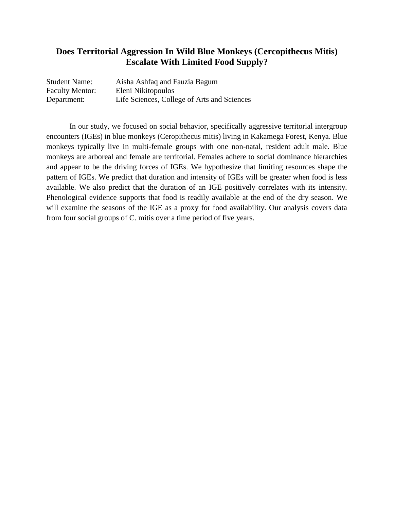## **Does Territorial Aggression In Wild Blue Monkeys (Cercopithecus Mitis) Escalate With Limited Food Supply?**

| <b>Student Name:</b>   | Aisha Ashfaq and Fauzia Bagum               |
|------------------------|---------------------------------------------|
| <b>Faculty Mentor:</b> | Eleni Nikitopoulos                          |
| Department:            | Life Sciences, College of Arts and Sciences |

In our study, we focused on social behavior, specifically aggressive territorial intergroup encounters (IGEs) in blue monkeys (Ceropithecus mitis) living in Kakamega Forest, Kenya. Blue monkeys typically live in multi-female groups with one non-natal, resident adult male. Blue monkeys are arboreal and female are territorial. Females adhere to social dominance hierarchies and appear to be the driving forces of IGEs. We hypothesize that limiting resources shape the pattern of IGEs. We predict that duration and intensity of IGEs will be greater when food is less available. We also predict that the duration of an IGE positively correlates with its intensity. Phenological evidence supports that food is readily available at the end of the dry season. We will examine the seasons of the IGE as a proxy for food availability. Our analysis covers data from four social groups of C. mitis over a time period of five years.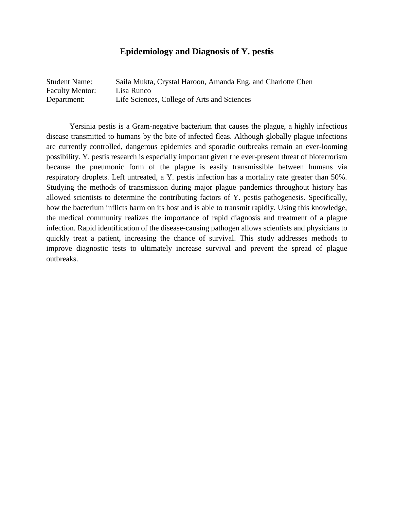### **Epidemiology and Diagnosis of Y. pestis**

| <b>Student Name:</b>   | Saila Mukta, Crystal Haroon, Amanda Eng, and Charlotte Chen |
|------------------------|-------------------------------------------------------------|
| <b>Faculty Mentor:</b> | Lisa Runco                                                  |
| Department:            | Life Sciences, College of Arts and Sciences                 |

Yersinia pestis is a Gram-negative bacterium that causes the plague, a highly infectious disease transmitted to humans by the bite of infected fleas. Although globally plague infections are currently controlled, dangerous epidemics and sporadic outbreaks remain an ever-looming possibility. Y. pestis research is especially important given the ever-present threat of bioterrorism because the pneumonic form of the plague is easily transmissible between humans via respiratory droplets. Left untreated, a Y. pestis infection has a mortality rate greater than 50%. Studying the methods of transmission during major plague pandemics throughout history has allowed scientists to determine the contributing factors of Y. pestis pathogenesis. Specifically, how the bacterium inflicts harm on its host and is able to transmit rapidly. Using this knowledge, the medical community realizes the importance of rapid diagnosis and treatment of a plague infection. Rapid identification of the disease-causing pathogen allows scientists and physicians to quickly treat a patient, increasing the chance of survival. This study addresses methods to improve diagnostic tests to ultimately increase survival and prevent the spread of plague outbreaks.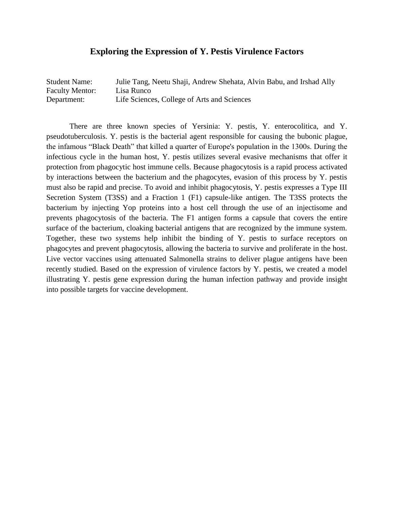#### **Exploring the Expression of Y. Pestis Virulence Factors**

| <b>Student Name:</b>   | Julie Tang, Neetu Shaji, Andrew Shehata, Alvin Babu, and Irshad Ally |
|------------------------|----------------------------------------------------------------------|
| <b>Faculty Mentor:</b> | Lisa Runco                                                           |
| Department:            | Life Sciences, College of Arts and Sciences                          |

There are three known species of Yersinia: Y. pestis, Y. enterocolitica, and Y. pseudotuberculosis. Y. pestis is the bacterial agent responsible for causing the bubonic plague, the infamous "Black Death" that killed a quarter of Europe's population in the 1300s. During the infectious cycle in the human host, Y. pestis utilizes several evasive mechanisms that offer it protection from phagocytic host immune cells. Because phagocytosis is a rapid process activated by interactions between the bacterium and the phagocytes, evasion of this process by Y. pestis must also be rapid and precise. To avoid and inhibit phagocytosis, Y. pestis expresses a Type III Secretion System (T3SS) and a Fraction 1 (F1) capsule-like antigen. The T3SS protects the bacterium by injecting Yop proteins into a host cell through the use of an injectisome and prevents phagocytosis of the bacteria. The F1 antigen forms a capsule that covers the entire surface of the bacterium, cloaking bacterial antigens that are recognized by the immune system. Together, these two systems help inhibit the binding of Y. pestis to surface receptors on phagocytes and prevent phagocytosis, allowing the bacteria to survive and proliferate in the host. Live vector vaccines using attenuated Salmonella strains to deliver plague antigens have been recently studied. Based on the expression of virulence factors by Y. pestis, we created a model illustrating Y. pestis gene expression during the human infection pathway and provide insight into possible targets for vaccine development.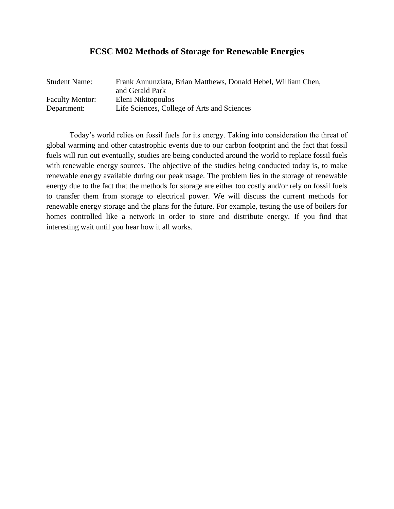#### **FCSC M02 Methods of Storage for Renewable Energies**

| <b>Student Name:</b>   | Frank Annunziata, Brian Matthews, Donald Hebel, William Chen, |
|------------------------|---------------------------------------------------------------|
|                        | and Gerald Park                                               |
| <b>Faculty Mentor:</b> | Eleni Nikitopoulos                                            |
| Department:            | Life Sciences, College of Arts and Sciences                   |

Today's world relies on fossil fuels for its energy. Taking into consideration the threat of global warming and other catastrophic events due to our carbon footprint and the fact that fossil fuels will run out eventually, studies are being conducted around the world to replace fossil fuels with renewable energy sources. The objective of the studies being conducted today is, to make renewable energy available during our peak usage. The problem lies in the storage of renewable energy due to the fact that the methods for storage are either too costly and/or rely on fossil fuels to transfer them from storage to electrical power. We will discuss the current methods for renewable energy storage and the plans for the future. For example, testing the use of boilers for homes controlled like a network in order to store and distribute energy. If you find that interesting wait until you hear how it all works.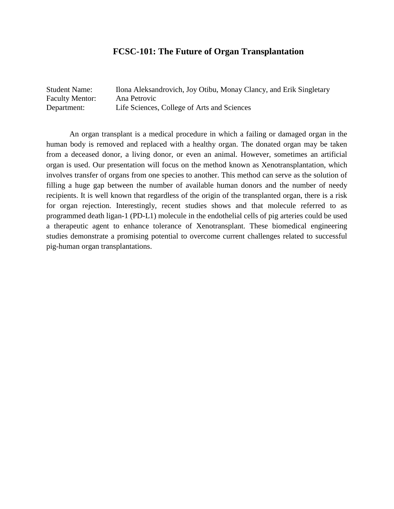#### **FCSC-101: The Future of Organ Transplantation**

| <b>Student Name:</b>   | Ilona Aleksandrovich, Joy Otibu, Monay Clancy, and Erik Singletary |
|------------------------|--------------------------------------------------------------------|
| <b>Faculty Mentor:</b> | Ana Petrovic                                                       |
| Department:            | Life Sciences, College of Arts and Sciences                        |

An organ transplant is a medical procedure in which a failing or damaged organ in the human body is removed and replaced with a healthy organ. The donated organ may be taken from a deceased donor, a living donor, or even an animal. However, sometimes an artificial organ is used. Our presentation will focus on the method known as Xenotransplantation, which involves transfer of organs from one species to another. This method can serve as the solution of filling a huge gap between the number of available human donors and the number of needy recipients. It is well known that regardless of the origin of the transplanted organ, there is a risk for organ rejection. Interestingly, recent studies shows and that molecule referred to as programmed death ligan-1 (PD-L1) molecule in the endothelial cells of pig arteries could be used a therapeutic agent to enhance tolerance of Xenotransplant. These biomedical engineering studies demonstrate a promising potential to overcome current challenges related to successful pig-human organ transplantations.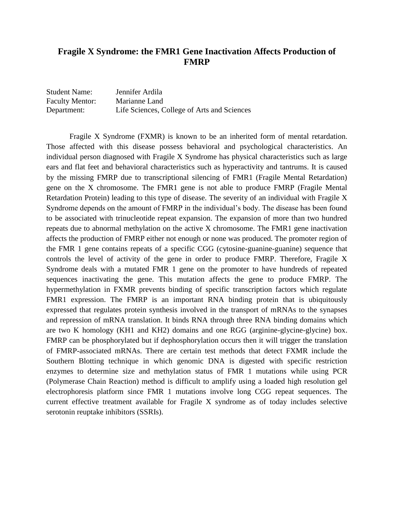### **Fragile X Syndrome: the FMR1 Gene Inactivation Affects Production of FMRP**

Student Name: Jennifer Ardila Faculty Mentor: Marianne Land Department: Life Sciences, College of Arts and Sciences

Fragile X Syndrome (FXMR) is known to be an inherited form of mental retardation. Those affected with this disease possess behavioral and psychological characteristics. An individual person diagnosed with Fragile X Syndrome has physical characteristics such as large ears and flat feet and behavioral characteristics such as hyperactivity and tantrums. It is caused by the missing FMRP due to transcriptional silencing of FMR1 (Fragile Mental Retardation) gene on the X chromosome. The FMR1 gene is not able to produce FMRP (Fragile Mental Retardation Protein) leading to this type of disease. The severity of an individual with Fragile X Syndrome depends on the amount of FMRP in the individual's body. The disease has been found to be associated with trinucleotide repeat expansion. The expansion of more than two hundred repeats due to abnormal methylation on the active X chromosome. The FMR1 gene inactivation affects the production of FMRP either not enough or none was produced. The promoter region of the FMR 1 gene contains repeats of a specific CGG (cytosine-guanine-guanine) sequence that controls the level of activity of the gene in order to produce FMRP. Therefore, Fragile X Syndrome deals with a mutated FMR 1 gene on the promoter to have hundreds of repeated sequences inactivating the gene. This mutation affects the gene to produce FMRP. The hypermethylation in FXMR prevents binding of specific transcription factors which regulate FMR1 expression. The FMRP is an important RNA binding protein that is ubiquitously expressed that regulates protein synthesis involved in the transport of mRNAs to the synapses and repression of mRNA translation. It binds RNA through three RNA binding domains which are two K homology (KH1 and KH2) domains and one RGG (arginine-glycine-glycine) box. FMRP can be phosphorylated but if dephosphorylation occurs then it will trigger the translation of FMRP-associated mRNAs. There are certain test methods that detect FXMR include the Southern Blotting technique in which genomic DNA is digested with specific restriction enzymes to determine size and methylation status of FMR 1 mutations while using PCR (Polymerase Chain Reaction) method is difficult to amplify using a loaded high resolution gel electrophoresis platform since FMR 1 mutations involve long CGG repeat sequences. The current effective treatment available for Fragile X syndrome as of today includes selective serotonin reuptake inhibitors (SSRIs).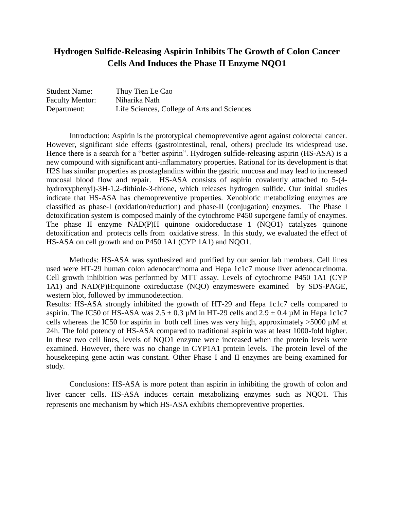## **Hydrogen Sulfide-Releasing Aspirin Inhibits The Growth of Colon Cancer Cells And Induces the Phase II Enzyme NQO1**

| <b>Student Name:</b>   | Thuy Tien Le Cao                            |
|------------------------|---------------------------------------------|
| <b>Faculty Mentor:</b> | Niharika Nath                               |
| Department:            | Life Sciences, College of Arts and Sciences |

Introduction: Aspirin is the prototypical chemopreventive agent against colorectal cancer. However, significant side effects (gastrointestinal, renal, others) preclude its widespread use. Hence there is a search for a "better aspirin". Hydrogen sulfide-releasing aspirin (HS-ASA) is a new compound with significant anti-inflammatory properties. Rational for its development is that H2S has similar properties as prostaglandins within the gastric mucosa and may lead to increased mucosal blood flow and repair. HS-ASA consists of aspirin covalently attached to 5-(4 hydroxyphenyl)-3H-1,2-dithiole-3-thione, which releases hydrogen sulfide. Our initial studies indicate that HS-ASA has chemopreventive properties. Xenobiotic metabolizing enzymes are classified as phase-I (oxidation/reduction) and phase-II (conjugation) enzymes. The Phase I detoxification system is composed mainly of the cytochrome P450 supergene family of enzymes. The phase II enzyme NAD(P)H quinone oxidoreductase 1 (NQO1) catalyzes quinone detoxification and protects cells from oxidative stress. In this study, we evaluated the effect of HS-ASA on cell growth and on P450 1A1 (CYP 1A1) and NQO1.

Methods: HS-ASA was synthesized and purified by our senior lab members. Cell lines used were HT-29 human colon adenocarcinoma and Hepa 1c1c7 mouse liver adenocarcinoma. Cell growth inhibition was performed by MTT assay. Levels of cytochrome P450 1A1 (CYP 1A1) and NAD(P)H:quinone oxireductase (NQO) enzymeswere examined by SDS-PAGE, western blot, followed by immunodetection.

Results: HS-ASA strongly inhibited the growth of HT-29 and Hepa 1c1c7 cells compared to aspirin. The IC50 of HS-ASA was  $2.5 \pm 0.3$   $\mu$ M in HT-29 cells and  $2.9 \pm 0.4$   $\mu$ M in Hepa 1c1c7 cells whereas the IC50 for aspirin in both cell lines was very high, approximately >5000 µM at 24h. The fold potency of HS-ASA compared to traditional aspirin was at least 1000-fold higher. In these two cell lines, levels of NQO1 enzyme were increased when the protein levels were examined. However, there was no change in CYP1A1 protein levels. The protein level of the housekeeping gene actin was constant. Other Phase I and II enzymes are being examined for study.

Conclusions: HS-ASA is more potent than aspirin in inhibiting the growth of colon and liver cancer cells. HS-ASA induces certain metabolizing enzymes such as NQO1. This represents one mechanism by which HS-ASA exhibits chemopreventive properties.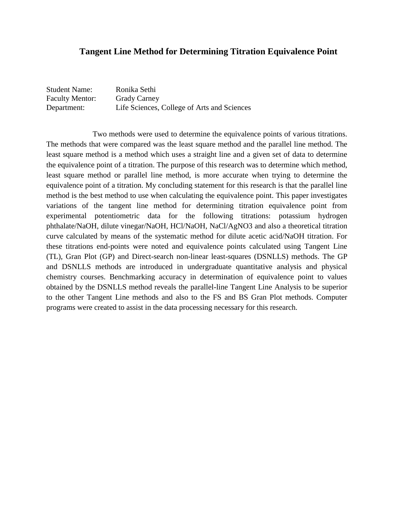#### **Tangent Line Method for Determining Titration Equivalence Point**

Student Name: Ronika Sethi Faculty Mentor: Grady Carney Department: Life Sciences, College of Arts and Sciences

Two methods were used to determine the equivalence points of various titrations. The methods that were compared was the least square method and the parallel line method. The least square method is a method which uses a straight line and a given set of data to determine the equivalence point of a titration. The purpose of this research was to determine which method, least square method or parallel line method, is more accurate when trying to determine the equivalence point of a titration. My concluding statement for this research is that the parallel line method is the best method to use when calculating the equivalence point. This paper investigates variations of the tangent line method for determining titration equivalence point from experimental potentiometric data for the following titrations: potassium hydrogen phthalate/NaOH, dilute vinegar/NaOH, HCl/NaOH, NaCl/AgNO3 and also a theoretical titration curve calculated by means of the systematic method for dilute acetic acid/NaOH titration. For these titrations end-points were noted and equivalence points calculated using Tangent Line (TL), Gran Plot (GP) and Direct-search non-linear least-squares (DSNLLS) methods. The GP and DSNLLS methods are introduced in undergraduate quantitative analysis and physical chemistry courses. Benchmarking accuracy in determination of equivalence point to values obtained by the DSNLLS method reveals the parallel-line Tangent Line Analysis to be superior to the other Tangent Line methods and also to the FS and BS Gran Plot methods. Computer programs were created to assist in the data processing necessary for this research.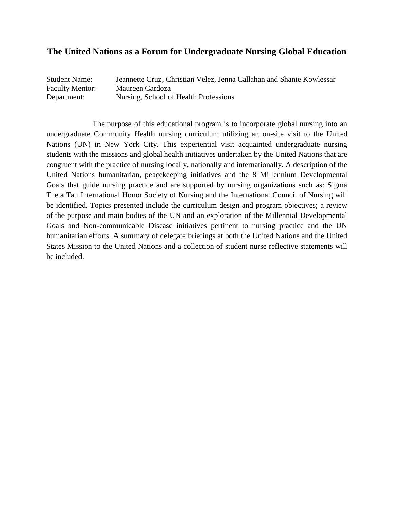#### **The United Nations as a Forum for Undergraduate Nursing Global Education**

| <b>Student Name:</b>   | Jeannette Cruz, Christian Velez, Jenna Callahan and Shanie Kowlessar |
|------------------------|----------------------------------------------------------------------|
| <b>Faculty Mentor:</b> | Maureen Cardoza                                                      |
| Department:            | Nursing, School of Health Professions                                |

The purpose of this educational program is to incorporate global nursing into an undergraduate Community Health nursing curriculum utilizing an on-site visit to the United Nations (UN) in New York City. This experiential visit acquainted undergraduate nursing students with the missions and global health initiatives undertaken by the United Nations that are congruent with the practice of nursing locally, nationally and internationally. A description of the United Nations humanitarian, peacekeeping initiatives and the 8 Millennium Developmental Goals that guide nursing practice and are supported by nursing organizations such as: Sigma Theta Tau International Honor Society of Nursing and the International Council of Nursing will be identified. Topics presented include the curriculum design and program objectives; a review of the purpose and main bodies of the UN and an exploration of the Millennial Developmental Goals and Non-communicable Disease initiatives pertinent to nursing practice and the UN humanitarian efforts. A summary of delegate briefings at both the United Nations and the United States Mission to the United Nations and a collection of student nurse reflective statements will be included.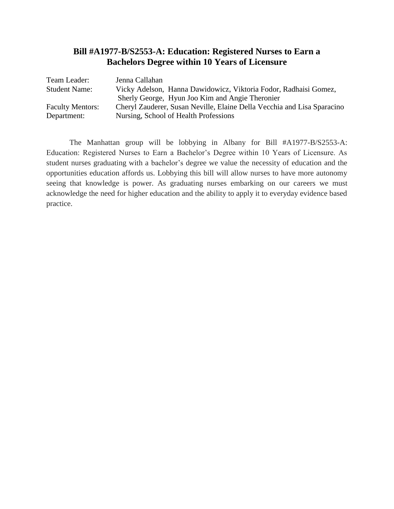## **Bill #A1977-B/S2553-A: Education: Registered Nurses to Earn a Bachelors Degree within 10 Years of Licensure**

| Team Leader:            | Jenna Callahan                                                          |
|-------------------------|-------------------------------------------------------------------------|
| <b>Student Name:</b>    | Vicky Adelson, Hanna Dawidowicz, Viktoria Fodor, Radhaisi Gomez,        |
|                         | Sherly George, Hyun Joo Kim and Angie Theronier                         |
| <b>Faculty Mentors:</b> | Cheryl Zauderer, Susan Neville, Elaine Della Vecchia and Lisa Sparacino |
| Department:             | Nursing, School of Health Professions                                   |

The Manhattan group will be lobbying in Albany for Bill #A1977-B/S2553-A: Education: Registered Nurses to Earn a Bachelor's Degree within 10 Years of Licensure. As student nurses graduating with a bachelor's degree we value the necessity of education and the opportunities education affords us. Lobbying this bill will allow nurses to have more autonomy seeing that knowledge is power. As graduating nurses embarking on our careers we must acknowledge the need for higher education and the ability to apply it to everyday evidence based practice.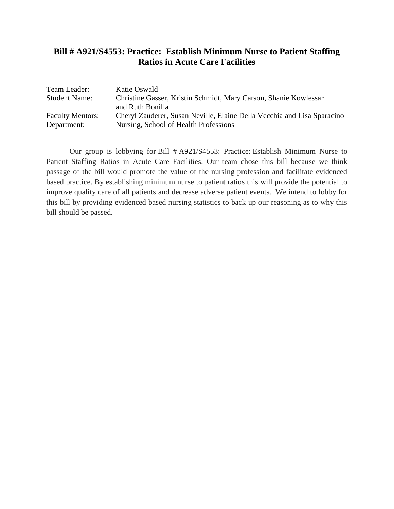## **Bill # A921/S4553: Practice: Establish Minimum Nurse to Patient Staffing Ratios in Acute Care Facilities**

| Team Leader:            | Katie Oswald                                                            |
|-------------------------|-------------------------------------------------------------------------|
| <b>Student Name:</b>    | Christine Gasser, Kristin Schmidt, Mary Carson, Shanie Kowlessar        |
|                         | and Ruth Bonilla                                                        |
| <b>Faculty Mentors:</b> | Cheryl Zauderer, Susan Neville, Elaine Della Vecchia and Lisa Sparacino |
| Department:             | Nursing, School of Health Professions                                   |

Our group is lobbying for Bill # [A921/](http://assembly.state.ny.us/leg/?default_fld=%0D%0A&bn=A921&Summary=Y)S4553: Practice: Establish Minimum Nurse to Patient Staffing Ratios in Acute Care Facilities. Our team chose this bill because we think passage of the bill would promote the value of the nursing profession and facilitate evidenced based practice. By establishing minimum nurse to patient ratios this will provide the potential to improve quality care of all patients and decrease adverse patient events. We intend to lobby for this bill by providing evidenced based nursing statistics to back up our reasoning as to why this bill should be passed.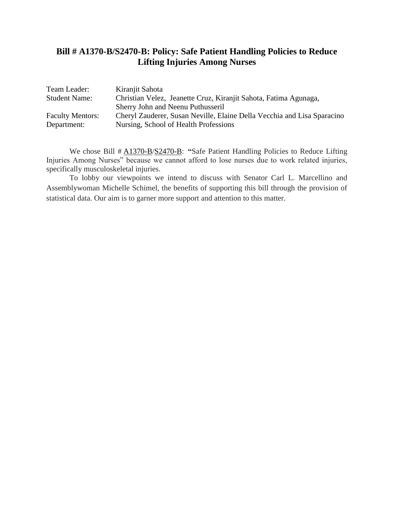## **Bill # A1370-B/S2470-B: Policy: Safe Patient Handling Policies to Reduce Lifting Injuries Among Nurses**

| Team Leader:            | Kiranjit Sahota                                                         |
|-------------------------|-------------------------------------------------------------------------|
| <b>Student Name:</b>    | Christian Velez, Jeanette Cruz, Kiranjit Sahota, Fatima Agunaga,        |
|                         | Sherry John and Neenu Puthusseril                                       |
| <b>Faculty Mentors:</b> | Cheryl Zauderer, Susan Neville, Elaine Della Vecchia and Lisa Sparacino |
| Department:             | Nursing, School of Health Professions                                   |

We chose Bill #  $\triangle 1370-B/S2470-B$ : "Safe Patient Handling Policies to Reduce Lifting Injuries Among Nurses" because we cannot afford to lose nurses due to work related injuries, specifically musculoskeletal injuries.

To lobby our viewpoints we intend to discuss with Senator Carl L. Marcellino and Assemblywoman Michelle Schimel, the benefits of supporting this bill through the provision of statistical data. Our aim is to garner more support and attention to this matter.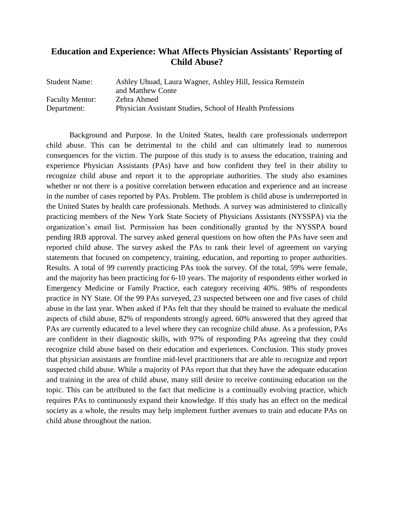### **Education and Experience: What Affects Physician Assistants' Reporting of Child Abuse?**

| <b>Student Name:</b>   | Ashley Uhuad, Laura Wagner, Ashley Hill, Jessica Remstein |
|------------------------|-----------------------------------------------------------|
|                        | and Matthew Conte                                         |
| <b>Faculty Mentor:</b> | Zehra Ahmed                                               |
| Department:            | Physician Assistant Studies, School of Health Professions |

Background and Purpose. In the United States, health care professionals underreport child abuse. This can be detrimental to the child and can ultimately lead to numerous consequences for the victim. The purpose of this study is to assess the education, training and experience Physician Assistants (PAs) have and how confident they feel in their ability to recognize child abuse and report it to the appropriate authorities. The study also examines whether or not there is a positive correlation between education and experience and an increase in the number of cases reported by PAs. Problem. The problem is child abuse is underreported in the United States by health care professionals. Methods. A survey was administered to clinically practicing members of the New York State Society of Physicians Assistants (NYSSPA) via the organization's email list. Permission has been conditionally granted by the NYSSPA board pending IRB approval. The survey asked general questions on how often the PAs have seen and reported child abuse. The survey asked the PAs to rank their level of agreement on varying statements that focused on competency, training, education, and reporting to proper authorities. Results. A total of 99 currently practicing PAs took the survey. Of the total, 59% were female, and the majority has been practicing for 6-10 years. The majority of respondents either worked in Emergency Medicine or Family Practice, each category receiving 40%. 98% of respondents practice in NY State. Of the 99 PAs surveyed, 23 suspected between one and five cases of child abuse in the last year. When asked if PAs felt that they should be trained to evaluate the medical aspects of child abuse, 82% of respondents strongly agreed. 60% answered that they agreed that PAs are currently educated to a level where they can recognize child abuse. As a profession, PAs are confident in their diagnostic skills, with 97% of responding PAs agreeing that they could recognize child abuse based on their education and experiences. Conclusion. This study proves that physician assistants are frontline mid-level practitioners that are able to recognize and report suspected child abuse. While a majority of PAs report that that they have the adequate education and training in the area of child abuse, many still desire to receive continuing education on the topic. This can be attributed to the fact that medicine is a continually evolving practice, which requires PAs to continuously expand their knowledge. If this study has an effect on the medical society as a whole, the results may help implement further avenues to train and educate PAs on child abuse throughout the nation.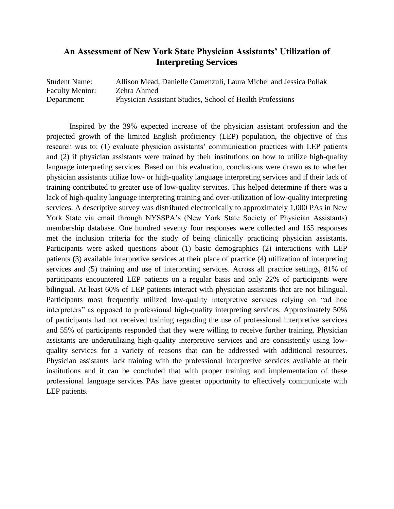### **An Assessment of New York State Physician Assistants' Utilization of Interpreting Services**

Student Name: Allison Mead, Danielle Camenzuli, Laura Michel and Jessica Pollak Faculty Mentor: Zehra Ahmed Department: Physician Assistant Studies, School of Health Professions

Inspired by the 39% expected increase of the physician assistant profession and the projected growth of the limited English proficiency (LEP) population, the objective of this research was to: (1) evaluate physician assistants' communication practices with LEP patients and (2) if physician assistants were trained by their institutions on how to utilize high-quality language interpreting services. Based on this evaluation, conclusions were drawn as to whether physician assistants utilize low- or high-quality language interpreting services and if their lack of training contributed to greater use of low-quality services. This helped determine if there was a lack of high-quality language interpreting training and over-utilization of low-quality interpreting services. A descriptive survey was distributed electronically to approximately 1,000 PAs in New York State via email through NYSSPA's (New York State Society of Physician Assistants) membership database. One hundred seventy four responses were collected and 165 responses met the inclusion criteria for the study of being clinically practicing physician assistants. Participants were asked questions about (1) basic demographics (2) interactions with LEP patients (3) available interpretive services at their place of practice (4) utilization of interpreting services and (5) training and use of interpreting services. Across all practice settings, 81% of participants encountered LEP patients on a regular basis and only 22% of participants were bilingual. At least 60% of LEP patients interact with physician assistants that are not bilingual. Participants most frequently utilized low-quality interpretive services relying on "ad hoc interpreters" as opposed to professional high-quality interpreting services. Approximately 50% of participants had not received training regarding the use of professional interpretive services and 55% of participants responded that they were willing to receive further training. Physician assistants are underutilizing high-quality interpretive services and are consistently using lowquality services for a variety of reasons that can be addressed with additional resources. Physician assistants lack training with the professional interpretive services available at their institutions and it can be concluded that with proper training and implementation of these professional language services PAs have greater opportunity to effectively communicate with LEP patients.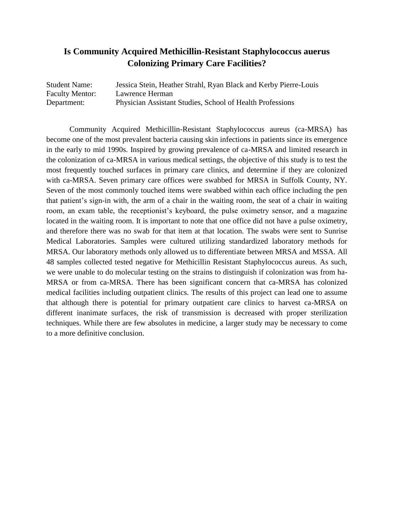## **Is Community Acquired Methicillin-Resistant Staphylococcus auerus Colonizing Primary Care Facilities?**

Student Name: Jessica Stein, Heather Strahl, Ryan Black and Kerby Pierre-Louis Faculty Mentor: Lawrence Herman Department: Physician Assistant Studies, School of Health Professions

Community Acquired Methicillin-Resistant Staphylococcus aureus (ca-MRSA) has become one of the most prevalent bacteria causing skin infections in patients since its emergence in the early to mid 1990s. Inspired by growing prevalence of ca-MRSA and limited research in the colonization of ca-MRSA in various medical settings, the objective of this study is to test the most frequently touched surfaces in primary care clinics, and determine if they are colonized with ca-MRSA. Seven primary care offices were swabbed for MRSA in Suffolk County, NY. Seven of the most commonly touched items were swabbed within each office including the pen that patient's sign-in with, the arm of a chair in the waiting room, the seat of a chair in waiting room, an exam table, the receptionist's keyboard, the pulse oximetry sensor, and a magazine located in the waiting room. It is important to note that one office did not have a pulse oximetry, and therefore there was no swab for that item at that location. The swabs were sent to Sunrise Medical Laboratories. Samples were cultured utilizing standardized laboratory methods for MRSA. Our laboratory methods only allowed us to differentiate between MRSA and MSSA. All 48 samples collected tested negative for Methicillin Resistant Staphylococcus aureus. As such, we were unable to do molecular testing on the strains to distinguish if colonization was from ha-MRSA or from ca-MRSA. There has been significant concern that ca-MRSA has colonized medical facilities including outpatient clinics. The results of this project can lead one to assume that although there is potential for primary outpatient care clinics to harvest ca-MRSA on different inanimate surfaces, the risk of transmission is decreased with proper sterilization techniques. While there are few absolutes in medicine, a larger study may be necessary to come to a more definitive conclusion.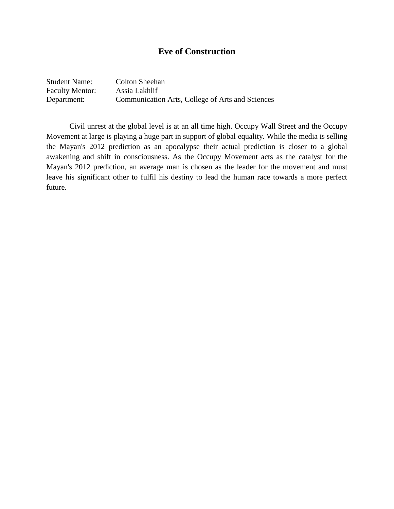## **Eve of Construction**

| <b>Student Name:</b>   | <b>Colton Sheehan</b>                            |
|------------------------|--------------------------------------------------|
| <b>Faculty Mentor:</b> | Assia Lakhlif                                    |
| Department:            | Communication Arts, College of Arts and Sciences |

Civil unrest at the global level is at an all time high. Occupy Wall Street and the Occupy Movement at large is playing a huge part in support of global equality. While the media is selling the Mayan's 2012 prediction as an apocalypse their actual prediction is closer to a global awakening and shift in consciousness. As the Occupy Movement acts as the catalyst for the Mayan's 2012 prediction, an average man is chosen as the leader for the movement and must leave his significant other to fulfil his destiny to lead the human race towards a more perfect future.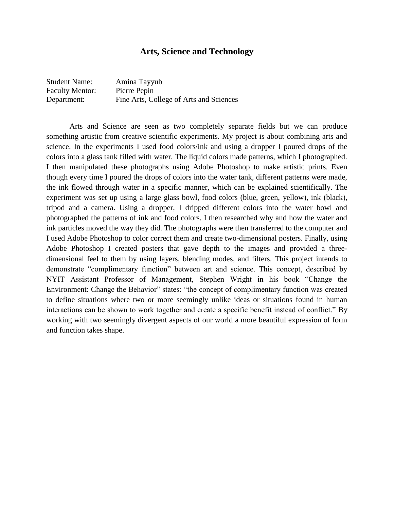#### **Arts, Science and Technology**

| <b>Student Name:</b>   | Amina Tayyub                            |
|------------------------|-----------------------------------------|
| <b>Faculty Mentor:</b> | Pierre Pepin                            |
| Department:            | Fine Arts, College of Arts and Sciences |

Arts and Science are seen as two completely separate fields but we can produce something artistic from creative scientific experiments. My project is about combining arts and science. In the experiments I used food colors/ink and using a dropper I poured drops of the colors into a glass tank filled with water. The liquid colors made patterns, which I photographed. I then manipulated these photographs using Adobe Photoshop to make artistic prints. Even though every time I poured the drops of colors into the water tank, different patterns were made, the ink flowed through water in a specific manner, which can be explained scientifically. The experiment was set up using a large glass bowl, food colors (blue, green, yellow), ink (black), tripod and a camera. Using a dropper, I dripped different colors into the water bowl and photographed the patterns of ink and food colors. I then researched why and how the water and ink particles moved the way they did. The photographs were then transferred to the computer and I used Adobe Photoshop to color correct them and create two-dimensional posters. Finally, using Adobe Photoshop I created posters that gave depth to the images and provided a threedimensional feel to them by using layers, blending modes, and filters. This project intends to demonstrate "complimentary function" between art and science. This concept, described by NYIT Assistant Professor of Management, Stephen Wright in his book "Change the Environment: Change the Behavior" states: "the concept of complimentary function was created to define situations where two or more seemingly unlike ideas or situations found in human interactions can be shown to work together and create a specific benefit instead of conflict." By working with two seemingly divergent aspects of our world a more beautiful expression of form and function takes shape.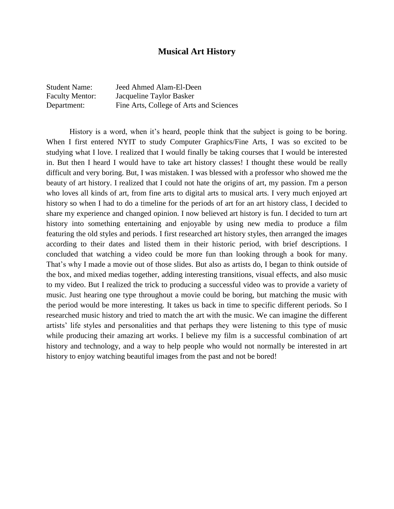#### **Musical Art History**

Student Name: Jeed Ahmed Alam-El-Deen Faculty Mentor: Jacqueline Taylor Basker Department: Fine Arts, College of Arts and Sciences

History is a word, when it's heard, people think that the subject is going to be boring. When I first entered NYIT to study Computer Graphics/Fine Arts, I was so excited to be studying what I love. I realized that I would finally be taking courses that I would be interested in. But then I heard I would have to take art history classes! I thought these would be really difficult and very boring. But, I was mistaken. I was blessed with a professor who showed me the beauty of art history. I realized that I could not hate the origins of art, my passion. I'm a person who loves all kinds of art, from fine arts to digital arts to musical arts. I very much enjoyed art history so when I had to do a timeline for the periods of art for an art history class, I decided to share my experience and changed opinion. I now believed art history is fun. I decided to turn art history into something entertaining and enjoyable by using new media to produce a film featuring the old styles and periods. I first researched art history styles, then arranged the images according to their dates and listed them in their historic period, with brief descriptions. I concluded that watching a video could be more fun than looking through a book for many. That's why I made a movie out of those slides. But also as artists do, I began to think outside of the box, and mixed medias together, adding interesting transitions, visual effects, and also music to my video. But I realized the trick to producing a successful video was to provide a variety of music. Just hearing one type throughout a movie could be boring, but matching the music with the period would be more interesting. It takes us back in time to specific different periods. So I researched music history and tried to match the art with the music. We can imagine the different artists' life styles and personalities and that perhaps they were listening to this type of music while producing their amazing art works. I believe my film is a successful combination of art history and technology, and a way to help people who would not normally be interested in art history to enjoy watching beautiful images from the past and not be bored!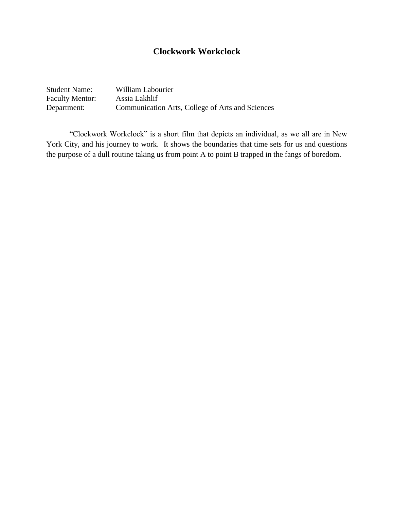## **Clockwork Workclock**

Student Name: William Labourier Faculty Mentor: Assia Lakhlif Department: Communication Arts, College of Arts and Sciences

"Clockwork Workclock" is a short film that depicts an individual, as we all are in New York City, and his journey to work. It shows the boundaries that time sets for us and questions the purpose of a dull routine taking us from point A to point B trapped in the fangs of boredom.